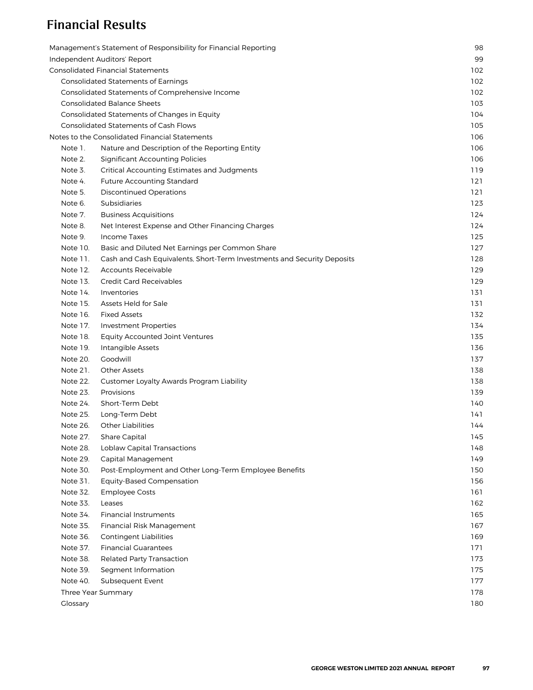## Financial Results

|                              | Management's Statement of Responsibility for Financial Reporting        | 98  |  |  |  |  |  |  |
|------------------------------|-------------------------------------------------------------------------|-----|--|--|--|--|--|--|
| Independent Auditors' Report |                                                                         |     |  |  |  |  |  |  |
|                              | <b>Consolidated Financial Statements</b>                                | 102 |  |  |  |  |  |  |
|                              | <b>Consolidated Statements of Earnings</b>                              | 102 |  |  |  |  |  |  |
|                              | Consolidated Statements of Comprehensive Income                         | 102 |  |  |  |  |  |  |
|                              | <b>Consolidated Balance Sheets</b>                                      | 103 |  |  |  |  |  |  |
|                              | Consolidated Statements of Changes in Equity                            | 104 |  |  |  |  |  |  |
|                              | <b>Consolidated Statements of Cash Flows</b>                            | 105 |  |  |  |  |  |  |
|                              | Notes to the Consolidated Financial Statements                          | 106 |  |  |  |  |  |  |
| Note 1.                      | Nature and Description of the Reporting Entity                          | 106 |  |  |  |  |  |  |
| Note 2.                      | <b>Significant Accounting Policies</b>                                  | 106 |  |  |  |  |  |  |
| Note 3.                      | Critical Accounting Estimates and Judgments                             | 119 |  |  |  |  |  |  |
| Note 4.                      | <b>Future Accounting Standard</b>                                       | 121 |  |  |  |  |  |  |
| Note 5.                      | <b>Discontinued Operations</b>                                          | 121 |  |  |  |  |  |  |
| Note 6.                      | Subsidiaries                                                            | 123 |  |  |  |  |  |  |
| Note 7.                      | <b>Business Acquisitions</b>                                            | 124 |  |  |  |  |  |  |
| Note 8.                      | Net Interest Expense and Other Financing Charges                        | 124 |  |  |  |  |  |  |
| Note 9.                      | Income Taxes                                                            | 125 |  |  |  |  |  |  |
| Note 10.                     | Basic and Diluted Net Earnings per Common Share                         | 127 |  |  |  |  |  |  |
| Note 11.                     | Cash and Cash Equivalents, Short-Term Investments and Security Deposits | 128 |  |  |  |  |  |  |
| Note 12.                     | <b>Accounts Receivable</b>                                              | 129 |  |  |  |  |  |  |
| Note 13.                     | <b>Credit Card Receivables</b>                                          | 129 |  |  |  |  |  |  |
| Note 14.                     | Inventories                                                             | 131 |  |  |  |  |  |  |
| Note 15.                     | Assets Held for Sale                                                    | 131 |  |  |  |  |  |  |
| Note 16.                     | <b>Fixed Assets</b>                                                     | 132 |  |  |  |  |  |  |
| Note 17.                     | <b>Investment Properties</b>                                            | 134 |  |  |  |  |  |  |
| Note 18.                     | <b>Equity Accounted Joint Ventures</b>                                  | 135 |  |  |  |  |  |  |
| Note 19.                     | Intangible Assets                                                       | 136 |  |  |  |  |  |  |
| Note 20.                     | Goodwill                                                                | 137 |  |  |  |  |  |  |
| Note 21.                     | <b>Other Assets</b>                                                     | 138 |  |  |  |  |  |  |
| Note 22.                     | Customer Loyalty Awards Program Liability                               | 138 |  |  |  |  |  |  |
| Note 23.                     | Provisions                                                              | 139 |  |  |  |  |  |  |
| Note 24.                     | Short-Term Debt                                                         | 140 |  |  |  |  |  |  |
| Note 25.                     | Long-Term Debt                                                          | 141 |  |  |  |  |  |  |
| Note 26.                     | <b>Other Liabilities</b>                                                | 144 |  |  |  |  |  |  |
| Note 27.                     | Share Capital                                                           | 145 |  |  |  |  |  |  |
| Note 28.                     | <b>Loblaw Capital Transactions</b>                                      | 148 |  |  |  |  |  |  |
| Note 29.                     | Capital Management                                                      | 149 |  |  |  |  |  |  |
| Note 30.                     | Post-Employment and Other Long-Term Employee Benefits                   | 150 |  |  |  |  |  |  |
| Note 31.                     | <b>Equity-Based Compensation</b>                                        | 156 |  |  |  |  |  |  |
| Note 32.                     | <b>Employee Costs</b>                                                   | 161 |  |  |  |  |  |  |
| Note 33.                     | Leases                                                                  | 162 |  |  |  |  |  |  |
| Note 34.                     | <b>Financial Instruments</b>                                            | 165 |  |  |  |  |  |  |
| Note 35.                     | Financial Risk Management                                               | 167 |  |  |  |  |  |  |
| Note 36.                     | <b>Contingent Liabilities</b>                                           | 169 |  |  |  |  |  |  |
| Note 37.                     | <b>Financial Guarantees</b>                                             | 171 |  |  |  |  |  |  |
| Note 38.                     | <b>Related Party Transaction</b>                                        | 173 |  |  |  |  |  |  |
| Note 39.                     | Segment Information                                                     | 175 |  |  |  |  |  |  |
| Note 40.                     | Subsequent Event                                                        | 177 |  |  |  |  |  |  |
| Three Year Summary           |                                                                         | 178 |  |  |  |  |  |  |
| Glossary                     |                                                                         | 180 |  |  |  |  |  |  |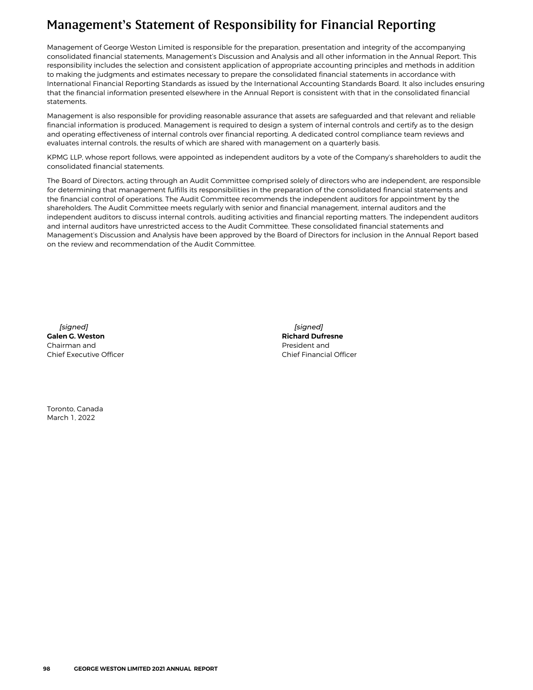## <span id="page-1-0"></span>Management's Statement of Responsibility for Financial Reporting

Management of George Weston Limited is responsible for the preparation, presentation and integrity of the accompanying consolidated financial statements, Management's Discussion and Analysis and all other information in the Annual Report. This responsibility includes the selection and consistent application of appropriate accounting principles and methods in addition to making the judgments and estimates necessary to prepare the consolidated financial statements in accordance with International Financial Reporting Standards as issued by the International Accounting Standards Board. It also includes ensuring that the financial information presented elsewhere in the Annual Report is consistent with that in the consolidated financial statements.

Management is also responsible for providing reasonable assurance that assets are safeguarded and that relevant and reliable financial information is produced. Management is required to design a system of internal controls and certify as to the design and operating effectiveness of internal controls over financial reporting. A dedicated control compliance team reviews and evaluates internal controls, the results of which are shared with management on a quarterly basis.

KPMG LLP, whose report follows, were appointed as independent auditors by a vote of the Company's shareholders to audit the consolidated financial statements.

The Board of Directors, acting through an Audit Committee comprised solely of directors who are independent, are responsible for determining that management fulfills its responsibilities in the preparation of the consolidated financial statements and the financial control of operations. The Audit Committee recommends the independent auditors for appointment by the shareholders. The Audit Committee meets regularly with senior and financial management, internal auditors and the independent auditors to discuss internal controls, auditing activities and financial reporting matters. The independent auditors and internal auditors have unrestricted access to the Audit Committee. These consolidated financial statements and Management's Discussion and Analysis have been approved by the Board of Directors for inclusion in the Annual Report based on the review and recommendation of the Audit Committee.

*[signed]* **Galen G. Weston** Chairman and Chief Executive Officer

*[signed]* **Richard Dufresne** President and Chief Financial Officer

Toronto, Canada March 1, 2022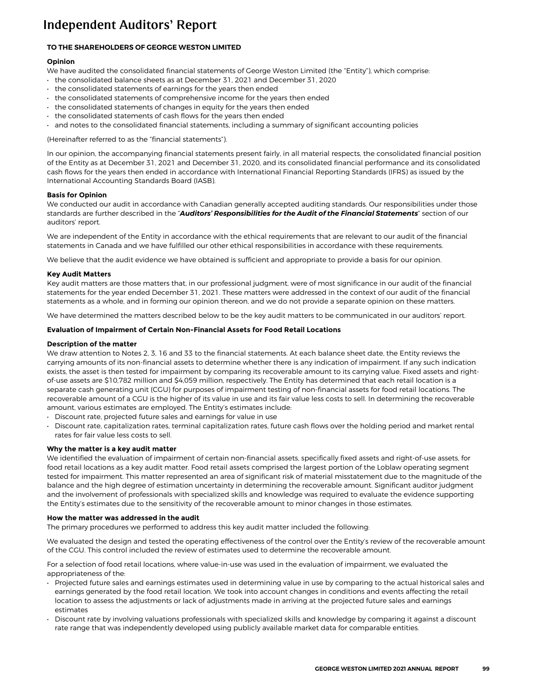## <span id="page-2-0"></span>Independent Auditors' Report

## **TO THE SHAREHOLDERS OF GEORGE WESTON LIMITED**

## **Opinion**

We have audited the consolidated financial statements of George Weston Limited (the "Entity"), which comprise:

- the consolidated balance sheets as at December 31, 2021 and December 31, 2020
- the consolidated statements of earnings for the years then ended
- the consolidated statements of comprehensive income for the years then ended
- the consolidated statements of changes in equity for the years then ended
- the consolidated statements of cash flows for the years then ended
- and notes to the consolidated financial statements, including a summary of significant accounting policies

(Hereinafter referred to as the "financial statements").

In our opinion, the accompanying financial statements present fairly, in all material respects, the consolidated financial position of the Entity as at December 31, 2021 and December 31, 2020, and its consolidated financial performance and its consolidated cash flows for the years then ended in accordance with International Financial Reporting Standards (IFRS) as issued by the International Accounting Standards Board (IASB).

### **Basis for Opinion**

We conducted our audit in accordance with Canadian generally accepted auditing standards. Our responsibilities under those standards are further described in the "*Auditors' Responsibilities for the Audit of the Financial Statements*" section of our auditors' report.

We are independent of the Entity in accordance with the ethical requirements that are relevant to our audit of the financial statements in Canada and we have fulfilled our other ethical responsibilities in accordance with these requirements.

We believe that the audit evidence we have obtained is sufficient and appropriate to provide a basis for our opinion.

### **Key Audit Matters**

Key audit matters are those matters that, in our professional judgment, were of most significance in our audit of the financial statements for the year ended December 31, 2021. These matters were addressed in the context of our audit of the financial statements as a whole, and in forming our opinion thereon, and we do not provide a separate opinion on these matters.

We have determined the matters described below to be the key audit matters to be communicated in our auditors' report.

### **Evaluation of Impairment of Certain Non-Financial Assets for Food Retail Locations**

### **Description of the matter**

We draw attention to Notes 2, 3, 16 and 33 to the financial statements. At each balance sheet date, the Entity reviews the carrying amounts of its non-financial assets to determine whether there is any indication of impairment. If any such indication exists, the asset is then tested for impairment by comparing its recoverable amount to its carrying value. Fixed assets and rightof-use assets are \$10,782 million and \$4,059 million, respectively. The Entity has determined that each retail location is a separate cash generating unit (CGU) for purposes of impairment testing of non-financial assets for food retail locations. The recoverable amount of a CGU is the higher of its value in use and its fair value less costs to sell. In determining the recoverable amount, various estimates are employed. The Entity's estimates include:

- Discount rate, projected future sales and earnings for value in use
- Discount rate, capitalization rates, terminal capitalization rates, future cash flows over the holding period and market rental rates for fair value less costs to sell.

### **Why the matter is a key audit matter**

We identified the evaluation of impairment of certain non-financial assets, specifically fixed assets and right-of-use assets, for food retail locations as a key audit matter. Food retail assets comprised the largest portion of the Loblaw operating segment tested for impairment. This matter represented an area of significant risk of material misstatement due to the magnitude of the balance and the high degree of estimation uncertainty in determining the recoverable amount. Significant auditor judgment and the involvement of professionals with specialized skills and knowledge was required to evaluate the evidence supporting the Entity's estimates due to the sensitivity of the recoverable amount to minor changes in those estimates.

### **How the matter was addressed in the audit**

The primary procedures we performed to address this key audit matter included the following:

We evaluated the design and tested the operating effectiveness of the control over the Entity's review of the recoverable amount of the CGU. This control included the review of estimates used to determine the recoverable amount.

For a selection of food retail locations, where value-in-use was used in the evaluation of impairment, we evaluated the appropriateness of the:

- Projected future sales and earnings estimates used in determining value in use by comparing to the actual historical sales and earnings generated by the food retail location. We took into account changes in conditions and events affecting the retail location to assess the adjustments or lack of adjustments made in arriving at the projected future sales and earnings estimates
- *•* Discount rate by involving valuations professionals with specialized skills and knowledge by comparing it against a discount rate range that was independently developed using publicly available market data for comparable entities.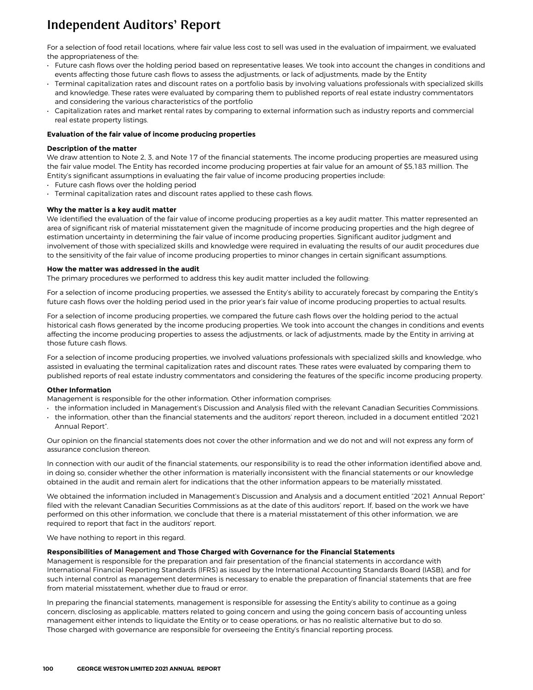# Independent Auditors' Report

For a selection of food retail locations, where fair value less cost to sell was used in the evaluation of impairment, we evaluated the appropriateness of the:

- Future cash flows over the holding period based on representative leases. We took into account the changes in conditions and events affecting those future cash flows to assess the adjustments, or lack of adjustments, made by the Entity
- Terminal capitalization rates and discount rates on a portfolio basis by involving valuations professionals with specialized skills and knowledge. These rates were evaluated by comparing them to published reports of real estate industry commentators and considering the various characteristics of the portfolio
- Capitalization rates and market rental rates by comparing to external information such as industry reports and commercial real estate property listings.

#### **Evaluation of the fair value of income producing properties**

#### **Description of the matter**

We draw attention to Note 2, 3, and Note 17 of the financial statements. The income producing properties are measured using the fair value model. The Entity has recorded income producing properties at fair value for an amount of \$5,183 million. The Entity's significant assumptions in evaluating the fair value of income producing properties include:

- Future cash flows over the holding period
- Terminal capitalization rates and discount rates applied to these cash flows.

#### **Why the matter is a key audit matter**

We identified the evaluation of the fair value of income producing properties as a key audit matter. This matter represented an area of significant risk of material misstatement given the magnitude of income producing properties and the high degree of estimation uncertainty in determining the fair value of income producing properties. Significant auditor judgment and involvement of those with specialized skills and knowledge were required in evaluating the results of our audit procedures due to the sensitivity of the fair value of income producing properties to minor changes in certain significant assumptions.

#### **How the matter was addressed in the audit**

The primary procedures we performed to address this key audit matter included the following:

For a selection of income producing properties, we assessed the Entity's ability to accurately forecast by comparing the Entity's future cash flows over the holding period used in the prior year's fair value of income producing properties to actual results.

For a selection of income producing properties, we compared the future cash flows over the holding period to the actual historical cash flows generated by the income producing properties. We took into account the changes in conditions and events affecting the income producing properties to assess the adjustments, or lack of adjustments, made by the Entity in arriving at those future cash flows.

For a selection of income producing properties, we involved valuations professionals with specialized skills and knowledge, who assisted in evaluating the terminal capitalization rates and discount rates. These rates were evaluated by comparing them to published reports of real estate industry commentators and considering the features of the specific income producing property.

#### **Other Information**

- **Management is responsible for the other information. Other information comprises:**
- the information included in Management's Discussion and Analysis filed with the relevant Canadian Securities Commissions.
- the information, other than the financial statements and the auditors' report thereon, included in a document entitled "2021 Annual Report".

Our opinion on the financial statements does not cover the other information and we do not and will not express any form of assurance conclusion thereon.

In connection with our audit of the financial statements, our responsibility is to read the other information identified above and, in doing so, consider whether the other information is materially inconsistent with the financial statements or our knowledge obtained in the audit and remain alert for indications that the other information appears to be materially misstated.

We obtained the information included in Management's Discussion and Analysis and a document entitled "2021 Annual Report" filed with the relevant Canadian Securities Commissions as at the date of this auditors' report. If, based on the work we have performed on this other information, we conclude that there is a material misstatement of this other information, we are required to report that fact in the auditors' report.

We have nothing to report in this regard.

#### **Responsibilities of Management and Those Charged with Governance for the Financial Statements**

Management is responsible for the preparation and fair presentation of the financial statements in accordance with International Financial Reporting Standards (IFRS) as issued by the International Accounting Standards Board (IASB), and for such internal control as management determines is necessary to enable the preparation of financial statements that are free from material misstatement, whether due to fraud or error.

In preparing the financial statements, management is responsible for assessing the Entity's ability to continue as a going concern, disclosing as applicable, matters related to going concern and using the going concern basis of accounting unless management either intends to liquidate the Entity or to cease operations, or has no realistic alternative but to do so. Those charged with governance are responsible for overseeing the Entity's financial reporting process.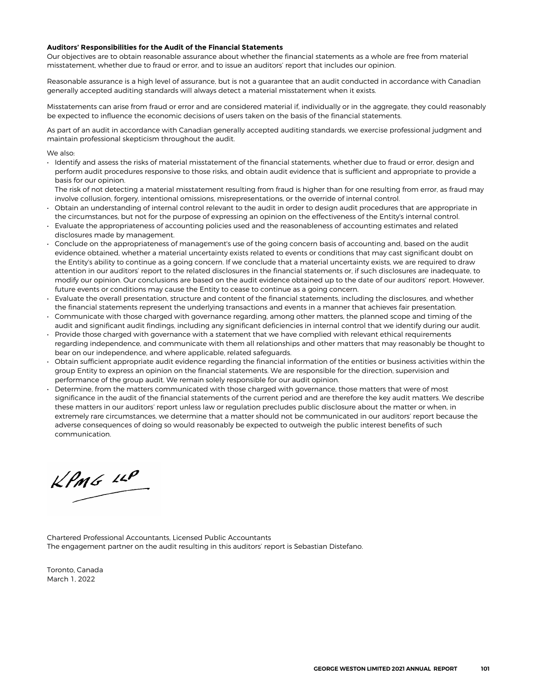#### **Auditors' Responsibilities for the Audit of the Financial Statements**

Our objectives are to obtain reasonable assurance about whether the financial statements as a whole are free from material misstatement, whether due to fraud or error, and to issue an auditors' report that includes our opinion.

Reasonable assurance is a high level of assurance, but is not a guarantee that an audit conducted in accordance with Canadian generally accepted auditing standards will always detect a material misstatement when it exists.

Misstatements can arise from fraud or error and are considered material if, individually or in the aggregate, they could reasonably be expected to influence the economic decisions of users taken on the basis of the financial statements.

As part of an audit in accordance with Canadian generally accepted auditing standards, we exercise professional judgment and maintain professional skepticism throughout the audit.

We also:

• Identify and assess the risks of material misstatement of the financial statements, whether due to fraud or error, design and perform audit procedures responsive to those risks, and obtain audit evidence that is sufficient and appropriate to provide a basis for our opinion.

The risk of not detecting a material misstatement resulting from fraud is higher than for one resulting from error, as fraud may involve collusion, forgery, intentional omissions, misrepresentations, or the override of internal control.

- Obtain an understanding of internal control relevant to the audit in order to design audit procedures that are appropriate in the circumstances, but not for the purpose of expressing an opinion on the effectiveness of the Entity's internal control.
- Evaluate the appropriateness of accounting policies used and the reasonableness of accounting estimates and related disclosures made by management.
- Conclude on the appropriateness of management's use of the going concern basis of accounting and, based on the audit evidence obtained, whether a material uncertainty exists related to events or conditions that may cast significant doubt on the Entity's ability to continue as a going concern. If we conclude that a material uncertainty exists, we are required to draw attention in our auditors' report to the related disclosures in the financial statements or, if such disclosures are inadequate, to modify our opinion. Our conclusions are based on the audit evidence obtained up to the date of our auditors' report. However, future events or conditions may cause the Entity to cease to continue as a going concern.
- Evaluate the overall presentation, structure and content of the financial statements, including the disclosures, and whether the financial statements represent the underlying transactions and events in a manner that achieves fair presentation.
- Communicate with those charged with governance regarding, among other matters, the planned scope and timing of the audit and significant audit findings, including any significant deficiencies in internal control that we identify during our audit.
- Provide those charged with governance with a statement that we have complied with relevant ethical requirements regarding independence, and communicate with them all relationships and other matters that may reasonably be thought to bear on our independence, and where applicable, related safeguards.
- Obtain sufficient appropriate audit evidence regarding the financial information of the entities or business activities within the group Entity to express an opinion on the financial statements. We are responsible for the direction, supervision and performance of the group audit. We remain solely responsible for our audit opinion.
- Determine, from the matters communicated with those charged with governance, those matters that were of most significance in the audit of the financial statements of the current period and are therefore the key audit matters. We describe these matters in our auditors' report unless law or regulation precludes public disclosure about the matter or when, in extremely rare circumstances, we determine that a matter should not be communicated in our auditors' report because the adverse consequences of doing so would reasonably be expected to outweigh the public interest benefits of such communication.

 $kPm6$   $\mu$ 

Chartered Professional Accountants, Licensed Public Accountants The engagement partner on the audit resulting in this auditors' report is Sebastian Distefano.

Toronto, Canada March 1, 2022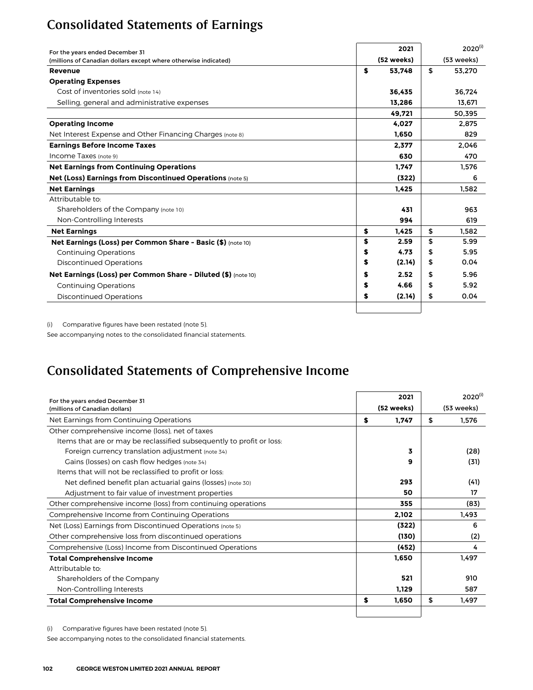# <span id="page-5-0"></span>Consolidated Statements of Earnings

| For the years ended December 31                                  | 2021         | $2020^{(i)}$ |
|------------------------------------------------------------------|--------------|--------------|
| (millions of Canadian dollars except where otherwise indicated)  | (52 weeks)   | (53 weeks)   |
| Revenue                                                          | \$<br>53,748 | \$<br>53,270 |
| <b>Operating Expenses</b>                                        |              |              |
| Cost of inventories sold (note 14)                               | 36,435       | 36,724       |
| Selling, general and administrative expenses                     | 13.286       | 13.671       |
|                                                                  | 49,721       | 50,395       |
| <b>Operating Income</b>                                          | 4,027        | 2,875        |
| Net Interest Expense and Other Financing Charges (note 8)        | 1.650        | 829          |
| <b>Earnings Before Income Taxes</b>                              | 2,377        | 2.046        |
| Income Taxes (note 9)                                            | 630          | 470          |
| <b>Net Earnings from Continuing Operations</b>                   | 1.747        | 1,576        |
| <b>Net (Loss) Earnings from Discontinued Operations (note 5)</b> | (322)        | 6            |
| <b>Net Earnings</b>                                              | 1.425        | 1.582        |
| Attributable to:                                                 |              |              |
| Shareholders of the Company (note 10)                            | 431          | 963          |
| Non-Controlling Interests                                        | 994          | 619          |
| <b>Net Earnings</b>                                              | \$<br>1.425  | \$<br>1.582  |
| Net Earnings (Loss) per Common Share - Basic (\$) (note 10)      | \$<br>2.59   | \$<br>5.99   |
| <b>Continuing Operations</b>                                     | \$<br>4.73   | \$<br>5.95   |
| <b>Discontinued Operations</b>                                   | \$<br>(2.14) | \$<br>0.04   |
| Net Earnings (Loss) per Common Share - Diluted (\$) (note 10)    | \$<br>2.52   | \$<br>5.96   |
| <b>Continuing Operations</b>                                     | \$<br>4.66   | \$<br>5.92   |
| <b>Discontinued Operations</b>                                   | \$<br>(2.14) | \$<br>0.04   |
|                                                                  |              |              |

(i) Comparative figures have been restated (note 5).

See accompanying notes to the consolidated financial statements.

# Consolidated Statements of Comprehensive Income

| For the years ended December 31                                       |            | 2021       | $2020^{(i)}$ |
|-----------------------------------------------------------------------|------------|------------|--------------|
| (millions of Canadian dollars)                                        | (52 weeks) | (53 weeks) |              |
| Net Earnings from Continuing Operations                               | \$         | 1,747      | \$<br>1.576  |
| Other comprehensive income (loss), net of taxes                       |            |            |              |
| Items that are or may be reclassified subsequently to profit or loss. |            |            |              |
| Foreign currency translation adjustment (note 34)                     |            | 3          | (28)         |
| Gains (losses) on cash flow hedges (note 34)                          |            | 9          | (31)         |
| Items that will not be reclassified to profit or loss:                |            |            |              |
| Net defined benefit plan actuarial gains (losses) (note 30)           |            | 293        | (41)         |
| Adjustment to fair value of investment properties                     |            | 50         | 17           |
| Other comprehensive income (loss) from continuing operations          |            | 355        | (83)         |
| Comprehensive Income from Continuing Operations                       |            | 2,102      | 1,493        |
| Net (Loss) Earnings from Discontinued Operations (note 5)             |            | (322)      | 6            |
| Other comprehensive loss from discontinued operations                 |            | (130)      | (2)          |
| Comprehensive (Loss) Income from Discontinued Operations              |            | (452)      | 4            |
| <b>Total Comprehensive Income</b>                                     |            | 1,650      | 1,497        |
| Attributable to:                                                      |            |            |              |
| Shareholders of the Company                                           |            | 521        | 910          |
| Non-Controlling Interests                                             |            | 1,129      | 587          |
| <b>Total Comprehensive Income</b>                                     | \$         | 1,650      | \$<br>1.497  |
|                                                                       |            |            |              |

(i) Comparative figures have been restated (note 5).

See accompanying notes to the consolidated financial statements.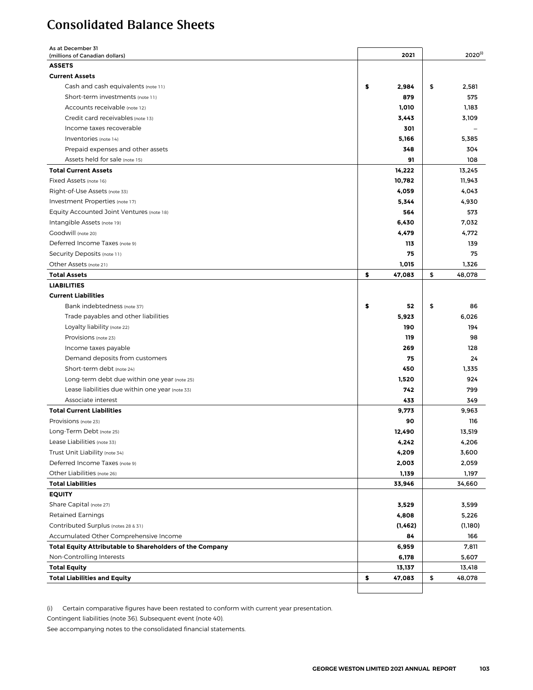## <span id="page-6-0"></span>Consolidated Balance Sheets

| As at December 31<br>(millions of Canadian dollars)      | 2021         | $2020^{(i)}$ |
|----------------------------------------------------------|--------------|--------------|
| <b>ASSETS</b>                                            |              |              |
| <b>Current Assets</b>                                    |              |              |
| Cash and cash equivalents (note 11)                      | \$<br>2,984  | \$<br>2,581  |
| Short-term investments (note 11)                         | 879          | 575          |
| Accounts receivable (note 12)                            | 1,010        | 1,183        |
| Credit card receivables (note 13)                        | 3,443        | 3,109        |
| Income taxes recoverable                                 | 301          |              |
| Inventories (note 14)                                    | 5,166        | 5,385        |
| Prepaid expenses and other assets                        | 348          | 304          |
| Assets held for sale (note 15)                           | 91           | 108          |
|                                                          |              |              |
| <b>Total Current Assets</b>                              | 14,222       | 13,245       |
| Fixed Assets (note 16)                                   | 10,782       | 11,943       |
| Right-of-Use Assets (note 33)                            | 4,059        | 4,043        |
| Investment Properties (note 17)                          | 5,344        | 4,930        |
| Equity Accounted Joint Ventures (note 18)                | 564          | 573          |
| Intangible Assets (note 19)                              | 6,430        | 7,032        |
| Goodwill (note 20)                                       | 4,479        | 4,772        |
| Deferred Income Taxes (note 9)                           | 113          | 139          |
| Security Deposits (note 11)                              | 75           | 75           |
| Other Assets (note 21)                                   | 1,015        | 1,326        |
| <b>Total Assets</b>                                      | \$<br>47,083 | \$<br>48,078 |
| <b>LIABILITIES</b>                                       |              |              |
| <b>Current Liabilities</b>                               |              |              |
| Bank indebtedness (note 37)                              | \$<br>52     | \$<br>86     |
| Trade payables and other liabilities                     | 5,923        | 6,026        |
| Loyalty liability (note 22)                              | 190          | 194          |
| Provisions (note 23)                                     | 119          | 98           |
| Income taxes payable                                     | 269          | 128          |
| Demand deposits from customers                           | 75           | 24           |
| Short-term debt (note 24)                                | 450          | 1,335        |
| Long-term debt due within one year (note 25)             | 1,520        | 924          |
| Lease liabilities due within one year (note 33)          | 742          | 799          |
| Associate interest                                       | 433          | 349          |
| <b>Total Current Liabilities</b>                         | 9,773        | 9,963        |
| Provisions (note 23)                                     | 90           | 116          |
| Long-Term Debt (note 25)                                 | 12,490       | 13,519       |
| Lease Liabilities (note 33)                              | 4,242        | 4,206        |
| Trust Unit Liability (note 34)                           | 4,209        | 3,600        |
| Deferred Income Taxes (note 9)                           | 2,003        | 2,059        |
| Other Liabilities (note 26)                              | 1,139        | 1,197        |
| <b>Total Liabilities</b>                                 | 33,946       | 34,660       |
| <b>EQUITY</b>                                            |              |              |
| Share Capital (note 27)                                  | 3,529        | 3,599        |
| <b>Retained Earnings</b>                                 | 4,808        | 5,226        |
| Contributed Surplus (notes 28 & 31)                      | (1, 462)     | (1,180)      |
| Accumulated Other Comprehensive Income                   | 84           | 166          |
| Total Equity Attributable to Shareholders of the Company | 6,959        | 7,811        |
| Non-Controlling Interests                                | 6,178        | 5,607        |
| <b>Total Equity</b>                                      | 13,137       | 13,418       |
| <b>Total Liabilities and Equity</b>                      | \$<br>47,083 | \$<br>48,078 |
|                                                          |              |              |
|                                                          |              |              |

(i) Certain comparative figures have been restated to conform with current year presentation.

Contingent liabilities (note 36). Subsequent event (note 40).

See accompanying notes to the consolidated financial statements.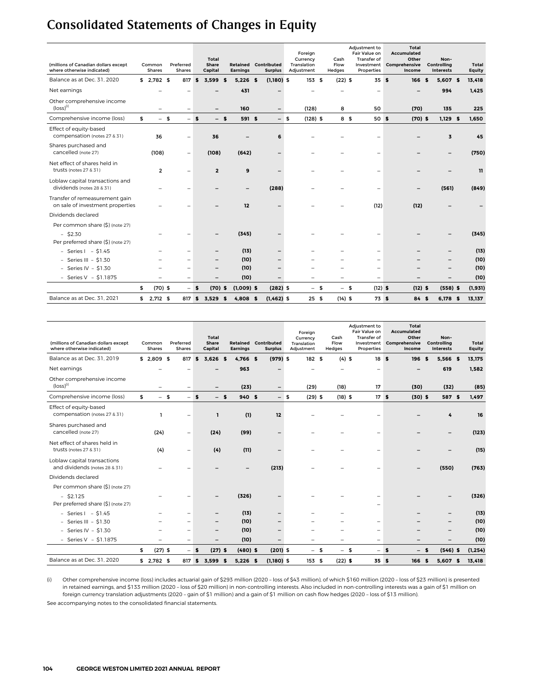# <span id="page-7-0"></span>Consolidated Statements of Changes in Equity

| (millions of Canadian dollars except<br>where otherwise indicated) | Common<br><b>Shares</b>  | Preferred<br><b>Shares</b> |      | Total<br>Share<br>Capital |      | Retained<br><b>Earnings</b> | Contributed<br><b>Surplus</b> |      | Foreian<br>Currency<br>Translation<br>Adjustment | Cash<br>Flow<br>Hedges | Adjustment to<br>Fair Value on<br><b>Transfer of</b><br>Investment<br>Properties |     | Total<br><b>Accumulated</b><br>Other<br>Comprehensive<br>Income | Non-<br>Controlling<br><b>Interests</b> | Total<br>Equity |
|--------------------------------------------------------------------|--------------------------|----------------------------|------|---------------------------|------|-----------------------------|-------------------------------|------|--------------------------------------------------|------------------------|----------------------------------------------------------------------------------|-----|-----------------------------------------------------------------|-----------------------------------------|-----------------|
| Balance as at Dec. 31, 2020                                        | $$2,782$ \$              | 817                        | \$   | 3.599                     | - \$ | $5,226$ \$                  | $(1,180)$ \$                  |      | 153S                                             | $(22)$ \$              | 35S                                                                              |     | 166S                                                            | 5,607 \$                                | 13,418          |
| Net earnings                                                       |                          |                            |      |                           |      | 431                         |                               |      |                                                  |                        |                                                                                  |     |                                                                 | 994                                     | 1,425           |
| Other comprehensive income<br>$(logs)$ <sup>(i)</sup>              | $\overline{\phantom{0}}$ | $\qquad \qquad -$          |      |                           |      | 160                         | $\overline{\phantom{0}}$      |      | (128)                                            | 8                      | 50                                                                               |     | (70)                                                            | 135                                     | 225             |
| Comprehensive income (loss)                                        | \$<br>$-5$               | $-5$                       |      | $-$ s                     |      | 591 \$                      |                               | $-5$ | $(128)$ \$                                       | 8 \$                   | 50 \$                                                                            |     | $(70)$ \$                                                       | $1,129$ \$                              | 1.650           |
| Effect of equity-based<br>compensation (notes 27 & 31)             | 36                       | $\qquad \qquad -$          |      | 36                        |      |                             | 6                             |      |                                                  |                        |                                                                                  |     |                                                                 | $\overline{3}$                          | 45              |
| Shares purchased and<br>cancelled (note 27)                        | (108)                    | $\overline{\phantom{0}}$   |      | (108)                     |      | (642)                       |                               |      |                                                  |                        | ۳                                                                                |     |                                                                 |                                         | (750)           |
| Net effect of shares held in<br>trusts (notes 27 & 31)             | $\overline{2}$           | $\overline{\phantom{0}}$   |      | $\overline{2}$            |      | 9                           |                               |      |                                                  |                        |                                                                                  |     |                                                                 |                                         | 11              |
| Loblaw capital transactions and<br>dividends (notes 28 & 31)       |                          |                            |      |                           |      |                             | (288)                         |      |                                                  |                        | ۳                                                                                |     |                                                                 | (561)                                   | (849)           |
| Transfer of remeasurement gain<br>on sale of investment properties |                          |                            |      |                           |      | 12                          |                               |      |                                                  |                        | (12)                                                                             |     | (12)                                                            |                                         |                 |
| Dividends declared                                                 |                          |                            |      |                           |      |                             |                               |      |                                                  |                        |                                                                                  |     |                                                                 |                                         |                 |
| Per common share (\$) (note 27)                                    |                          |                            |      |                           |      |                             |                               |      |                                                  |                        |                                                                                  |     |                                                                 |                                         |                 |
| $-$ \$2.30<br>Per preferred share (\$) (note 27)                   |                          |                            |      |                           |      | (345)                       |                               |      |                                                  |                        |                                                                                  |     |                                                                 |                                         | (345)           |
| $-$ Series I $-$ \$1.45                                            |                          | $\overline{\phantom{0}}$   |      | -                         |      | (13)                        | $\overline{\phantom{0}}$      |      |                                                  |                        | $\overline{\phantom{0}}$                                                         |     |                                                                 |                                         | (13)            |
| - Series III - $$1.30$                                             |                          |                            |      | $\overline{\phantom{0}}$  |      | (10)                        |                               |      |                                                  |                        |                                                                                  |     |                                                                 |                                         | (10)            |
| - Series IV - $$1.30$                                              |                          |                            |      |                           |      | (10)                        |                               |      |                                                  |                        | ۰                                                                                |     |                                                                 |                                         | (10)            |
| - Series $V - $1.1875$                                             |                          |                            |      |                           |      | (10)                        |                               |      |                                                  |                        | $\qquad \qquad -$                                                                |     |                                                                 |                                         | (10)            |
|                                                                    | \$<br>$(70)$ \$          |                            | - \$ | $(70)$ \$                 |      | $(1,009)$ \$                | $(282)$ \$                    |      | $\overline{\phantom{0}}$                         | \$<br>$-5$             | $(12)$ \$                                                                        |     | $(12)$ \$                                                       | $(558)$ \$                              | (1, 931)        |
| Balance as at Dec. 31, 2021                                        | $$2,712$ \$              | 817 \$                     |      | 3.529                     | 5    | $4.808$ \$                  | $(1,462)$ \$                  |      | 25S                                              | $(14)$ \$              |                                                                                  | 73S | 84 \$                                                           | 6.178 \$                                | 13,137          |

| (millions of Canadian dollars except<br>where otherwise indicated) | Common<br><b>Shares</b>  | Preferred<br>Shares      |              | Total<br>Share<br>Capital | <b>Retained Contributed</b><br><b>Earnings</b> | <b>Surplus</b>           |      | Foreign<br>Currency<br>Translation<br>Adjustment | Cash<br>Flow<br>Hedges   | Adjustment to<br>Fair Value on<br><b>Transfer of</b><br>Investment<br>Properties |    | <b>Total</b><br><b>Accumulated</b><br>Other<br>Comprehensive<br>Income |          | Non-<br>Controlling<br><b>Interests</b> | Total<br><b>Equity</b> |
|--------------------------------------------------------------------|--------------------------|--------------------------|--------------|---------------------------|------------------------------------------------|--------------------------|------|--------------------------------------------------|--------------------------|----------------------------------------------------------------------------------|----|------------------------------------------------------------------------|----------|-----------------------------------------|------------------------|
| Balance as at Dec. 31, 2019                                        | $$2,809$ \$              | 817                      | \$           | 3,626<br>£.               | 4,766 \$                                       | $(979)$ \$               |      | 182S                                             | $(4)$ \$                 | 18S                                                                              |    | 196                                                                    | <b>s</b> | 5,566 \$                                | 13,175                 |
| Net earnings                                                       |                          |                          |              |                           | 963                                            |                          |      |                                                  |                          | $\overline{\phantom{0}}$                                                         |    |                                                                        |          | 619                                     | 1,582                  |
| Other comprehensive income<br>$(logs)$ <sup>(i)</sup>              |                          | $\qquad \qquad -$        |              |                           | (23)                                           | $\overline{\phantom{a}}$ |      | (29)                                             | (18)                     | 17                                                                               |    | (30)                                                                   |          | (32)                                    | (85)                   |
| Comprehensive income (loss)                                        | \$<br>$-5$               | $-$                      | $\mathbf{s}$ | $-$ s                     | 940 \$                                         |                          | $-5$ | $(29)$ \$                                        | $(18)$ \$                | 17S                                                                              |    | $(30)$ \$                                                              |          | 587 \$                                  | 1,497                  |
| Effect of equity-based<br>compensation (notes 27 & 31)             |                          | ۰                        |              | I.                        | (1)                                            | 12                       |      |                                                  |                          |                                                                                  |    |                                                                        |          | 4                                       | 16                     |
| Shares purchased and<br>cancelled (note 27)                        | (24)                     | $\qquad \qquad -$        |              | (24)                      | (99)                                           |                          |      |                                                  |                          |                                                                                  |    |                                                                        |          |                                         | (123)                  |
| Net effect of shares held in<br>trusts (notes 27 & 31)             | (4)                      | $\qquad \qquad -$        |              | (4)                       | (11)                                           |                          |      |                                                  |                          |                                                                                  |    |                                                                        |          |                                         | (15)                   |
| Loblaw capital transactions<br>and dividends (notes 28 & 31)       |                          |                          |              |                           |                                                | (213)                    |      |                                                  |                          |                                                                                  |    |                                                                        |          | (550)                                   | (763)                  |
| Dividends declared                                                 |                          |                          |              |                           |                                                |                          |      |                                                  |                          |                                                                                  |    |                                                                        |          |                                         |                        |
| Per common share (\$) (note 27)                                    |                          |                          |              |                           |                                                |                          |      |                                                  |                          |                                                                                  |    |                                                                        |          |                                         |                        |
| $-$ \$2.125<br>Per preferred share (\$) (note 27)                  |                          |                          |              |                           | (326)                                          |                          |      |                                                  |                          |                                                                                  |    |                                                                        |          |                                         | (326)                  |
| $-$ Series I $-$ \$1.45                                            |                          |                          |              |                           | (13)                                           |                          |      |                                                  |                          |                                                                                  |    |                                                                        |          |                                         | (13)                   |
| - Series III - $$1.30$                                             |                          |                          |              |                           | (10)                                           |                          |      |                                                  |                          | ۳                                                                                |    |                                                                        |          |                                         | (10)                   |
| - Series IV - $$1.30$                                              |                          | $\overline{\phantom{0}}$ |              | -                         | (10)                                           |                          |      |                                                  |                          | $\overline{\phantom{0}}$                                                         |    |                                                                        |          |                                         | (10)                   |
| - Series $V - $1.1875$                                             | $\overline{\phantom{0}}$ | $\qquad \qquad -$        |              | $\overline{\phantom{0}}$  | (10)                                           | $\overline{\phantom{0}}$ |      | $\overline{\phantom{0}}$                         | $\overline{\phantom{0}}$ | $\overline{\phantom{0}}$                                                         |    |                                                                        |          |                                         | (10)                   |
|                                                                    | \$<br>$(27)$ \$          | $\overline{\phantom{0}}$ | \$           | $(27)$ \$                 | $(480)$ \$                                     | $(201)$ \$               |      | $-5$                                             | $-5$                     | $\overline{\phantom{0}}$                                                         | £. | $\overline{\phantom{0}}$                                               | £.       | $(546)$ \$                              | (1, 254)               |
| Balance as at Dec. 31, 2020                                        | $$2,782$ \$              | 817                      | \$           | 3.599<br>\$               | $5,226$ \$                                     | $(1,180)$ \$             |      | 153 \$                                           | $(22)$ \$                | 35S                                                                              |    | 166                                                                    | \$       | $5,607$ \$                              | 13,418                 |

(i) Other comprehensive income (loss) includes actuarial gain of \$293 million (2020 – loss of \$43 million), of which \$160 million (2020 – loss of \$23 million) is presented in retained earnings, and \$133 million (2020 – loss of \$20 million) in non-controlling interests. Also included in non-controlling interests was a gain of \$1 million on foreign currency translation adjustments (2020 – gain of \$1 million) and a gain of \$1 million on cash flow hedges (2020 – loss of \$13 million).

See accompanying notes to the consolidated financial statements.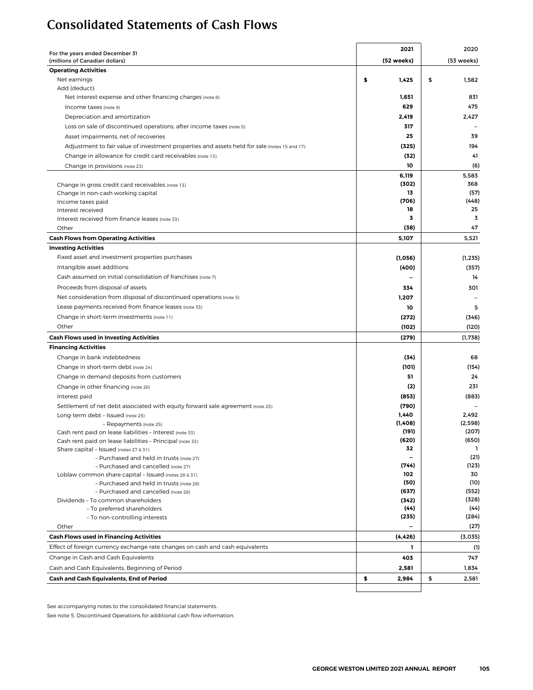## <span id="page-8-0"></span>Consolidated Statements of Cash Flows

| For the years ended December 31                                                              | 2021        | 2020         |
|----------------------------------------------------------------------------------------------|-------------|--------------|
| (millions of Canadian dollars)                                                               | (52 weeks)  | (53 weeks)   |
| <b>Operating Activities</b>                                                                  |             |              |
| Net earnings                                                                                 | \$<br>1,425 | \$<br>1,582  |
| Add (deduct):                                                                                |             |              |
| Net interest expense and other financing charges (note 8)                                    | 1,651       | 831          |
| Income taxes (note 9)                                                                        | 629         | 475          |
| Depreciation and amortization                                                                | 2,419       | 2,427        |
| Loss on sale of discontinued operations, after income taxes (note 5)                         | 317         |              |
| Asset impairments, net of recoveries                                                         | 25          | 39           |
| Adjustment to fair value of investment properties and assets held for sale (notes 15 and 17) | (325)       | 194          |
| Change in allowance for credit card receivables (note 13)                                    | (32)        | 41           |
| Change in provisions (note 23)                                                               | 10          | (6)          |
|                                                                                              | 6,119       | 5,583        |
| Change in gross credit card receivables (note 13)                                            | (302)       | 368          |
| Change in non-cash working capital                                                           | 13          | (57)         |
| Income taxes paid                                                                            | (706)       | (448)        |
| Interest received                                                                            | 18          | 25           |
| Interest received from finance leases (note 33)                                              | 3           | 3            |
| Other                                                                                        | (38)        | 47           |
| <b>Cash Flows from Operating Activities</b>                                                  | 5,107       | 5,521        |
| <b>Investing Activities</b>                                                                  |             |              |
| Fixed asset and investment properties purchases                                              | (1,056)     | (1, 235)     |
| Intangible asset additions                                                                   | (400)       | (357)        |
| Cash assumed on initial consolidation of franchises (note 7)                                 |             | 14           |
| Proceeds from disposal of assets                                                             |             |              |
|                                                                                              | 334         | 301          |
| Net consideration from disposal of discontinued operations (note 5)                          | 1,207       |              |
| Lease payments received from finance leases (note 33)                                        | 10          | 5            |
| Change in short-term investments (note 11)                                                   | (272)       | (346)        |
| Other                                                                                        | (102)       | (120)        |
| <b>Cash Flows used in Investing Activities</b>                                               | (279)       | (1,738)      |
| <b>Financing Activities</b>                                                                  |             |              |
| Change in bank indebtedness                                                                  | (34)        | 68           |
| Change in short-term debt (note 24)                                                          | (101)       | (154)        |
| Change in demand deposits from customers                                                     | 51          | 24           |
| Change in other financing (note 26)                                                          | (2)         | 231          |
| Interest paid                                                                                | (853)       | (883)        |
| Settlement of net debt associated with equity forward sale agreement (note 25)               | (790)       |              |
| Long-term debt - Issued (note 25)                                                            | 1,440       | 2,492        |
| - Repayments (note 25)                                                                       | (1,408)     | (2,598)      |
| Cash rent paid on lease liabilities - Interest (note 33)                                     | (191)       | (207)        |
| Cash rent paid on lease liabilities - Principal (note 33)                                    | (620)       | (650)        |
| Share capital - Issued (notes 27 & 31)                                                       | 32          | $\mathbf{1}$ |
| - Purchased and held in trusts (note 27)                                                     |             | (21)         |
| - Purchased and cancelled (note 27)                                                          | (744)       | (123)        |
| Loblaw common share capital - Issued (notes 28 & 31)                                         | 102         | 30           |
| - Purchased and held in trusts (note 28)                                                     | (50)        | (10)         |
| - Purchased and cancelled (note 28)                                                          | (637)       | (552)        |
| Dividends - To common shareholders                                                           | (342)       | (328)        |
| - To preferred shareholders                                                                  | (44)        | (44)         |
| - To non-controlling interests                                                               | (235)       | (284)        |
| Other                                                                                        |             | (27)         |
| <b>Cash Flows used in Financing Activities</b>                                               | (4, 426)    | (3,035)      |
| Effect of foreign currency exchange rate changes on cash and cash equivalents                | L           | (1)          |
| Change in Cash and Cash Equivalents                                                          | 403         | 747          |
| Cash and Cash Equivalents, Beginning of Period                                               | 2,581       | 1,834        |
| Cash and Cash Equivalents, End of Period                                                     | \$<br>2,984 | \$<br>2,581  |
|                                                                                              |             |              |

See accompanying notes to the consolidated financial statements.

See note 5. Discontinued Operations for additional cash flow information.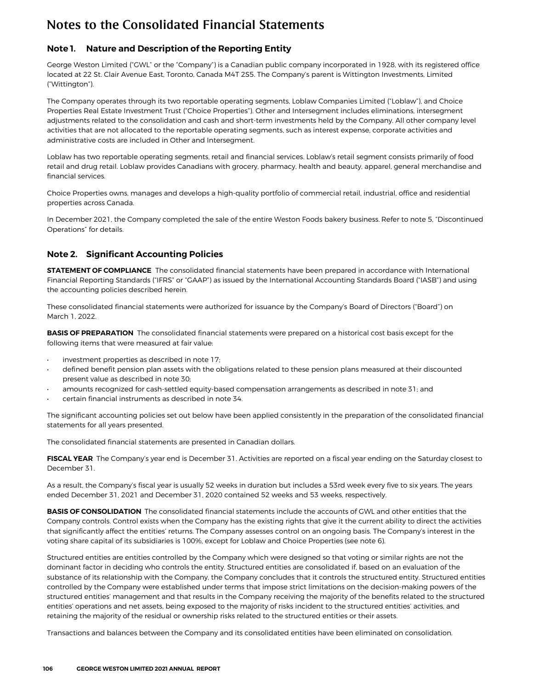## <span id="page-9-0"></span>**Note 1. Nature and Description of the Reporting Entity**

George Weston Limited ("GWL" or the "Company") is a Canadian public company incorporated in 1928, with its registered office located at 22 St. Clair Avenue East, Toronto, Canada M4T 2S5. The Company's parent is Wittington Investments, Limited ("Wittington").

The Company operates through its two reportable operating segments, Loblaw Companies Limited ("Loblaw"), and Choice Properties Real Estate Investment Trust ("Choice Properties"). Other and Intersegment includes eliminations, intersegment adjustments related to the consolidation and cash and short-term investments held by the Company. All other company level activities that are not allocated to the reportable operating segments, such as interest expense, corporate activities and administrative costs are included in Other and Intersegment.

Loblaw has two reportable operating segments, retail and financial services. Loblaw's retail segment consists primarily of food retail and drug retail. Loblaw provides Canadians with grocery, pharmacy, health and beauty, apparel, general merchandise and financial services.

Choice Properties owns, manages and develops a high-quality portfolio of commercial retail, industrial, office and residential properties across Canada.

In December 2021, the Company completed the sale of the entire Weston Foods bakery business. Refer to note 5, "Discontinued Operations" for details.

### **Note 2. Significant Accounting Policies**

**STATEMENT OF COMPLIANCE** The consolidated financial statements have been prepared in accordance with International Financial Reporting Standards ("IFRS" or "GAAP") as issued by the International Accounting Standards Board ("IASB") and using the accounting policies described herein.

These consolidated financial statements were authorized for issuance by the Company's Board of Directors ("Board") on March 1, 2022.

**BASIS OF PREPARATION** The consolidated financial statements were prepared on a historical cost basis except for the following items that were measured at fair value:

- investment properties as described in note 17;
- defined benefit pension plan assets with the obligations related to these pension plans measured at their discounted present value as described in note 30;
- amounts recognized for cash-settled equity-based compensation arrangements as described in note 31; and
- certain financial instruments as described in note 34.

The significant accounting policies set out below have been applied consistently in the preparation of the consolidated financial statements for all years presented.

The consolidated financial statements are presented in Canadian dollars.

**FISCAL YEAR** The Company's year end is December 31. Activities are reported on a fiscal year ending on the Saturday closest to December 31.

As a result, the Company's fiscal year is usually 52 weeks in duration but includes a 53rd week every five to six years. The years ended December 31, 2021 and December 31, 2020 contained 52 weeks and 53 weeks, respectively.

**BASIS OF CONSOLIDATION** The consolidated financial statements include the accounts of GWL and other entities that the Company controls. Control exists when the Company has the existing rights that give it the current ability to direct the activities that significantly affect the entities' returns. The Company assesses control on an ongoing basis. The Company's interest in the voting share capital of its subsidiaries is 100%, except for Loblaw and Choice Properties (see note 6).

Structured entities are entities controlled by the Company which were designed so that voting or similar rights are not the dominant factor in deciding who controls the entity. Structured entities are consolidated if, based on an evaluation of the substance of its relationship with the Company, the Company concludes that it controls the structured entity. Structured entities controlled by the Company were established under terms that impose strict limitations on the decision-making powers of the structured entities' management and that results in the Company receiving the majority of the benefits related to the structured entities' operations and net assets, being exposed to the majority of risks incident to the structured entities' activities, and retaining the majority of the residual or ownership risks related to the structured entities or their assets.

Transactions and balances between the Company and its consolidated entities have been eliminated on consolidation.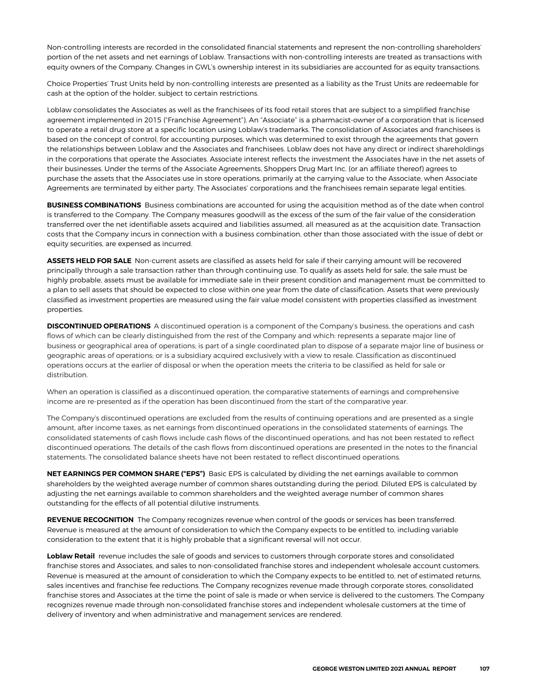Non-controlling interests are recorded in the consolidated financial statements and represent the non-controlling shareholders' portion of the net assets and net earnings of Loblaw. Transactions with non-controlling interests are treated as transactions with equity owners of the Company. Changes in GWL's ownership interest in its subsidiaries are accounted for as equity transactions.

Choice Properties' Trust Units held by non-controlling interests are presented as a liability as the Trust Units are redeemable for cash at the option of the holder, subject to certain restrictions.

Loblaw consolidates the Associates as well as the franchisees of its food retail stores that are subject to a simplified franchise agreement implemented in 2015 ("Franchise Agreement"). An "Associate" is a pharmacist-owner of a corporation that is licensed to operate a retail drug store at a specific location using Loblaw's trademarks. The consolidation of Associates and franchisees is based on the concept of control, for accounting purposes, which was determined to exist through the agreements that govern the relationships between Loblaw and the Associates and franchisees. Loblaw does not have any direct or indirect shareholdings in the corporations that operate the Associates. Associate interest reflects the investment the Associates have in the net assets of their businesses. Under the terms of the Associate Agreements, Shoppers Drug Mart Inc. (or an affiliate thereof) agrees to purchase the assets that the Associates use in store operations, primarily at the carrying value to the Associate, when Associate Agreements are terminated by either party. The Associates' corporations and the franchisees remain separate legal entities.

**BUSINESS COMBINATIONS** Business combinations are accounted for using the acquisition method as of the date when control is transferred to the Company. The Company measures goodwill as the excess of the sum of the fair value of the consideration transferred over the net identifiable assets acquired and liabilities assumed, all measured as at the acquisition date. Transaction costs that the Company incurs in connection with a business combination, other than those associated with the issue of debt or equity securities, are expensed as incurred.

**ASSETS HELD FOR SALE** Non-current assets are classified as assets held for sale if their carrying amount will be recovered principally through a sale transaction rather than through continuing use. To qualify as assets held for sale, the sale must be highly probable, assets must be available for immediate sale in their present condition and management must be committed to a plan to sell assets that should be expected to close within one year from the date of classification. Assets that were previously classified as investment properties are measured using the fair value model consistent with properties classified as investment properties.

**DISCONTINUED OPERATIONS** A discontinued operation is a component of the Company's business, the operations and cash flows of which can be clearly distinguished from the rest of the Company and which: represents a separate major line of business or geographical area of operations; is part of a single coordinated plan to dispose of a separate major line of business or geographic areas of operations; or is a subsidiary acquired exclusively with a view to resale. Classification as discontinued operations occurs at the earlier of disposal or when the operation meets the criteria to be classified as held for sale or distribution.

When an operation is classified as a discontinued operation, the comparative statements of earnings and comprehensive income are re-presented as if the operation has been discontinued from the start of the comparative year.

The Company's discontinued operations are excluded from the results of continuing operations and are presented as a single amount, after income taxes, as net earnings from discontinued operations in the consolidated statements of earnings. The consolidated statements of cash flows include cash flows of the discontinued operations, and has not been restated to reflect discontinued operations. The details of the cash flows from discontinued operations are presented in the notes to the financial statements. The consolidated balance sheets have not been restated to reflect discontinued operations.

**NET EARNINGS PER COMMON SHARE ("EPS")** Basic EPS is calculated by dividing the net earnings available to common shareholders by the weighted average number of common shares outstanding during the period. Diluted EPS is calculated by adjusting the net earnings available to common shareholders and the weighted average number of common shares outstanding for the effects of all potential dilutive instruments.

**REVENUE RECOGNITION** The Company recognizes revenue when control of the goods or services has been transferred. Revenue is measured at the amount of consideration to which the Company expects to be entitled to, including variable consideration to the extent that it is highly probable that a significant reversal will not occur.

**Loblaw Retail** revenue includes the sale of goods and services to customers through corporate stores and consolidated franchise stores and Associates, and sales to non-consolidated franchise stores and independent wholesale account customers. Revenue is measured at the amount of consideration to which the Company expects to be entitled to, net of estimated returns, sales incentives and franchise fee reductions. The Company recognizes revenue made through corporate stores, consolidated franchise stores and Associates at the time the point of sale is made or when service is delivered to the customers. The Company recognizes revenue made through non-consolidated franchise stores and independent wholesale customers at the time of delivery of inventory and when administrative and management services are rendered.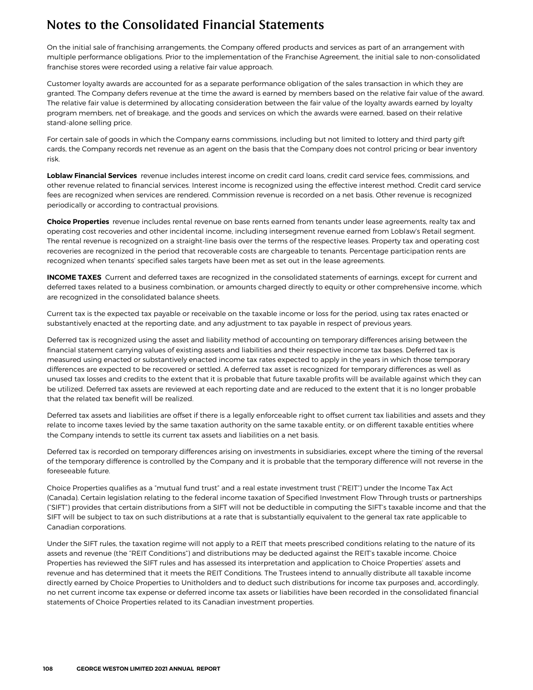On the initial sale of franchising arrangements, the Company offered products and services as part of an arrangement with multiple performance obligations. Prior to the implementation of the Franchise Agreement, the initial sale to non-consolidated franchise stores were recorded using a relative fair value approach.

Customer loyalty awards are accounted for as a separate performance obligation of the sales transaction in which they are granted. The Company defers revenue at the time the award is earned by members based on the relative fair value of the award. The relative fair value is determined by allocating consideration between the fair value of the loyalty awards earned by loyalty program members, net of breakage, and the goods and services on which the awards were earned, based on their relative stand-alone selling price.

For certain sale of goods in which the Company earns commissions, including but not limited to lottery and third party gift cards, the Company records net revenue as an agent on the basis that the Company does not control pricing or bear inventory risk.

**Loblaw Financial Services** revenue includes interest income on credit card loans, credit card service fees, commissions, and other revenue related to financial services. Interest income is recognized using the effective interest method. Credit card service fees are recognized when services are rendered. Commission revenue is recorded on a net basis. Other revenue is recognized periodically or according to contractual provisions.

**Choice Properties** revenue includes rental revenue on base rents earned from tenants under lease agreements, realty tax and operating cost recoveries and other incidental income, including intersegment revenue earned from Loblaw's Retail segment. The rental revenue is recognized on a straight-line basis over the terms of the respective leases. Property tax and operating cost recoveries are recognized in the period that recoverable costs are chargeable to tenants. Percentage participation rents are recognized when tenants' specified sales targets have been met as set out in the lease agreements.

**INCOME TAXES** Current and deferred taxes are recognized in the consolidated statements of earnings, except for current and deferred taxes related to a business combination, or amounts charged directly to equity or other comprehensive income, which are recognized in the consolidated balance sheets.

Current tax is the expected tax payable or receivable on the taxable income or loss for the period, using tax rates enacted or substantively enacted at the reporting date, and any adjustment to tax payable in respect of previous years.

Deferred tax is recognized using the asset and liability method of accounting on temporary differences arising between the financial statement carrying values of existing assets and liabilities and their respective income tax bases. Deferred tax is measured using enacted or substantively enacted income tax rates expected to apply in the years in which those temporary differences are expected to be recovered or settled. A deferred tax asset is recognized for temporary differences as well as unused tax losses and credits to the extent that it is probable that future taxable profits will be available against which they can be utilized. Deferred tax assets are reviewed at each reporting date and are reduced to the extent that it is no longer probable that the related tax benefit will be realized.

Deferred tax assets and liabilities are offset if there is a legally enforceable right to offset current tax liabilities and assets and they relate to income taxes levied by the same taxation authority on the same taxable entity, or on different taxable entities where the Company intends to settle its current tax assets and liabilities on a net basis.

Deferred tax is recorded on temporary differences arising on investments in subsidiaries, except where the timing of the reversal of the temporary difference is controlled by the Company and it is probable that the temporary difference will not reverse in the foreseeable future.

Choice Properties qualifies as a "mutual fund trust" and a real estate investment trust ("REIT") under the Income Tax Act (Canada). Certain legislation relating to the federal income taxation of Specified Investment Flow Through trusts or partnerships ("SIFT") provides that certain distributions from a SIFT will not be deductible in computing the SIFT's taxable income and that the SIFT will be subject to tax on such distributions at a rate that is substantially equivalent to the general tax rate applicable to Canadian corporations.

Under the SIFT rules, the taxation regime will not apply to a REIT that meets prescribed conditions relating to the nature of its assets and revenue (the "REIT Conditions") and distributions may be deducted against the REIT's taxable income. Choice Properties has reviewed the SIFT rules and has assessed its interpretation and application to Choice Properties' assets and revenue and has determined that it meets the REIT Conditions. The Trustees intend to annually distribute all taxable income directly earned by Choice Properties to Unitholders and to deduct such distributions for income tax purposes and, accordingly, no net current income tax expense or deferred income tax assets or liabilities have been recorded in the consolidated financial statements of Choice Properties related to its Canadian investment properties.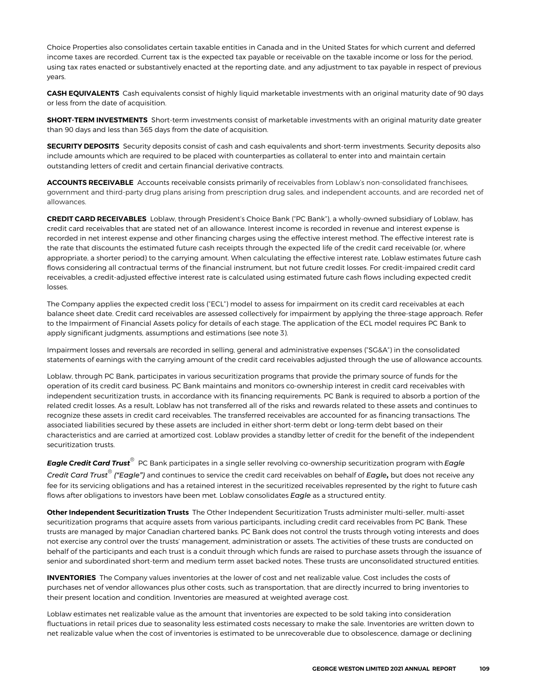Choice Properties also consolidates certain taxable entities in Canada and in the United States for which current and deferred income taxes are recorded. Current tax is the expected tax payable or receivable on the taxable income or loss for the period, using tax rates enacted or substantively enacted at the reporting date, and any adjustment to tax payable in respect of previous years.

**CASH EQUIVALENTS** Cash equivalents consist of highly liquid marketable investments with an original maturity date of 90 days or less from the date of acquisition.

**SHORT-TERM INVESTMENTS** Short-term investments consist of marketable investments with an original maturity date greater than 90 days and less than 365 days from the date of acquisition.

**SECURITY DEPOSITS** Security deposits consist of cash and cash equivalents and short-term investments. Security deposits also include amounts which are required to be placed with counterparties as collateral to enter into and maintain certain outstanding letters of credit and certain financial derivative contracts.

**ACCOUNTS RECEIVABLE** Accounts receivable consists primarily of receivables from Loblaw's non-consolidated franchisees, government and third-party drug plans arising from prescription drug sales, and independent accounts, and are recorded net of allowances.

**CREDIT CARD RECEIVABLES** Loblaw, through President's Choice Bank ("PC Bank"), a wholly-owned subsidiary of Loblaw, has credit card receivables that are stated net of an allowance. Interest income is recorded in revenue and interest expense is recorded in net interest expense and other financing charges using the effective interest method. The effective interest rate is the rate that discounts the estimated future cash receipts through the expected life of the credit card receivable (or, where appropriate, a shorter period) to the carrying amount. When calculating the effective interest rate, Loblaw estimates future cash flows considering all contractual terms of the financial instrument, but not future credit losses. For credit-impaired credit card receivables, a credit-adjusted effective interest rate is calculated using estimated future cash flows including expected credit losses.

The Company applies the expected credit loss ("ECL") model to assess for impairment on its credit card receivables at each balance sheet date. Credit card receivables are assessed collectively for impairment by applying the three-stage approach. Refer to the Impairment of Financial Assets policy for details of each stage. The application of the ECL model requires PC Bank to apply significant judgments, assumptions and estimations (see note 3).

Impairment losses and reversals are recorded in selling, general and administrative expenses ("SG&A") in the consolidated statements of earnings with the carrying amount of the credit card receivables adjusted through the use of allowance accounts.

Loblaw, through PC Bank, participates in various securitization programs that provide the primary source of funds for the operation of its credit card business. PC Bank maintains and monitors co-ownership interest in credit card receivables with independent securitization trusts, in accordance with its financing requirements. PC Bank is required to absorb a portion of the related credit losses. As a result, Loblaw has not transferred all of the risks and rewards related to these assets and continues to recognize these assets in credit card receivables. The transferred receivables are accounted for as financing transactions. The associated liabilities secured by these assets are included in either short-term debt or long-term debt based on their characteristics and are carried at amortized cost. Loblaw provides a standby letter of credit for the benefit of the independent securitization trusts.

 $\bm{\mathsf{E}}$ agle Credit Card Trust $^\circ$  PC Bank participates in a single seller revolving co-ownership securitization program with Eagle *Credit Card Trust® ("Eagle")* and continues to service the credit card receivables on behalf of *Eagle***,** but does not receive any fee for its servicing obligations and has a retained interest in the securitized receivables represented by the right to future cash flows after obligations to investors have been met. Loblaw consolidates *Eagle* as a structured entity.

**Other Independent Securitization Trusts** The Other Independent Securitization Trusts administer multi-seller, multi-asset securitization programs that acquire assets from various participants, including credit card receivables from PC Bank. These trusts are managed by major Canadian chartered banks. PC Bank does not control the trusts through voting interests and does not exercise any control over the trusts' management, administration or assets. The activities of these trusts are conducted on behalf of the participants and each trust is a conduit through which funds are raised to purchase assets through the issuance of senior and subordinated short-term and medium term asset backed notes. These trusts are unconsolidated structured entities.

**INVENTORIES** The Company values inventories at the lower of cost and net realizable value. Cost includes the costs of purchases net of vendor allowances plus other costs, such as transportation, that are directly incurred to bring inventories to their present location and condition. Inventories are measured at weighted average cost.

Loblaw estimates net realizable value as the amount that inventories are expected to be sold taking into consideration fluctuations in retail prices due to seasonality less estimated costs necessary to make the sale. Inventories are written down to net realizable value when the cost of inventories is estimated to be unrecoverable due to obsolescence, damage or declining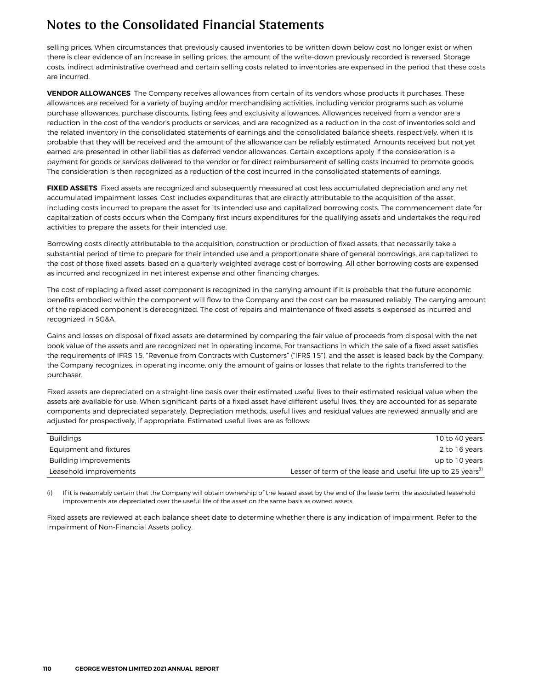selling prices. When circumstances that previously caused inventories to be written down below cost no longer exist or when there is clear evidence of an increase in selling prices, the amount of the write-down previously recorded is reversed. Storage costs, indirect administrative overhead and certain selling costs related to inventories are expensed in the period that these costs are incurred.

**VENDOR ALLOWANCES** The Company receives allowances from certain of its vendors whose products it purchases. These allowances are received for a variety of buying and/or merchandising activities, including vendor programs such as volume purchase allowances, purchase discounts, listing fees and exclusivity allowances. Allowances received from a vendor are a reduction in the cost of the vendor's products or services, and are recognized as a reduction in the cost of inventories sold and the related inventory in the consolidated statements of earnings and the consolidated balance sheets, respectively, when it is probable that they will be received and the amount of the allowance can be reliably estimated. Amounts received but not yet earned are presented in other liabilities as deferred vendor allowances. Certain exceptions apply if the consideration is a payment for goods or services delivered to the vendor or for direct reimbursement of selling costs incurred to promote goods. The consideration is then recognized as a reduction of the cost incurred in the consolidated statements of earnings.

**FIXED ASSETS** Fixed assets are recognized and subsequently measured at cost less accumulated depreciation and any net accumulated impairment losses. Cost includes expenditures that are directly attributable to the acquisition of the asset, including costs incurred to prepare the asset for its intended use and capitalized borrowing costs. The commencement date for capitalization of costs occurs when the Company first incurs expenditures for the qualifying assets and undertakes the required activities to prepare the assets for their intended use.

Borrowing costs directly attributable to the acquisition, construction or production of fixed assets, that necessarily take a substantial period of time to prepare for their intended use and a proportionate share of general borrowings, are capitalized to the cost of those fixed assets, based on a quarterly weighted average cost of borrowing. All other borrowing costs are expensed as incurred and recognized in net interest expense and other financing charges.

The cost of replacing a fixed asset component is recognized in the carrying amount if it is probable that the future economic benefits embodied within the component will flow to the Company and the cost can be measured reliably. The carrying amount of the replaced component is derecognized. The cost of repairs and maintenance of fixed assets is expensed as incurred and recognized in SG&A.

Gains and losses on disposal of fixed assets are determined by comparing the fair value of proceeds from disposal with the net book value of the assets and are recognized net in operating income. For transactions in which the sale of a fixed asset satisfies the requirements of IFRS 15, "Revenue from Contracts with Customers" ("IFRS 15"), and the asset is leased back by the Company, the Company recognizes, in operating income, only the amount of gains or losses that relate to the rights transferred to the purchaser.

Fixed assets are depreciated on a straight-line basis over their estimated useful lives to their estimated residual value when the assets are available for use. When significant parts of a fixed asset have different useful lives, they are accounted for as separate components and depreciated separately. Depreciation methods, useful lives and residual values are reviewed annually and are adjusted for prospectively, if appropriate. Estimated useful lives are as follows:

| <b>Buildings</b>       | 10 to 40 years                                                            |
|------------------------|---------------------------------------------------------------------------|
| Equipment and fixtures | 2 to 16 years                                                             |
| Building improvements  | up to 10 years                                                            |
| Leasehold improvements | Lesser of term of the lease and useful life up to 25 years <sup>(i)</sup> |
|                        |                                                                           |

(i) If it is reasonably certain that the Company will obtain ownership of the leased asset by the end of the lease term, the associated leasehold improvements are depreciated over the useful life of the asset on the same basis as owned assets.

Fixed assets are reviewed at each balance sheet date to determine whether there is any indication of impairment. Refer to the Impairment of Non-Financial Assets policy.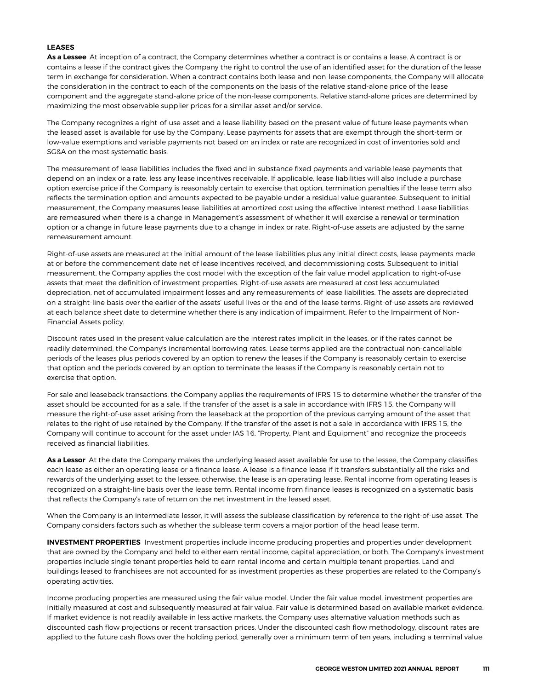### **LEASES**

**As a Lessee** At inception of a contract, the Company determines whether a contract is or contains a lease. A contract is or contains a lease if the contract gives the Company the right to control the use of an identified asset for the duration of the lease term in exchange for consideration. When a contract contains both lease and non-lease components, the Company will allocate the consideration in the contract to each of the components on the basis of the relative stand-alone price of the lease component and the aggregate stand-alone price of the non-lease components. Relative stand-alone prices are determined by maximizing the most observable supplier prices for a similar asset and/or service.

The Company recognizes a right-of-use asset and a lease liability based on the present value of future lease payments when the leased asset is available for use by the Company. Lease payments for assets that are exempt through the short-term or low-value exemptions and variable payments not based on an index or rate are recognized in cost of inventories sold and SG&A on the most systematic basis.

The measurement of lease liabilities includes the fixed and in-substance fixed payments and variable lease payments that depend on an index or a rate, less any lease incentives receivable. If applicable, lease liabilities will also include a purchase option exercise price if the Company is reasonably certain to exercise that option, termination penalties if the lease term also reflects the termination option and amounts expected to be payable under a residual value guarantee. Subsequent to initial measurement, the Company measures lease liabilities at amortized cost using the effective interest method. Lease liabilities are remeasured when there is a change in Management's assessment of whether it will exercise a renewal or termination option or a change in future lease payments due to a change in index or rate. Right-of-use assets are adjusted by the same remeasurement amount.

Right-of-use assets are measured at the initial amount of the lease liabilities plus any initial direct costs, lease payments made at or before the commencement date net of lease incentives received, and decommissioning costs. Subsequent to initial measurement, the Company applies the cost model with the exception of the fair value model application to right-of-use assets that meet the definition of investment properties. Right-of-use assets are measured at cost less accumulated depreciation, net of accumulated impairment losses and any remeasurements of lease liabilities. The assets are depreciated on a straight-line basis over the earlier of the assets' useful lives or the end of the lease terms. Right-of-use assets are reviewed at each balance sheet date to determine whether there is any indication of impairment. Refer to the Impairment of Non-Financial Assets policy.

Discount rates used in the present value calculation are the interest rates implicit in the leases, or if the rates cannot be readily determined, the Company's incremental borrowing rates. Lease terms applied are the contractual non-cancellable periods of the leases plus periods covered by an option to renew the leases if the Company is reasonably certain to exercise that option and the periods covered by an option to terminate the leases if the Company is reasonably certain not to exercise that option.

For sale and leaseback transactions, the Company applies the requirements of IFRS 15 to determine whether the transfer of the asset should be accounted for as a sale. If the transfer of the asset is a sale in accordance with IFRS 15, the Company will measure the right-of-use asset arising from the leaseback at the proportion of the previous carrying amount of the asset that relates to the right of use retained by the Company. If the transfer of the asset is not a sale in accordance with IFRS 15, the Company will continue to account for the asset under IAS 16, "Property, Plant and Equipment" and recognize the proceeds received as financial liabilities.

**As a Lessor** At the date the Company makes the underlying leased asset available for use to the lessee, the Company classifies each lease as either an operating lease or a finance lease. A lease is a finance lease if it transfers substantially all the risks and rewards of the underlying asset to the lessee; otherwise, the lease is an operating lease. Rental income from operating leases is recognized on a straight-line basis over the lease term. Rental income from finance leases is recognized on a systematic basis that reflects the Company's rate of return on the net investment in the leased asset.

When the Company is an intermediate lessor, it will assess the sublease classification by reference to the right-of-use asset. The Company considers factors such as whether the sublease term covers a major portion of the head lease term.

**INVESTMENT PROPERTIES** Investment properties include income producing properties and properties under development that are owned by the Company and held to either earn rental income, capital appreciation, or both. The Company's investment properties include single tenant properties held to earn rental income and certain multiple tenant properties. Land and buildings leased to franchisees are not accounted for as investment properties as these properties are related to the Company's operating activities.

Income producing properties are measured using the fair value model. Under the fair value model, investment properties are initially measured at cost and subsequently measured at fair value. Fair value is determined based on available market evidence. If market evidence is not readily available in less active markets, the Company uses alternative valuation methods such as discounted cash flow projections or recent transaction prices. Under the discounted cash flow methodology, discount rates are applied to the future cash flows over the holding period, generally over a minimum term of ten years, including a terminal value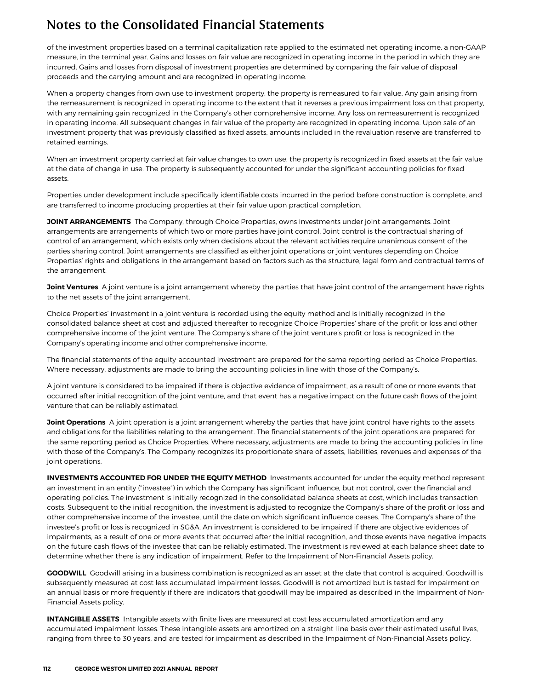of the investment properties based on a terminal capitalization rate applied to the estimated net operating income, a non-GAAP measure, in the terminal year. Gains and losses on fair value are recognized in operating income in the period in which they are incurred. Gains and losses from disposal of investment properties are determined by comparing the fair value of disposal proceeds and the carrying amount and are recognized in operating income.

When a property changes from own use to investment property, the property is remeasured to fair value. Any gain arising from the remeasurement is recognized in operating income to the extent that it reverses a previous impairment loss on that property, with any remaining gain recognized in the Company's other comprehensive income. Any loss on remeasurement is recognized in operating income. All subsequent changes in fair value of the property are recognized in operating income. Upon sale of an investment property that was previously classified as fixed assets, amounts included in the revaluation reserve are transferred to retained earnings.

When an investment property carried at fair value changes to own use, the property is recognized in fixed assets at the fair value at the date of change in use. The property is subsequently accounted for under the significant accounting policies for fixed assets.

Properties under development include specifically identifiable costs incurred in the period before construction is complete, and are transferred to income producing properties at their fair value upon practical completion.

**JOINT ARRANGEMENTS** The Company, through Choice Properties, owns investments under joint arrangements. Joint arrangements are arrangements of which two or more parties have joint control. Joint control is the contractual sharing of control of an arrangement, which exists only when decisions about the relevant activities require unanimous consent of the parties sharing control. Joint arrangements are classified as either joint operations or joint ventures depending on Choice Properties' rights and obligations in the arrangement based on factors such as the structure, legal form and contractual terms of the arrangement.

**Joint Ventures** A joint venture is a joint arrangement whereby the parties that have joint control of the arrangement have rights to the net assets of the joint arrangement.

Choice Properties' investment in a joint venture is recorded using the equity method and is initially recognized in the consolidated balance sheet at cost and adjusted thereafter to recognize Choice Properties' share of the profit or loss and other comprehensive income of the joint venture. The Company's share of the joint venture's profit or loss is recognized in the Company's operating income and other comprehensive income.

The financial statements of the equity-accounted investment are prepared for the same reporting period as Choice Properties. Where necessary, adjustments are made to bring the accounting policies in line with those of the Company's.

A joint venture is considered to be impaired if there is objective evidence of impairment, as a result of one or more events that occurred after initial recognition of the joint venture, and that event has a negative impact on the future cash flows of the joint venture that can be reliably estimated.

**Joint Operations** A joint operation is a joint arrangement whereby the parties that have joint control have rights to the assets and obligations for the liabilities relating to the arrangement. The financial statements of the joint operations are prepared for the same reporting period as Choice Properties. Where necessary, adjustments are made to bring the accounting policies in line with those of the Company's. The Company recognizes its proportionate share of assets, liabilities, revenues and expenses of the joint operations.

**INVESTMENTS ACCOUNTED FOR UNDER THE EQUITY METHOD** Investments accounted for under the equity method represent an investment in an entity ("investee") in which the Company has significant influence, but not control, over the financial and operating policies. The investment is initially recognized in the consolidated balance sheets at cost, which includes transaction costs. Subsequent to the initial recognition, the investment is adjusted to recognize the Company's share of the profit or loss and other comprehensive income of the investee, until the date on which significant influence ceases. The Company's share of the investee's profit or loss is recognized in SG&A. An investment is considered to be impaired if there are objective evidences of impairments, as a result of one or more events that occurred after the initial recognition, and those events have negative impacts on the future cash flows of the investee that can be reliably estimated. The investment is reviewed at each balance sheet date to determine whether there is any indication of impairment. Refer to the Impairment of Non-Financial Assets policy.

**GOODWILL** Goodwill arising in a business combination is recognized as an asset at the date that control is acquired. Goodwill is subsequently measured at cost less accumulated impairment losses. Goodwill is not amortized but is tested for impairment on an annual basis or more frequently if there are indicators that goodwill may be impaired as described in the Impairment of Non-Financial Assets policy.

**INTANGIBLE ASSETS** Intangible assets with finite lives are measured at cost less accumulated amortization and any accumulated impairment losses. These intangible assets are amortized on a straight-line basis over their estimated useful lives, ranging from three to 30 years, and are tested for impairment as described in the Impairment of Non-Financial Assets policy.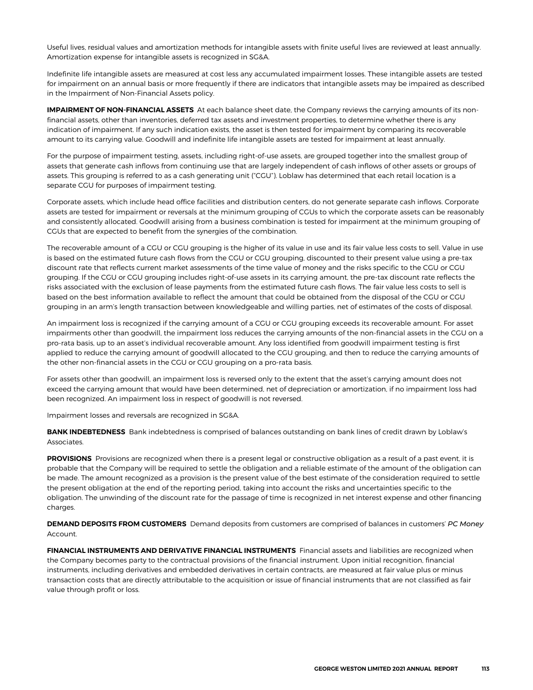Useful lives, residual values and amortization methods for intangible assets with finite useful lives are reviewed at least annually. Amortization expense for intangible assets is recognized in SG&A.

Indefinite life intangible assets are measured at cost less any accumulated impairment losses. These intangible assets are tested for impairment on an annual basis or more frequently if there are indicators that intangible assets may be impaired as described in the Impairment of Non-Financial Assets policy.

**IMPAIRMENT OF NON-FINANCIAL ASSETS** At each balance sheet date, the Company reviews the carrying amounts of its nonfinancial assets, other than inventories, deferred tax assets and investment properties, to determine whether there is any indication of impairment. If any such indication exists, the asset is then tested for impairment by comparing its recoverable amount to its carrying value. Goodwill and indefinite life intangible assets are tested for impairment at least annually.

For the purpose of impairment testing, assets, including right-of-use assets, are grouped together into the smallest group of assets that generate cash inflows from continuing use that are largely independent of cash inflows of other assets or groups of assets. This grouping is referred to as a cash generating unit ("CGU"). Loblaw has determined that each retail location is a separate CGU for purposes of impairment testing.

Corporate assets, which include head office facilities and distribution centers, do not generate separate cash inflows. Corporate assets are tested for impairment or reversals at the minimum grouping of CGUs to which the corporate assets can be reasonably and consistently allocated. Goodwill arising from a business combination is tested for impairment at the minimum grouping of CGUs that are expected to benefit from the synergies of the combination.

The recoverable amount of a CGU or CGU grouping is the higher of its value in use and its fair value less costs to sell. Value in use is based on the estimated future cash flows from the CGU or CGU grouping, discounted to their present value using a pre-tax discount rate that reflects current market assessments of the time value of money and the risks specific to the CGU or CGU grouping. If the CGU or CGU grouping includes right-of-use assets in its carrying amount, the pre-tax discount rate reflects the risks associated with the exclusion of lease payments from the estimated future cash flows. The fair value less costs to sell is based on the best information available to reflect the amount that could be obtained from the disposal of the CGU or CGU grouping in an arm's length transaction between knowledgeable and willing parties, net of estimates of the costs of disposal.

An impairment loss is recognized if the carrying amount of a CGU or CGU grouping exceeds its recoverable amount. For asset impairments other than goodwill, the impairment loss reduces the carrying amounts of the non-financial assets in the CGU on a pro-rata basis, up to an asset's individual recoverable amount. Any loss identified from goodwill impairment testing is first applied to reduce the carrying amount of goodwill allocated to the CGU grouping, and then to reduce the carrying amounts of the other non-financial assets in the CGU or CGU grouping on a pro-rata basis.

For assets other than goodwill, an impairment loss is reversed only to the extent that the asset's carrying amount does not exceed the carrying amount that would have been determined, net of depreciation or amortization, if no impairment loss had been recognized. An impairment loss in respect of goodwill is not reversed.

Impairment losses and reversals are recognized in SG&A.

**BANK INDEBTEDNESS** Bank indebtedness is comprised of balances outstanding on bank lines of credit drawn by Loblaw's Associates.

PROVISIONS Provisions are recognized when there is a present legal or constructive obligation as a result of a past event, it is probable that the Company will be required to settle the obligation and a reliable estimate of the amount of the obligation can be made. The amount recognized as a provision is the present value of the best estimate of the consideration required to settle the present obligation at the end of the reporting period, taking into account the risks and uncertainties specific to the obligation. The unwinding of the discount rate for the passage of time is recognized in net interest expense and other financing charges.

**DEMAND DEPOSITS FROM CUSTOMERS** Demand deposits from customers are comprised of balances in customers' *PC Money* Account.

**FINANCIAL INSTRUMENTS AND DERIVATIVE FINANCIAL INSTRUMENTS** Financial assets and liabilities are recognized when the Company becomes party to the contractual provisions of the financial instrument. Upon initial recognition, financial instruments, including derivatives and embedded derivatives in certain contracts, are measured at fair value plus or minus transaction costs that are directly attributable to the acquisition or issue of financial instruments that are not classified as fair value through profit or loss.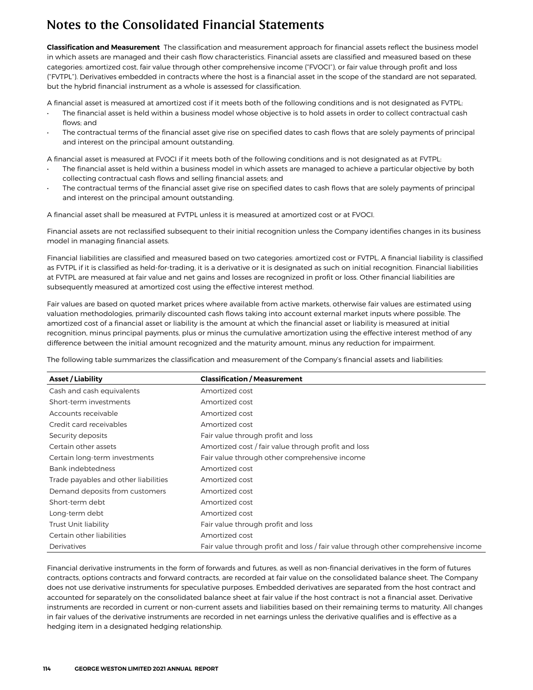**Classification and Measurement** The classification and measurement approach for financial assets reflect the business model in which assets are managed and their cash flow characteristics. Financial assets are classified and measured based on these categories: amortized cost, fair value through other comprehensive income ("FVOCI"), or fair value through profit and loss ("FVTPL"). Derivatives embedded in contracts where the host is a financial asset in the scope of the standard are not separated, but the hybrid financial instrument as a whole is assessed for classification.

A financial asset is measured at amortized cost if it meets both of the following conditions and is not designated as FVTPL:

- The financial asset is held within a business model whose objective is to hold assets in order to collect contractual cash flows; and
- The contractual terms of the financial asset give rise on specified dates to cash flows that are solely payments of principal and interest on the principal amount outstanding.

A financial asset is measured at FVOCI if it meets both of the following conditions and is not designated as at FVTPL:

- The financial asset is held within a business model in which assets are managed to achieve a particular objective by both collecting contractual cash flows and selling financial assets; and
- The contractual terms of the financial asset give rise on specified dates to cash flows that are solely payments of principal and interest on the principal amount outstanding.

A financial asset shall be measured at FVTPL unless it is measured at amortized cost or at FVOCI.

Financial assets are not reclassified subsequent to their initial recognition unless the Company identifies changes in its business model in managing financial assets.

Financial liabilities are classified and measured based on two categories: amortized cost or FVTPL. A financial liability is classified as FVTPL if it is classified as held-for-trading, it is a derivative or it is designated as such on initial recognition. Financial liabilities at FVTPL are measured at fair value and net gains and losses are recognized in profit or loss. Other financial liabilities are subsequently measured at amortized cost using the effective interest method.

Fair values are based on quoted market prices where available from active markets, otherwise fair values are estimated using valuation methodologies, primarily discounted cash flows taking into account external market inputs where possible. The amortized cost of a financial asset or liability is the amount at which the financial asset or liability is measured at initial recognition, minus principal payments, plus or minus the cumulative amortization using the effective interest method of any difference between the initial amount recognized and the maturity amount, minus any reduction for impairment.

The following table summarizes the classification and measurement of the Company's financial assets and liabilities:

| <b>Asset / Liability</b>             | <b>Classification / Measurement</b>                                                |
|--------------------------------------|------------------------------------------------------------------------------------|
| Cash and cash equivalents            | Amortized cost                                                                     |
| Short-term investments               | Amortized cost                                                                     |
| Accounts receivable                  | Amortized cost                                                                     |
| Credit card receivables              | Amortized cost                                                                     |
| Security deposits                    | Fair value through profit and loss                                                 |
| Certain other assets                 | Amortized cost / fair value through profit and loss                                |
| Certain long-term investments        | Fair value through other comprehensive income                                      |
| Bank indebtedness                    | Amortized cost                                                                     |
| Trade payables and other liabilities | Amortized cost                                                                     |
| Demand deposits from customers       | Amortized cost                                                                     |
| Short-term debt                      | Amortized cost                                                                     |
| Long-term debt                       | Amortized cost                                                                     |
| Trust Unit liability                 | Fair value through profit and loss                                                 |
| Certain other liabilities            | Amortized cost                                                                     |
| Derivatives                          | Fair value through profit and loss / fair value through other comprehensive income |

Financial derivative instruments in the form of forwards and futures, as well as non-financial derivatives in the form of futures contracts, options contracts and forward contracts, are recorded at fair value on the consolidated balance sheet. The Company does not use derivative instruments for speculative purposes. Embedded derivatives are separated from the host contract and accounted for separately on the consolidated balance sheet at fair value if the host contract is not a financial asset. Derivative instruments are recorded in current or non-current assets and liabilities based on their remaining terms to maturity. All changes in fair values of the derivative instruments are recorded in net earnings unless the derivative qualifies and is effective as a hedging item in a designated hedging relationship.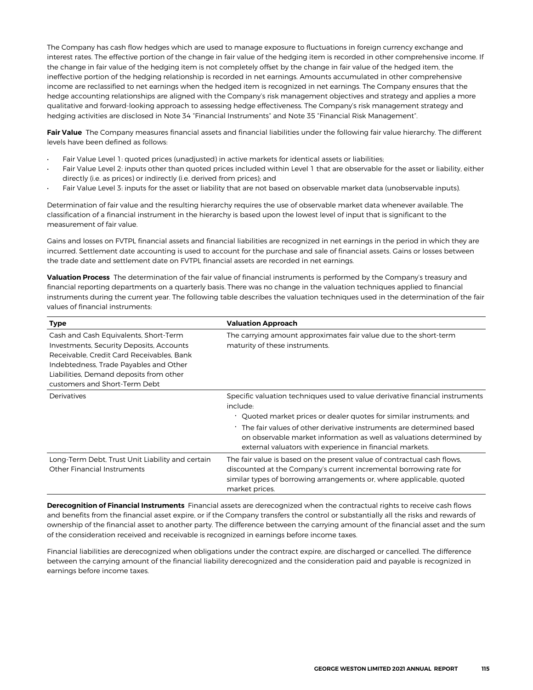The Company has cash flow hedges which are used to manage exposure to fluctuations in foreign currency exchange and interest rates. The effective portion of the change in fair value of the hedging item is recorded in other comprehensive income. If the change in fair value of the hedging item is not completely offset by the change in fair value of the hedged item, the ineffective portion of the hedging relationship is recorded in net earnings. Amounts accumulated in other comprehensive income are reclassified to net earnings when the hedged item is recognized in net earnings. The Company ensures that the hedge accounting relationships are aligned with the Company's risk management objectives and strategy and applies a more qualitative and forward-looking approach to assessing hedge effectiveness. The Company's risk management strategy and hedging activities are disclosed in Note 34 "Financial Instruments" and Note 35 "Financial Risk Management".

Fair Value The Company measures financial assets and financial liabilities under the following fair value hierarchy. The different levels have been defined as follows:

- Fair Value Level 1: quoted prices (unadjusted) in active markets for identical assets or liabilities;
- Fair Value Level 2: inputs other than quoted prices included within Level 1 that are observable for the asset or liability, either directly (i.e. as prices) or indirectly (i.e. derived from prices); and
- Fair Value Level 3: inputs for the asset or liability that are not based on observable market data (unobservable inputs).

Determination of fair value and the resulting hierarchy requires the use of observable market data whenever available. The classification of a financial instrument in the hierarchy is based upon the lowest level of input that is significant to the measurement of fair value.

Gains and losses on FVTPL financial assets and financial liabilities are recognized in net earnings in the period in which they are incurred. Settlement date accounting is used to account for the purchase and sale of financial assets. Gains or losses between the trade date and settlement date on FVTPL financial assets are recorded in net earnings.

**Valuation Process** The determination of the fair value of financial instruments is performed by the Company's treasury and financial reporting departments on a quarterly basis. There was no change in the valuation techniques applied to financial instruments during the current year. The following table describes the valuation techniques used in the determination of the fair values of financial instruments:

| <b>Type</b>                                                                                                                                                                                                                                                 | <b>Valuation Approach</b>                                                                                                                                                                                                                                                                                                                                                      |  |  |  |  |  |  |  |
|-------------------------------------------------------------------------------------------------------------------------------------------------------------------------------------------------------------------------------------------------------------|--------------------------------------------------------------------------------------------------------------------------------------------------------------------------------------------------------------------------------------------------------------------------------------------------------------------------------------------------------------------------------|--|--|--|--|--|--|--|
| Cash and Cash Equivalents, Short-Term<br><b>Investments, Security Deposits, Accounts</b><br>Receivable, Credit Card Receivables, Bank<br>Indebtedness, Trade Payables and Other<br>Liabilities, Demand deposits from other<br>customers and Short-Term Debt | The carrying amount approximates fair value due to the short-term<br>maturity of these instruments.                                                                                                                                                                                                                                                                            |  |  |  |  |  |  |  |
| Derivatives                                                                                                                                                                                                                                                 | Specific valuation techniques used to value derivative financial instruments<br>include:<br>. Quoted market prices or dealer quotes for similar instruments; and<br>. The fair values of other derivative instruments are determined based<br>on observable market information as well as valuations determined by<br>external valuators with experience in financial markets. |  |  |  |  |  |  |  |
| Long-Term Debt, Trust Unit Liability and certain<br>Other Financial Instruments                                                                                                                                                                             | The fair value is based on the present value of contractual cash flows,<br>discounted at the Company's current incremental borrowing rate for<br>similar types of borrowing arrangements or, where applicable, quoted<br>market prices.                                                                                                                                        |  |  |  |  |  |  |  |

**Derecognition of Financial Instruments** Financial assets are derecognized when the contractual rights to receive cash flows and benefits from the financial asset expire, or if the Company transfers the control or substantially all the risks and rewards of ownership of the financial asset to another party. The difference between the carrying amount of the financial asset and the sum of the consideration received and receivable is recognized in earnings before income taxes.

Financial liabilities are derecognized when obligations under the contract expire, are discharged or cancelled. The difference between the carrying amount of the financial liability derecognized and the consideration paid and payable is recognized in earnings before income taxes.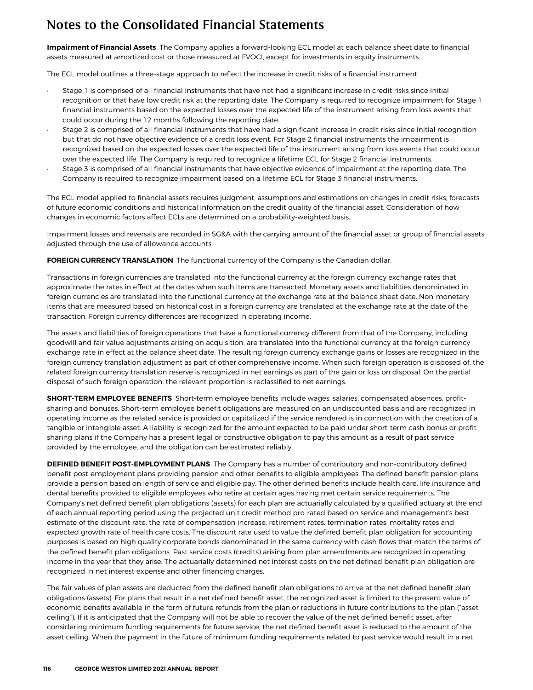**Impairment of Financial Assets** The Company applies a forward-looking ECL model at each balance sheet date to financial assets measured at amortized cost or those measured at FVOCI, except for investments in equity instruments.

The ECL model outlines a three-stage approach to reflect the increase in credit risks of a financial instrument:

- Stage 1 is comprised of all financial instruments that have not had a significant increase in credit risks since initial recognition or that have low credit risk at the reporting date. The Company is required to recognize impairment for Stage 1 financial instruments based on the expected losses over the expected life of the instrument arising from loss events that could occur during the 12 months following the reporting date.
- Stage 2 is comprised of all financial instruments that have had a significant increase in credit risks since initial recognition but that do not have objective evidence of a credit loss event. For Stage 2 financial instruments the impairment is recognized based on the expected losses over the expected life of the instrument arising from loss events that could occur over the expected life. The Company is required to recognize a lifetime ECL for Stage 2 financial instruments.
- Stage 3 is comprised of all financial instruments that have objective evidence of impairment at the reporting date. The Company is required to recognize impairment based on a lifetime ECL for Stage 3 financial instruments.

The ECL model applied to financial assets requires judgment, assumptions and estimations on changes in credit risks, forecasts of future economic conditions and historical information on the credit quality of the financial asset. Consideration of how changes in economic factors affect ECLs are determined on a probability-weighted basis.

Impairment losses and reversals are recorded in SG&A with the carrying amount of the financial asset or group of financial assets adjusted through the use of allowance accounts.

**FOREIGN CURRENCY TRANSLATION** The functional currency of the Company is the Canadian dollar.

Transactions in foreign currencies are translated into the functional currency at the foreign currency exchange rates that approximate the rates in effect at the dates when such items are transacted. Monetary assets and liabilities denominated in foreign currencies are translated into the functional currency at the exchange rate at the balance sheet date. Non-monetary items that are measured based on historical cost in a foreign currency are translated at the exchange rate at the date of the transaction. Foreign currency differences are recognized in operating income.

The assets and liabilities of foreign operations that have a functional currency different from that of the Company, including goodwill and fair value adjustments arising on acquisition, are translated into the functional currency at the foreign currency exchange rate in effect at the balance sheet date. The resulting foreign currency exchange gains or losses are recognized in the foreign currency translation adjustment as part of other comprehensive income. When such foreign operation is disposed of, the related foreign currency translation reserve is recognized in net earnings as part of the gain or loss on disposal. On the partial disposal of such foreign operation, the relevant proportion is reclassified to net earnings.

**SHORT-TERM EMPLOYEE BENEFITS** Short-term employee benefits include wages, salaries, compensated absences, profitsharing and bonuses. Short-term employee benefit obligations are measured on an undiscounted basis and are recognized in operating income as the related service is provided or capitalized if the service rendered is in connection with the creation of a tangible or intangible asset. A liability is recognized for the amount expected to be paid under short-term cash bonus or profitsharing plans if the Company has a present legal or constructive obligation to pay this amount as a result of past service provided by the employee, and the obligation can be estimated reliably.

**DEFINED BENEFIT POST-EMPLOYMENT PLANS** The Company has a number of contributory and non-contributory defined benefit post-employment plans providing pension and other benefits to eligible employees. The defined benefit pension plans provide a pension based on length of service and eligible pay. The other defined benefits include health care, life insurance and dental benefits provided to eligible employees who retire at certain ages having met certain service requirements. The Company's net defined benefit plan obligations (assets) for each plan are actuarially calculated by a qualified actuary at the end of each annual reporting period using the projected unit credit method pro-rated based on service and management's best estimate of the discount rate, the rate of compensation increase, retirement rates, termination rates, mortality rates and expected growth rate of health care costs. The discount rate used to value the defined benefit plan obligation for accounting purposes is based on high quality corporate bonds denominated in the same currency with cash flows that match the terms of the defined benefit plan obligations. Past service costs (credits) arising from plan amendments are recognized in operating income in the year that they arise. The actuarially determined net interest costs on the net defined benefit plan obligation are recognized in net interest expense and other financing charges.

The fair values of plan assets are deducted from the defined benefit plan obligations to arrive at the net defined benefit plan obligations (assets). For plans that result in a net defined benefit asset, the recognized asset is limited to the present value of economic benefits available in the form of future refunds from the plan or reductions in future contributions to the plan ("asset ceiling"). If it is anticipated that the Company will not be able to recover the value of the net defined benefit asset, after considering minimum funding requirements for future service, the net defined benefit asset is reduced to the amount of the asset ceiling. When the payment in the future of minimum funding requirements related to past service would result in a net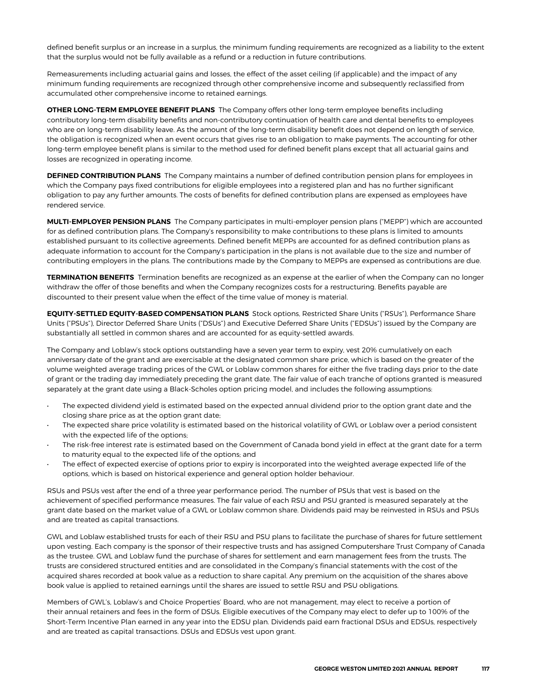defined benefit surplus or an increase in a surplus, the minimum funding requirements are recognized as a liability to the extent that the surplus would not be fully available as a refund or a reduction in future contributions.

Remeasurements including actuarial gains and losses, the effect of the asset ceiling (if applicable) and the impact of any minimum funding requirements are recognized through other comprehensive income and subsequently reclassified from accumulated other comprehensive income to retained earnings.

**OTHER LONG-TERM EMPLOYEE BENEFIT PLANS** The Company offers other long-term employee benefits including contributory long-term disability benefits and non-contributory continuation of health care and dental benefits to employees who are on long-term disability leave. As the amount of the long-term disability benefit does not depend on length of service, the obligation is recognized when an event occurs that gives rise to an obligation to make payments. The accounting for other long-term employee benefit plans is similar to the method used for defined benefit plans except that all actuarial gains and losses are recognized in operating income.

**DEFINED CONTRIBUTION PLANS** The Company maintains a number of defined contribution pension plans for employees in which the Company pays fixed contributions for eligible employees into a registered plan and has no further significant obligation to pay any further amounts. The costs of benefits for defined contribution plans are expensed as employees have rendered service.

**MULTI-EMPLOYER PENSION PLANS** The Company participates in multi-employer pension plans ("MEPP") which are accounted for as defined contribution plans. The Company's responsibility to make contributions to these plans is limited to amounts established pursuant to its collective agreements. Defined benefit MEPPs are accounted for as defined contribution plans as adequate information to account for the Company's participation in the plans is not available due to the size and number of contributing employers in the plans. The contributions made by the Company to MEPPs are expensed as contributions are due.

**TERMINATION BENEFITS** Termination benefits are recognized as an expense at the earlier of when the Company can no longer withdraw the offer of those benefits and when the Company recognizes costs for a restructuring. Benefits payable are discounted to their present value when the effect of the time value of money is material.

**EQUITY-SETTLED EQUITY-BASED COMPENSATION PLANS** Stock options, Restricted Share Units ("RSUs"), Performance Share Units ("PSUs"), Director Deferred Share Units ("DSUs") and Executive Deferred Share Units ("EDSUs") issued by the Company are substantially all settled in common shares and are accounted for as equity-settled awards.

The Company and Loblaw's stock options outstanding have a seven year term to expiry, vest 20% cumulatively on each anniversary date of the grant and are exercisable at the designated common share price, which is based on the greater of the volume weighted average trading prices of the GWL or Loblaw common shares for either the five trading days prior to the date of grant or the trading day immediately preceding the grant date. The fair value of each tranche of options granted is measured separately at the grant date using a Black-Scholes option pricing model, and includes the following assumptions:

- The expected dividend yield is estimated based on the expected annual dividend prior to the option grant date and the closing share price as at the option grant date;
- The expected share price volatility is estimated based on the historical volatility of GWL or Loblaw over a period consistent with the expected life of the options;
- The risk-free interest rate is estimated based on the Government of Canada bond yield in effect at the grant date for a term to maturity equal to the expected life of the options; and
- The effect of expected exercise of options prior to expiry is incorporated into the weighted average expected life of the options, which is based on historical experience and general option holder behaviour.

RSUs and PSUs vest after the end of a three year performance period. The number of PSUs that vest is based on the achievement of specified performance measures. The fair value of each RSU and PSU granted is measured separately at the grant date based on the market value of a GWL or Loblaw common share. Dividends paid may be reinvested in RSUs and PSUs and are treated as capital transactions.

GWL and Loblaw established trusts for each of their RSU and PSU plans to facilitate the purchase of shares for future settlement upon vesting. Each company is the sponsor of their respective trusts and has assigned Computershare Trust Company of Canada as the trustee. GWL and Loblaw fund the purchase of shares for settlement and earn management fees from the trusts. The trusts are considered structured entities and are consolidated in the Company's financial statements with the cost of the acquired shares recorded at book value as a reduction to share capital. Any premium on the acquisition of the shares above book value is applied to retained earnings until the shares are issued to settle RSU and PSU obligations.

Members of GWL's, Loblaw's and Choice Properties' Board, who are not management, may elect to receive a portion of their annual retainers and fees in the form of DSUs. Eligible executives of the Company may elect to defer up to 100% of the Short-Term Incentive Plan earned in any year into the EDSU plan. Dividends paid earn fractional DSUs and EDSUs, respectively and are treated as capital transactions. DSUs and EDSUs vest upon grant.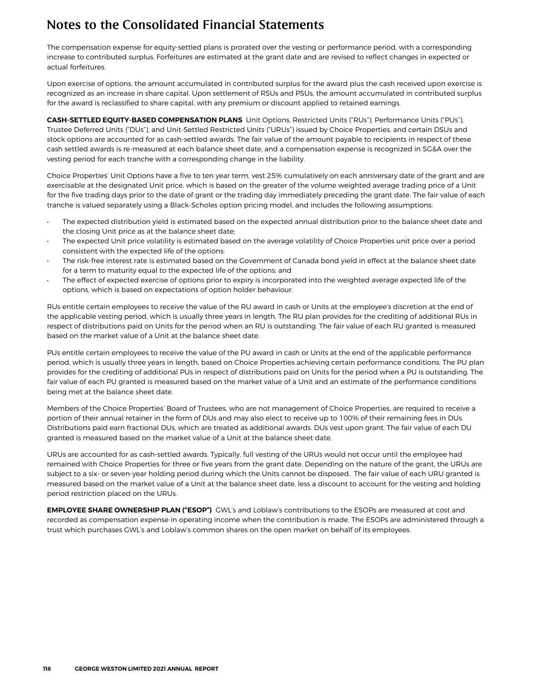The compensation expense for equity-settled plans is prorated over the vesting or performance period, with a corresponding increase to contributed surplus. Forfeitures are estimated at the grant date and are revised to reflect changes in expected or actual forfeitures.

Upon exercise of options, the amount accumulated in contributed surplus for the award plus the cash received upon exercise is recognized as an increase in share capital. Upon settlement of RSUs and PSUs, the amount accumulated in contributed surplus for the award is reclassified to share capital, with any premium or discount applied to retained earnings.

**CASH-SETTLED EQUITY-BASED COMPENSATION PLANS** Unit Options, Restricted Units ("RUs"), Performance Units ("PUs"), Trustee Deferred Units ("DUs"), and Unit-Settled Restricted Units ("URUs") issued by Choice Properties, and certain DSUs and stock options are accounted for as cash-settled awards. The fair value of the amount payable to recipients in respect of these cash settled awards is re-measured at each balance sheet date, and a compensation expense is recognized in SG&A over the vesting period for each tranche with a corresponding change in the liability.

Choice Properties' Unit Options have a five to ten year term, vest 25% cumulatively on each anniversary date of the grant and are exercisable at the designated Unit price, which is based on the greater of the volume weighted average trading price of a Unit for the five trading days prior to the date of grant or the trading day immediately preceding the grant date. The fair value of each tranche is valued separately using a Black-Scholes option pricing model, and includes the following assumptions:

- The expected distribution yield is estimated based on the expected annual distribution prior to the balance sheet date and the closing Unit price as at the balance sheet date;
- The expected Unit price volatility is estimated based on the average volatility of Choice Properties unit price over a period consistent with the expected life of the options;
- The risk-free interest rate is estimated based on the Government of Canada bond yield in effect at the balance sheet date for a term to maturity equal to the expected life of the options; and
- The effect of expected exercise of options prior to expiry is incorporated into the weighted average expected life of the options, which is based on expectations of option holder behaviour.

RUs entitle certain employees to receive the value of the RU award in cash or Units at the employee's discretion at the end of the applicable vesting period, which is usually three years in length. The RU plan provides for the crediting of additional RUs in respect of distributions paid on Units for the period when an RU is outstanding. The fair value of each RU granted is measured based on the market value of a Unit at the balance sheet date.

PUs entitle certain employees to receive the value of the PU award in cash or Units at the end of the applicable performance period, which is usually three years in length, based on Choice Properties achieving certain performance conditions. The PU plan provides for the crediting of additional PUs in respect of distributions paid on Units for the period when a PU is outstanding. The fair value of each PU granted is measured based on the market value of a Unit and an estimate of the performance conditions being met at the balance sheet date.

Members of the Choice Properties' Board of Trustees, who are not management of Choice Properties, are required to receive a portion of their annual retainer in the form of DUs and may also elect to receive up to 100% of their remaining fees in DUs. Distributions paid earn fractional DUs, which are treated as additional awards. DUs vest upon grant. The fair value of each DU granted is measured based on the market value of a Unit at the balance sheet date.

URUs are accounted for as cash-settled awards. Typically, full vesting of the URUs would not occur until the employee had remained with Choice Properties for three or five years from the grant date. Depending on the nature of the grant, the URUs are subject to a six- or seven-year holding period during which the Units cannot be disposed. The fair value of each URU granted is measured based on the market value of a Unit at the balance sheet date, less a discount to account for the vesting and holding period restriction placed on the URUs.

**EMPLOYEE SHARE OWNERSHIP PLAN ("ESOP")** GWL's and Loblaw's contributions to the ESOPs are measured at cost and recorded as compensation expense in operating income when the contribution is made. The ESOPs are administered through a trust which purchases GWL's and Loblaw's common shares on the open market on behalf of its employees.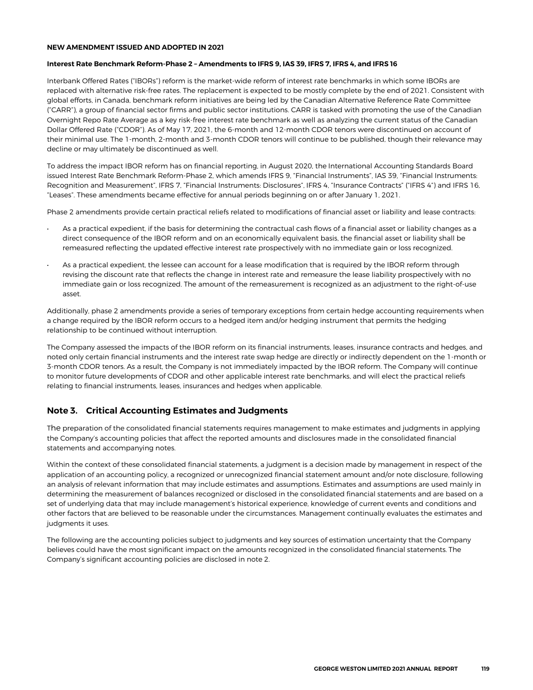#### <span id="page-22-0"></span>**NEW AMENDMENT ISSUED AND ADOPTED IN 2021**

#### **Interest Rate Benchmark Reform-Phase 2 – Amendments to IFRS 9, IAS 39, IFRS 7, IFRS 4, and IFRS 16**

Interbank Offered Rates ("IBORs") reform is the market-wide reform of interest rate benchmarks in which some IBORs are replaced with alternative risk-free rates. The replacement is expected to be mostly complete by the end of 2021. Consistent with global efforts, in Canada, benchmark reform initiatives are being led by the Canadian Alternative Reference Rate Committee ("CARR"), a group of financial sector firms and public sector institutions. CARR is tasked with promoting the use of the Canadian Overnight Repo Rate Average as a key risk-free interest rate benchmark as well as analyzing the current status of the Canadian Dollar Offered Rate ("CDOR"). As of May 17, 2021, the 6-month and 12-month CDOR tenors were discontinued on account of their minimal use. The 1-month, 2-month and 3-month CDOR tenors will continue to be published, though their relevance may decline or may ultimately be discontinued as well.

To address the impact IBOR reform has on financial reporting, in August 2020, the International Accounting Standards Board issued Interest Rate Benchmark Reform-Phase 2, which amends IFRS 9, "Financial Instruments", IAS 39, "Financial Instruments: Recognition and Measurement", IFRS 7, "Financial Instruments: Disclosures", IFRS 4, "Insurance Contracts" ("IFRS 4") and IFRS 16, "Leases". These amendments became effective for annual periods beginning on or after January 1, 2021.

Phase 2 amendments provide certain practical reliefs related to modifications of financial asset or liability and lease contracts:

- As a practical expedient, if the basis for determining the contractual cash flows of a financial asset or liability changes as a direct consequence of the IBOR reform and on an economically equivalent basis, the financial asset or liability shall be remeasured reflecting the updated effective interest rate prospectively with no immediate gain or loss recognized.
- As a practical expedient, the lessee can account for a lease modification that is required by the IBOR reform through revising the discount rate that reflects the change in interest rate and remeasure the lease liability prospectively with no immediate gain or loss recognized. The amount of the remeasurement is recognized as an adjustment to the right-of-use asset.

Additionally, phase 2 amendments provide a series of temporary exceptions from certain hedge accounting requirements when a change required by the IBOR reform occurs to a hedged item and/or hedging instrument that permits the hedging relationship to be continued without interruption.

The Company assessed the impacts of the IBOR reform on its financial instruments, leases, insurance contracts and hedges, and noted only certain financial instruments and the interest rate swap hedge are directly or indirectly dependent on the 1-month or 3-month CDOR tenors. As a result, the Company is not immediately impacted by the IBOR reform. The Company will continue to monitor future developments of CDOR and other applicable interest rate benchmarks, and will elect the practical reliefs relating to financial instruments, leases, insurances and hedges when applicable.

### **Note 3. Critical Accounting Estimates and Judgments**

The preparation of the consolidated financial statements requires management to make estimates and judgments in applying the Company's accounting policies that affect the reported amounts and disclosures made in the consolidated financial statements and accompanying notes.

Within the context of these consolidated financial statements, a judgment is a decision made by management in respect of the application of an accounting policy, a recognized or unrecognized financial statement amount and/or note disclosure, following an analysis of relevant information that may include estimates and assumptions. Estimates and assumptions are used mainly in determining the measurement of balances recognized or disclosed in the consolidated financial statements and are based on a set of underlying data that may include management's historical experience, knowledge of current events and conditions and other factors that are believed to be reasonable under the circumstances. Management continually evaluates the estimates and judgments it uses.

The following are the accounting policies subject to judgments and key sources of estimation uncertainty that the Company believes could have the most significant impact on the amounts recognized in the consolidated financial statements. The Company's significant accounting policies are disclosed in note 2.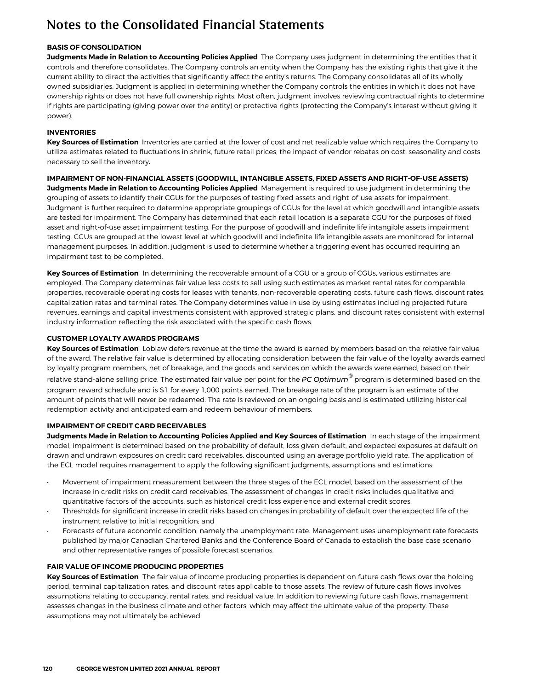### **BASIS OF CONSOLIDATION**

**Judgments Made in Relation to Accounting Policies Applied** The Company uses judgment in determining the entities that it controls and therefore consolidates. The Company controls an entity when the Company has the existing rights that give it the current ability to direct the activities that significantly affect the entity's returns. The Company consolidates all of its wholly owned subsidiaries. Judgment is applied in determining whether the Company controls the entities in which it does not have ownership rights or does not have full ownership rights. Most often, judgment involves reviewing contractual rights to determine if rights are participating (giving power over the entity) or protective rights (protecting the Company's interest without giving it power).

### **INVENTORIES**

**Key Sources of Estimation** Inventories are carried at the lower of cost and net realizable value which requires the Company to utilize estimates related to fluctuations in shrink, future retail prices, the impact of vendor rebates on cost, seasonality and costs necessary to sell the inventory**.**

**IMPAIRMENT OF NON-FINANCIAL ASSETS (GOODWILL, INTANGIBLE ASSETS, FIXED ASSETS AND RIGHT-OF-USE ASSETS) Judgments Made in Relation to Accounting Policies Applied** Management is required to use judgment in determining the grouping of assets to identify their CGUs for the purposes of testing fixed assets and right-of-use assets for impairment. Judgment is further required to determine appropriate groupings of CGUs for the level at which goodwill and intangible assets are tested for impairment. The Company has determined that each retail location is a separate CGU for the purposes of fixed asset and right-of-use asset impairment testing. For the purpose of goodwill and indefinite life intangible assets impairment testing, CGUs are grouped at the lowest level at which goodwill and indefinite life intangible assets are monitored for internal management purposes. In addition, judgment is used to determine whether a triggering event has occurred requiring an impairment test to be completed.

**Key Sources of Estimation** In determining the recoverable amount of a CGU or a group of CGUs, various estimates are employed. The Company determines fair value less costs to sell using such estimates as market rental rates for comparable properties, recoverable operating costs for leases with tenants, non-recoverable operating costs, future cash flows, discount rates, capitalization rates and terminal rates. The Company determines value in use by using estimates including projected future revenues, earnings and capital investments consistent with approved strategic plans, and discount rates consistent with external industry information reflecting the risk associated with the specific cash flows.

### **CUSTOMER LOYALTY AWARDS PROGRAMS**

**Key Sources of Estimation** Loblaw defers revenue at the time the award is earned by members based on the relative fair value of the award. The relative fair value is determined by allocating consideration between the fair value of the loyalty awards earned by loyalty program members, net of breakage, and the goods and services on which the awards were earned, based on their relative stand-alone selling price. The estimated fair value per point for the *PC Optimum®* program is determined based on the program reward schedule and is \$1 for every 1,000 points earned. The breakage rate of the program is an estimate of the amount of points that will never be redeemed. The rate is reviewed on an ongoing basis and is estimated utilizing historical redemption activity and anticipated earn and redeem behaviour of members.

### **IMPAIRMENT OF CREDIT CARD RECEIVABLES**

**Judgments Made in Relation to Accounting Policies Applied and Key Sources of Estimation** In each stage of the impairment model, impairment is determined based on the probability of default, loss given default, and expected exposures at default on drawn and undrawn exposures on credit card receivables, discounted using an average portfolio yield rate. The application of the ECL model requires management to apply the following significant judgments, assumptions and estimations:

- Movement of impairment measurement between the three stages of the ECL model, based on the assessment of the increase in credit risks on credit card receivables. The assessment of changes in credit risks includes qualitative and quantitative factors of the accounts, such as historical credit loss experience and external credit scores;
- Thresholds for significant increase in credit risks based on changes in probability of default over the expected life of the instrument relative to initial recognition; and
- Forecasts of future economic condition, namely the unemployment rate. Management uses unemployment rate forecasts published by major Canadian Chartered Banks and the Conference Board of Canada to establish the base case scenario and other representative ranges of possible forecast scenarios.

### **FAIR VALUE OF INCOME PRODUCING PROPERTIES**

**Key Sources of Estimation** The fair value of income producing properties is dependent on future cash flows over the holding period, terminal capitalization rates, and discount rates applicable to those assets. The review of future cash flows involves assumptions relating to occupancy, rental rates, and residual value. In addition to reviewing future cash flows, management assesses changes in the business climate and other factors, which may affect the ultimate value of the property. These assumptions may not ultimately be achieved.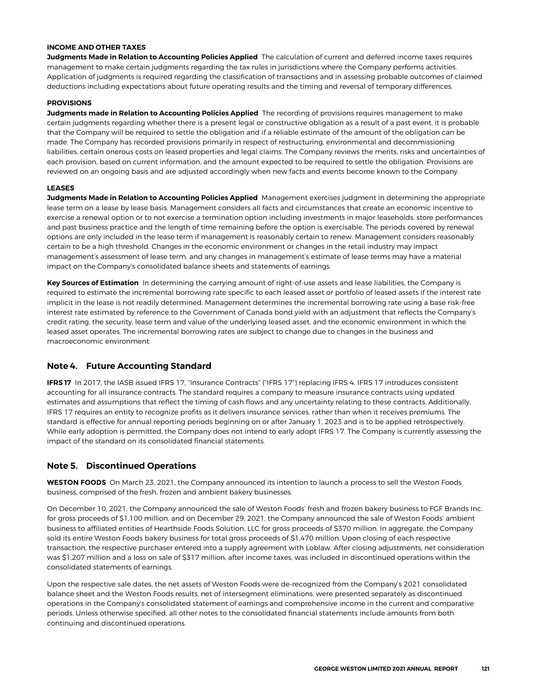#### <span id="page-24-0"></span>**INCOME AND OTHER TAXES**

**Judgments Made in Relation to Accounting Policies Applied** The calculation of current and deferred income taxes requires management to make certain judgments regarding the tax rules in jurisdictions where the Company performs activities. Application of judgments is required regarding the classification of transactions and in assessing probable outcomes of claimed deductions including expectations about future operating results and the timing and reversal of temporary differences.

#### **PROVISIONS**

**Judgments made in Relation to Accounting Policies Applied** The recording of provisions requires management to make certain judgments regarding whether there is a present legal or constructive obligation as a result of a past event, it is probable that the Company will be required to settle the obligation and if a reliable estimate of the amount of the obligation can be made. The Company has recorded provisions primarily in respect of restructuring, environmental and decommissioning liabilities, certain onerous costs on leased properties and legal claims. The Company reviews the merits, risks and uncertainties of each provision, based on current information, and the amount expected to be required to settle the obligation. Provisions are reviewed on an ongoing basis and are adjusted accordingly when new facts and events become known to the Company.

#### **LEASES**

**Judgments Made in Relation to Accounting Policies Applied** Management exercises judgment in determining the appropriate lease term on a lease by lease basis. Management considers all facts and circumstances that create an economic incentive to exercise a renewal option or to not exercise a termination option including investments in major leaseholds, store performances and past business practice and the length of time remaining before the option is exercisable. The periods covered by renewal options are only included in the lease term if management is reasonably certain to renew. Management considers reasonably certain to be a high threshold. Changes in the economic environment or changes in the retail industry may impact management's assessment of lease term, and any changes in management's estimate of lease terms may have a material impact on the Company's consolidated balance sheets and statements of earnings.

**Key Sources of Estimation** In determining the carrying amount of right-of-use assets and lease liabilities, the Company is required to estimate the incremental borrowing rate specific to each leased asset or portfolio of leased assets if the interest rate implicit in the lease is not readily determined. Management determines the incremental borrowing rate using a base risk-free interest rate estimated by reference to the Government of Canada bond yield with an adjustment that reflects the Company's credit rating, the security, lease term and value of the underlying leased asset, and the economic environment in which the leased asset operates. The incremental borrowing rates are subject to change due to changes in the business and macroeconomic environment.

### **Note 4. Future Accounting Standard**

**IFRS 17** In 2017, the IASB issued IFRS 17, "Insurance Contracts" ("IFRS 17") replacing IFRS 4. IFRS 17 introduces consistent accounting for all insurance contracts. The standard requires a company to measure insurance contracts using updated estimates and assumptions that reflect the timing of cash flows and any uncertainty relating to these contracts. Additionally, IFRS 17 requires an entity to recognize profits as it delivers insurance services, rather than when it receives premiums. The standard is effective for annual reporting periods beginning on or after January 1, 2023 and is to be applied retrospectively. While early adoption is permitted, the Company does not intend to early adopt IFRS 17. The Company is currently assessing the impact of the standard on its consolidated financial statements.

### **Note 5. Discontinued Operations**

**WESTON FOODS** On March 23, 2021, the Company announced its intention to launch a process to sell the Weston Foods business, comprised of the fresh, frozen and ambient bakery businesses.

On December 10, 2021, the Company announced the sale of Weston Foods' fresh and frozen bakery business to FGF Brands Inc. for gross proceeds of \$1,100 million, and on December 29, 2021, the Company announced the sale of Weston Foods' ambient business to affiliated entities of Hearthside Foods Solution, LLC for gross proceeds of \$370 million. In aggregate, the Company sold its entire Weston Foods bakery business for total gross proceeds of \$1,470 million. **Upon closing of each respective transaction, the respective purchaser entered into a supply agreement with Loblaw. After closing adjustments, net consideration was \$1,207 million and a loss on sale of** \$317 million, **after income taxes, was included in discontinued operations within the consolidated statements of earnings.** 

Upon the respective sale dates, the net assets of Weston Foods were de-recognized from the Company's 2021 consolidated balance sheet and the Weston Foods results, net of intersegment eliminations, were presented separately as discontinued operations in the Company's consolidated statement of earnings and comprehensive income in the current and comparative periods. **Unless otherwise specified, all other notes to the consolidated financial statements include amounts from both continuing and discontinued operations.**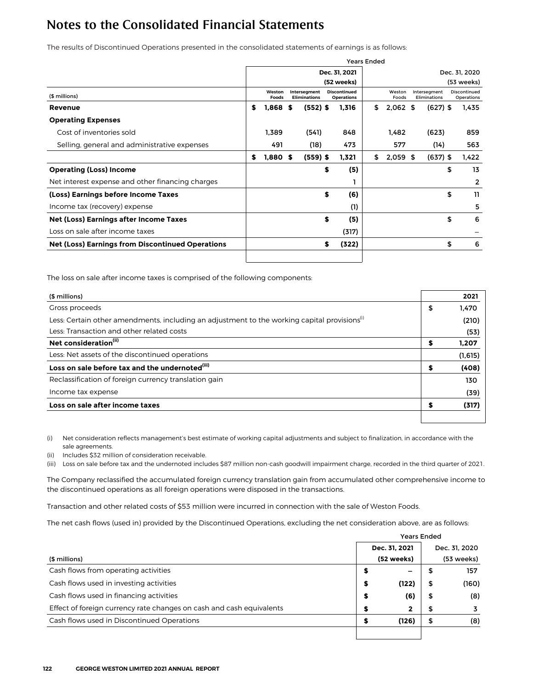**The results of Discontinued Operations presented in the consolidated statements of earnings is as follows:**

|                                                  |    |                 |                                     |                                          | <b>Years Ended</b> |                 |  |                              |    |                            |  |  |  |
|--------------------------------------------------|----|-----------------|-------------------------------------|------------------------------------------|--------------------|-----------------|--|------------------------------|----|----------------------------|--|--|--|
|                                                  |    |                 |                                     | Dec. 31, 2021                            | Dec. 31, 2020      |                 |  |                              |    |                            |  |  |  |
|                                                  |    |                 |                                     | (52 weeks)                               |                    |                 |  |                              |    | (53 weeks)                 |  |  |  |
| (\$ millions)                                    |    | Weston<br>Foods | Intersegment<br><b>Eliminations</b> | <b>Discontinued</b><br><b>Operations</b> |                    | Weston<br>Foods |  | Intersegment<br>Eliminations |    | Discontinued<br>Operations |  |  |  |
| Revenue                                          | S  | $1,868$ \$      | $(552)$ \$                          | 1,316                                    | \$                 | $2,062$ \$      |  | $(627)$ \$                   |    | 1,435                      |  |  |  |
| <b>Operating Expenses</b>                        |    |                 |                                     |                                          |                    |                 |  |                              |    |                            |  |  |  |
| Cost of inventories sold                         |    | 1.389           | (541)                               | 848                                      |                    | 1.482           |  | (623)                        |    | 859                        |  |  |  |
| Selling, general and administrative expenses     |    | 491             | (18)                                | 473                                      |                    | 577             |  | (14)                         |    | 563                        |  |  |  |
|                                                  | \$ | $1,880$ \$      | $(559)$ \$                          | 1,321                                    | \$                 | $2,059$ \$      |  | $(637)$ \$                   |    | 1,422                      |  |  |  |
| <b>Operating (Loss) Income</b>                   |    |                 |                                     | \$<br>(5)                                |                    |                 |  |                              | \$ | 13                         |  |  |  |
| Net interest expense and other financing charges |    |                 |                                     |                                          |                    |                 |  |                              |    | 2                          |  |  |  |
| (Loss) Earnings before Income Taxes              |    |                 |                                     | \$<br>(6)                                |                    |                 |  |                              | \$ | 11                         |  |  |  |
| Income tax (recovery) expense                    |    |                 |                                     | (1)                                      |                    |                 |  |                              |    | 5                          |  |  |  |
| Net (Loss) Earnings after Income Taxes           |    |                 |                                     | \$<br>(5)                                |                    |                 |  |                              | \$ | 6                          |  |  |  |
| Loss on sale after income taxes                  |    |                 |                                     | (317)                                    |                    |                 |  |                              |    |                            |  |  |  |
| Net (Loss) Earnings from Discontinued Operations |    |                 |                                     | \$<br>(322)                              |                    |                 |  |                              | \$ | 6                          |  |  |  |
|                                                  |    |                 |                                     |                                          |                    |                 |  |                              |    |                            |  |  |  |

The loss on sale after income taxes is comprised of the following components:

| (\$ millions)                                                                                            |    | 2021     |
|----------------------------------------------------------------------------------------------------------|----|----------|
| Gross proceeds                                                                                           | \$ | 1,470    |
| Less: Certain other amendments, including an adjustment to the working capital provisions <sup>(i)</sup> |    | (210)    |
| Less: Transaction and other related costs                                                                |    | (53)     |
| Net consideration <sup>(ii)</sup>                                                                        | \$ | 1,207    |
| Less: Net assets of the discontinued operations                                                          |    | (1, 615) |
| Loss on sale before tax and the undernoted <sup>(iii)</sup>                                              | \$ | (408)    |
| Reclassification of foreign currency translation gain                                                    |    | 130      |
| Income tax expense                                                                                       |    | (39)     |
| Loss on sale after income taxes                                                                          | S  | (317)    |
|                                                                                                          |    |          |

(i) Net consideration reflects management's best estimate of working capital adjustments and subject to finalization, in accordance with the sale agreements.

(ii) Includes \$32 million of consideration receivable.

(iii) Loss on sale before tax and the undernoted includes \$87 million non-cash goodwill impairment charge, recorded in the third quarter of 2021.

The Company reclassified the accumulated foreign currency translation gain from accumulated other comprehensive income to the discontinued operations as all foreign operations were disposed in the transactions.

Transaction and other related costs of \$53 million were incurred in connection with the sale of Weston Foods.

**The net cash flows (used in) provided by the Discontinued Operations, excluding the net consideration above, are as follows:**

|                                                                      |   | <b>Years Ended</b> |    |               |
|----------------------------------------------------------------------|---|--------------------|----|---------------|
|                                                                      |   | Dec. 31, 2021      |    | Dec. 31, 2020 |
| (\$ millions)                                                        |   | (52 weeks)         |    | (53 weeks)    |
| Cash flows from operating activities                                 |   | -                  |    | 157           |
| Cash flows used in investing activities                              |   | (122)              | \$ | (160)         |
| Cash flows used in financing activities                              | s | (6)                | \$ | (8)           |
| Effect of foreign currency rate changes on cash and cash equivalents |   | $\mathbf{2}$       | ъ  | 3             |
| Cash flows used in Discontinued Operations                           |   | (126)              | \$ | (8)           |
|                                                                      |   |                    |    |               |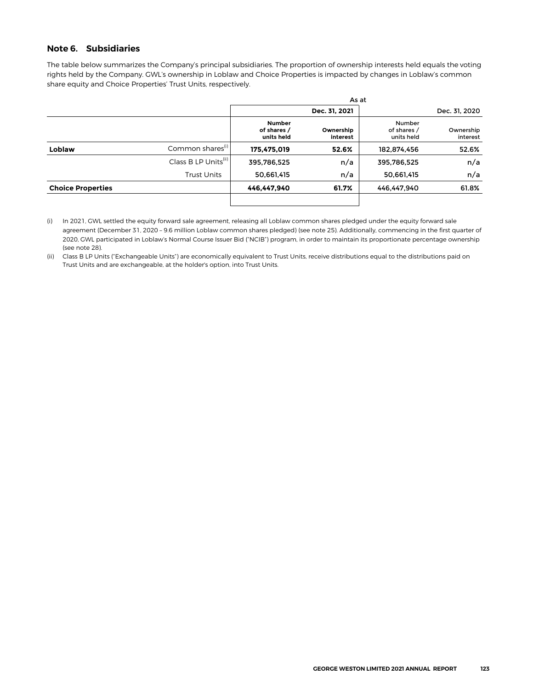### <span id="page-26-0"></span>**Note 6. Subsidiaries**

The table below summarizes the Company's principal subsidiaries. The proportion of ownership interests held equals the voting rights held by the Company. GWL's ownership in Loblaw and Choice Properties is impacted by changes in Loblaw's common share equity and Choice Properties' Trust Units, respectively.

|                          |                                  |                                            | As at                 |                                     |                       |
|--------------------------|----------------------------------|--------------------------------------------|-----------------------|-------------------------------------|-----------------------|
|                          |                                  |                                            | Dec. 31, 2021         |                                     | Dec. 31, 2020         |
|                          |                                  | <b>Number</b><br>of shares /<br>units held | Ownership<br>interest | Number<br>of shares /<br>units held | Ownership<br>interest |
| Loblaw                   | Common shares <sup>(i)</sup>     | 175,475,019                                | 52.6%                 | 182,874,456                         | 52.6%                 |
|                          | Class B LP Units <sup>(ii)</sup> | 395,786,525                                | n/a                   | 395,786,525                         | n/a                   |
|                          | <b>Trust Units</b>               | 50,661,415                                 | n/a                   | 50,661,415                          | n/a                   |
| <b>Choice Properties</b> |                                  | 446.447.940                                | 61.7%                 | 446.447.940                         | 61.8%                 |
|                          |                                  |                                            |                       |                                     |                       |

<sup>(</sup>i) In 2021, GWL settled the equity forward sale agreement, releasing all Loblaw common shares pledged under the equity forward sale agreement (December 31, 2020 – 9.6 million Loblaw common shares pledged) (see note 25). Additionally, commencing in the first quarter of 2020, GWL participated in Loblaw's Normal Course Issuer Bid ("NCIB") program, in order to maintain its proportionate percentage ownership (see note 28).

<sup>(</sup>ii) Class B LP Units ("Exchangeable Units") are economically equivalent to Trust Units, receive distributions equal to the distributions paid on Trust Units and are exchangeable, at the holder's option, into Trust Units.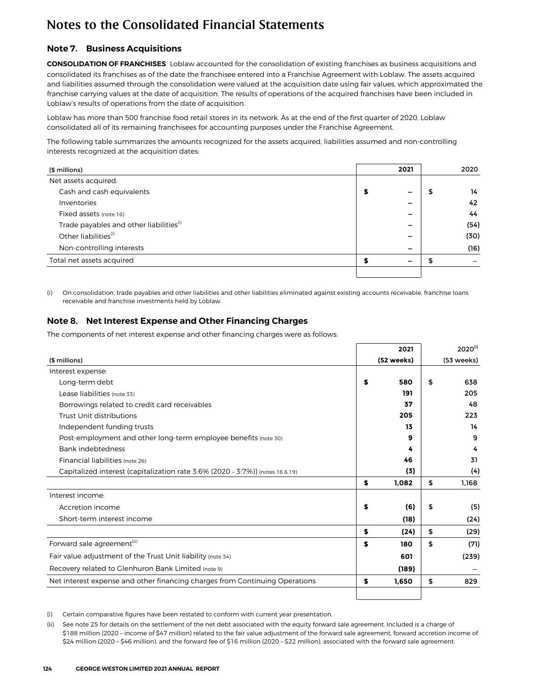## <span id="page-27-0"></span>**Note 7. Business Acquisitions**

**CONSOLIDATION OF FRANCHISES** Loblaw accounted for the consolidation of existing franchises as business acquisitions and consolidated its franchises as of the date the franchisee entered into a Franchise Agreement with Loblaw. The assets acquired and liabilities assumed through the consolidation were valued at the acquisition date using fair values, which approximated the franchise carrying values at the date of acquisition. The results of operations of the acquired franchises have been included in Loblaw's results of operations from the date of acquisition.

Loblaw has more than 500 franchise food retail stores in its network. As at the end of the first quarter of 2020, Loblaw consolidated all of its remaining franchisees for accounting purposes under the Franchise Agreement.

The following table summarizes the amounts recognized for the assets acquired, liabilities assumed and non-controlling interests recognized at the acquisition dates:

| (\$ millions)                                       |   | 2021                     | 2020 |
|-----------------------------------------------------|---|--------------------------|------|
| Net assets acquired:                                |   |                          |      |
| Cash and cash equivalents                           | ъ | -                        | 14   |
| Inventories                                         |   | $\overline{\phantom{0}}$ | 42   |
| Fixed assets (note 16)                              |   | -                        | 44   |
| Trade payables and other liabilities <sup>(i)</sup> |   | -                        | (54) |
| Other liabilities <sup>(i)</sup>                    |   | -                        | (30) |
| Non-controlling interests                           |   | -                        | (16) |
| Total net assets acquired                           |   | -                        |      |
|                                                     |   |                          |      |

(i) On consolidation, trade payables and other liabilities and other liabilities eliminated against existing accounts receivable, franchise loans receivable and franchise investments held by Loblaw.

## **Note 8. Net Interest Expense and Other Financing Charges**

The components of net interest expense and other financing charges were as follows:

|                                                                               |    | 2021       | $2020^{(i)}$ |
|-------------------------------------------------------------------------------|----|------------|--------------|
| (\$ millions)                                                                 |    | (52 weeks) | (53 weeks)   |
| Interest expense:                                                             |    |            |              |
| Long-term debt                                                                | S  | 580        | \$<br>638    |
| Lease liabilities (note 33)                                                   |    | 191        | 205          |
| Borrowings related to credit card receivables                                 |    | 37         | 48           |
| Trust Unit distributions                                                      |    | 205        | 223          |
| Independent funding trusts                                                    |    | 13         | 14           |
| Post-employment and other long-term employee benefits (note 30)               |    | 9          | 9            |
| Bank indebtedness                                                             |    | 4          | 4            |
| Financial liabilities (note 26)                                               |    | 46         | 31           |
| Capitalized interest (capitalization rate 3.6% (2020 - 3.7%)) (notes 16 & 19) |    | (3)        | (4)          |
|                                                                               | \$ | 1,082      | \$<br>1,168  |
| Interest income:                                                              |    |            |              |
| Accretion income                                                              | \$ | (6)        | \$<br>(5)    |
| Short-term interest income                                                    |    | (18)       | (24)         |
|                                                                               | S  | (24)       | \$<br>(29)   |
| Forward sale agreement <sup>(ii)</sup>                                        | S  | 180        | \$<br>(71)   |
| Fair value adjustment of the Trust Unit liability (note 34)                   |    | 601        | (239)        |
| Recovery related to Glenhuron Bank Limited (note 9)                           |    | (189)      |              |
| Net interest expense and other financing charges from Continuing Operations   | \$ | 1.650      | \$<br>829    |
|                                                                               |    |            |              |

(i) Certain comparative figures have been restated to conform with current year presentation.

(ii) See note 25 for details on the settlement of the net debt associated with the equity forward sale agreement. Included is a charge of \$188 million (2020 - income of \$47 million) related to the fair value adjustment of the forward sale agreement, forward accretion income of \$24 million (2020 – \$46 million), and the forward fee of \$16 million (2020 – \$22 million), associated with the forward sale agreement.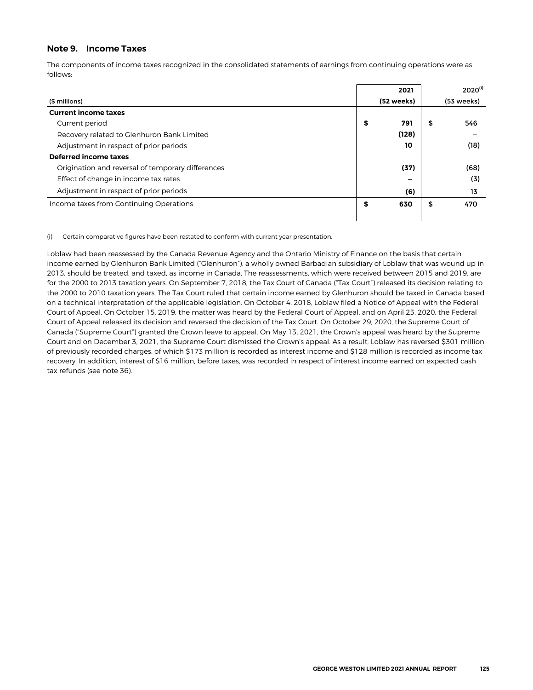### <span id="page-28-0"></span>**Note 9. Income Taxes**

The components of income taxes recognized in the consolidated statements of earnings from continuing operations were as follows:

|                                                   | 2021       | $2020^{(i)}$ |
|---------------------------------------------------|------------|--------------|
| (\$ millions)                                     | (52 weeks) | (53 weeks)   |
| <b>Current income taxes</b>                       |            |              |
| Current period                                    | \$<br>791  | \$<br>546    |
| Recovery related to Glenhuron Bank Limited        | (128)      |              |
| Adjustment in respect of prior periods            | 10         | (18)         |
| Deferred income taxes                             |            |              |
| Origination and reversal of temporary differences | (37)       | (68)         |
| Effect of change in income tax rates              | -          | (3)          |
| Adjustment in respect of prior periods            | (6)        | 13           |
| Income taxes from Continuing Operations           | \$<br>630  | \$<br>470    |
|                                                   |            |              |

(i) Certain comparative figures have been restated to conform with current year presentation.

Loblaw had been reassessed by the Canada Revenue Agency and the Ontario Ministry of Finance on the basis that certain income earned by Glenhuron Bank Limited ("Glenhuron"), a wholly owned Barbadian subsidiary of Loblaw that was wound up in 2013, should be treated, and taxed, as income in Canada. The reassessments, which were received between 2015 and 2019, are for the 2000 to 2013 taxation years. On September 7, 2018, the Tax Court of Canada ("Tax Court") released its decision relating to the 2000 to 2010 taxation years. The Tax Court ruled that certain income earned by Glenhuron should be taxed in Canada based on a technical interpretation of the applicable legislation. On October 4, 2018, Loblaw filed a Notice of Appeal with the Federal Court of Appeal. On October 15, 2019, the matter was heard by the Federal Court of Appeal, and on April 23, 2020, the Federal Court of Appeal released its decision and reversed the decision of the Tax Court. On October 29, 2020, the Supreme Court of Canada ("Supreme Court") granted the Crown leave to appeal. On May 13, 2021, the Crown's appeal was heard by the Supreme Court and on December 3, 2021, the Supreme Court dismissed the Crown's appeal. As a result, Loblaw has reversed \$301 million of previously recorded charges, of which \$173 million is recorded as interest income and \$128 million is recorded as income tax recovery. In addition, interest of \$16 million, before taxes, was recorded in respect of interest income earned on expected cash tax refunds (see note 36).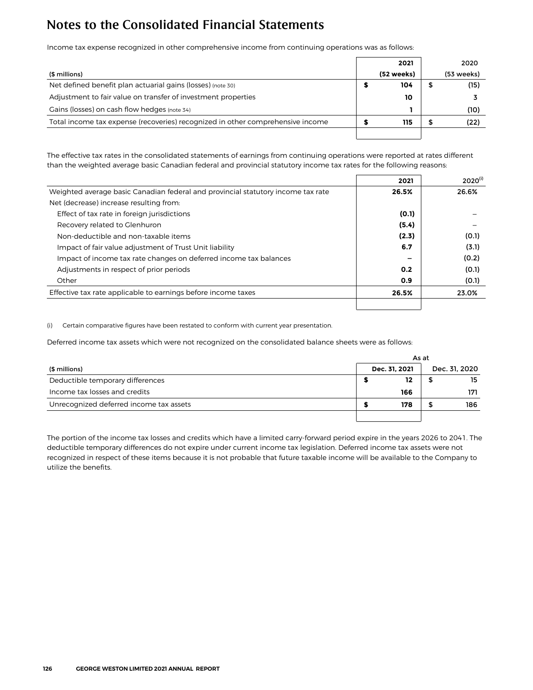Income tax expense recognized in other comprehensive income from continuing operations was as follows:

|                                                                                | 2021       | 2020       |
|--------------------------------------------------------------------------------|------------|------------|
| (\$ millions)                                                                  | (52 weeks) | (53 weeks) |
| Net defined benefit plan actuarial gains (losses) (note 30)                    | 104        | (15)       |
| Adjustment to fair value on transfer of investment properties                  | 10         |            |
| Gains (losses) on cash flow hedges (note 34)                                   |            | (10)       |
| Total income tax expense (recoveries) recognized in other comprehensive income | 115        | (22)       |
|                                                                                |            |            |

The effective tax rates in the consolidated statements of earnings from continuing operations were reported at rates different than the weighted average basic Canadian federal and provincial statutory income tax rates for the following reasons:

|                                                                                  | 2021  | $2020^{(i)}$ |
|----------------------------------------------------------------------------------|-------|--------------|
| Weighted average basic Canadian federal and provincial statutory income tax rate | 26.5% | 26.6%        |
| Net (decrease) increase resulting from:                                          |       |              |
| Effect of tax rate in foreign jurisdictions                                      | (0.1) |              |
| Recovery related to Glenhuron                                                    | (5.4) |              |
| Non-deductible and non-taxable items                                             | (2.3) | (0.1)        |
| Impact of fair value adjustment of Trust Unit liability                          | 6.7   | (3.1)        |
| Impact of income tax rate changes on deferred income tax balances                |       | (0.2)        |
| Adjustments in respect of prior periods                                          | 0.2   | (0.1)        |
| Other                                                                            | 0.9   | (0.1)        |
| Effective tax rate applicable to earnings before income taxes                    | 26.5% | 23.0%        |
|                                                                                  |       |              |

(i) Certain comparative figures have been restated to conform with current year presentation.

Deferred income tax assets which were not recognized on the consolidated balance sheets were as follows:

|                                         |               | As at |               |  |  |  |
|-----------------------------------------|---------------|-------|---------------|--|--|--|
| (\$ millions)                           | Dec. 31, 2021 |       | Dec. 31, 2020 |  |  |  |
| Deductible temporary differences        | 12            |       | 15            |  |  |  |
| Income tax losses and credits           | 166           |       | 171           |  |  |  |
| Unrecognized deferred income tax assets | 178           |       | 186           |  |  |  |
|                                         |               |       |               |  |  |  |

The portion of the income tax losses and credits which have a limited carry-forward period expire in the years 2026 to 2041. The deductible temporary differences do not expire under current income tax legislation. Deferred income tax assets were not recognized in respect of these items because it is not probable that future taxable income will be available to the Company to utilize the benefits.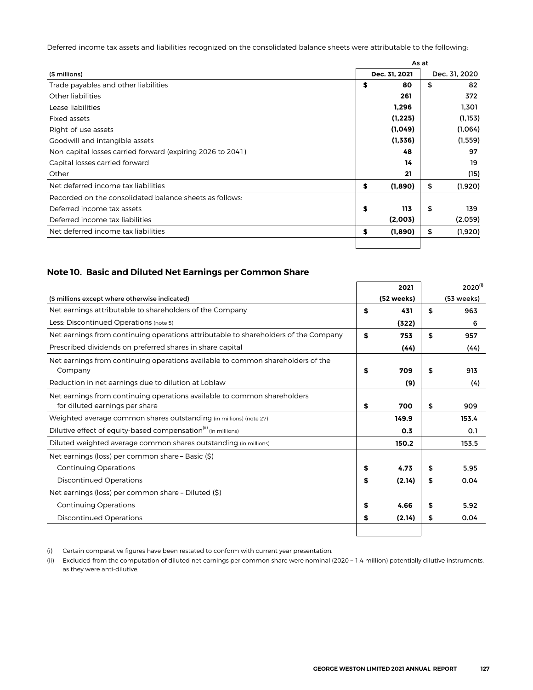<span id="page-30-0"></span>Deferred income tax assets and liabilities recognized on the consolidated balance sheets were attributable to the following:

|                                                            |    | As at         |    |               |  |  |
|------------------------------------------------------------|----|---------------|----|---------------|--|--|
| (\$ millions)                                              |    | Dec. 31, 2021 |    | Dec. 31, 2020 |  |  |
| Trade payables and other liabilities                       | S  | 80            | \$ | 82            |  |  |
| Other liabilities                                          |    | 261           |    | 372           |  |  |
| Lease liabilities                                          |    | 1,296         |    | 1,301         |  |  |
| Fixed assets                                               |    | (1, 225)      |    | (1, 153)      |  |  |
| Right-of-use assets                                        |    | (1,049)       |    | (1,064)       |  |  |
| Goodwill and intangible assets                             |    | (1,336)       |    | (1, 559)      |  |  |
| Non-capital losses carried forward (expiring 2026 to 2041) |    | 48            |    | 97            |  |  |
| Capital losses carried forward                             |    | 14            |    | 19            |  |  |
| Other                                                      |    | 21            |    | (15)          |  |  |
| Net deferred income tax liabilities                        | \$ | (1,890)       | \$ | (1,920)       |  |  |
| Recorded on the consolidated balance sheets as follows:    |    |               |    |               |  |  |
| Deferred income tax assets                                 | \$ | 113           | \$ | 139           |  |  |
| Deferred income tax liabilities                            |    | (2,003)       |    | (2,059)       |  |  |
| Net deferred income tax liabilities                        | \$ | (1,890)       | \$ | (1,920)       |  |  |
|                                                            |    |               |    |               |  |  |

### **Note 10. Basic and Diluted Net Earnings per Common Share**

|                                                                                     | 2021         | $2020^{(i)}$ |
|-------------------------------------------------------------------------------------|--------------|--------------|
| (\$ millions except where otherwise indicated)                                      | (52 weeks)   | (53 weeks)   |
| Net earnings attributable to shareholders of the Company                            | \$<br>431    | \$<br>963    |
| Less: Discontinued Operations (note 5)                                              | (322)        | 6            |
| Net earnings from continuing operations attributable to shareholders of the Company | \$<br>753    | \$<br>957    |
| Prescribed dividends on preferred shares in share capital                           | (44)         | (44)         |
| Net earnings from continuing operations available to common shareholders of the     |              |              |
| Company                                                                             | \$<br>709    | \$<br>913    |
| Reduction in net earnings due to dilution at Loblaw                                 | (9)          | (4)          |
| Net earnings from continuing operations available to common shareholders            |              |              |
| for diluted earnings per share                                                      | \$<br>700    | \$<br>909    |
| Weighted average common shares outstanding (in millions) (note 27)                  | 149.9        | 153.4        |
| Dilutive effect of equity-based compensation <sup>(ii)</sup> (in millions)          | 0.3          | 0.1          |
| Diluted weighted average common shares outstanding (in millions)                    | 150.2        | 153.5        |
| Net earnings (loss) per common share - Basic (\$)                                   |              |              |
| <b>Continuing Operations</b>                                                        | \$<br>4.73   | \$<br>5.95   |
| <b>Discontinued Operations</b>                                                      | \$<br>(2.14) | \$<br>0.04   |
| Net earnings (loss) per common share - Diluted (\$)                                 |              |              |
| <b>Continuing Operations</b>                                                        | \$<br>4.66   | \$<br>5.92   |
| <b>Discontinued Operations</b>                                                      | \$<br>(2.14) | \$<br>0.04   |
|                                                                                     |              |              |

(i) Certain comparative figures have been restated to conform with current year presentation.

(ii) Excluded from the computation of diluted net earnings per common share were nominal (2020 – 1.4 million) potentially dilutive instruments, as they were anti-dilutive.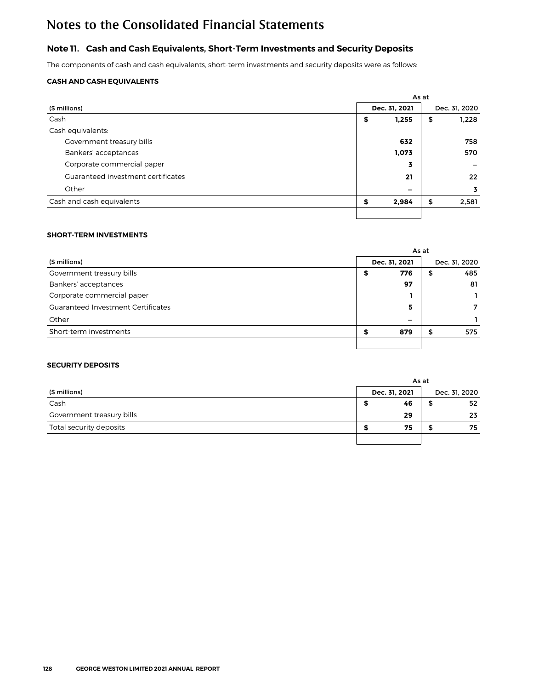## <span id="page-31-0"></span>**Note 11. Cash and Cash Equivalents, Short-Term Investments and Security Deposits**

The components of cash and cash equivalents, short-term investments and security deposits were as follows:

### **CASH AND CASH EQUIVALENTS**

|                                    | As at |                          |    |                   |  |
|------------------------------------|-------|--------------------------|----|-------------------|--|
| (\$ millions)                      |       | Dec. 31, 2021            |    | Dec. 31, 2020     |  |
| Cash                               | \$    | 1,255                    | \$ | 1,228             |  |
| Cash equivalents:                  |       |                          |    |                   |  |
| Government treasury bills          |       | 632                      |    | 758               |  |
| Bankers' acceptances               |       | 1,073                    |    | 570               |  |
| Corporate commercial paper         |       | 3                        |    |                   |  |
| Guaranteed investment certificates |       | 21                       |    | $22 \overline{ }$ |  |
| Other                              |       | $\overline{\phantom{0}}$ |    | 3                 |  |
| Cash and cash equivalents          | S     | 2,984                    | \$ | 2,581             |  |
|                                    |       |                          |    |                   |  |

### **SHORT-TERM INVESTMENTS**

|                                           |  |                          | As at         |     |  |
|-------------------------------------------|--|--------------------------|---------------|-----|--|
| (\$ millions)                             |  | Dec. 31, 2021            | Dec. 31, 2020 |     |  |
| Government treasury bills                 |  | 776                      | Ф             | 485 |  |
| Bankers' acceptances                      |  | 97                       |               | 81  |  |
| Corporate commercial paper                |  |                          |               |     |  |
| <b>Guaranteed Investment Certificates</b> |  | 5                        |               | 7   |  |
| Other                                     |  | $\overline{\phantom{0}}$ |               |     |  |
| Short-term investments                    |  | 879                      | э             | 575 |  |
|                                           |  |                          |               |     |  |

### **SECURITY DEPOSITS**

|                           |               | As at |               |
|---------------------------|---------------|-------|---------------|
| (\$ millions)             | Dec. 31, 2021 |       | Dec. 31, 2020 |
| Cash                      | 46            | ≖     | 52            |
| Government treasury bills | 29            |       | 23            |
| Total security deposits   | 75            |       | 75            |
|                           |               |       |               |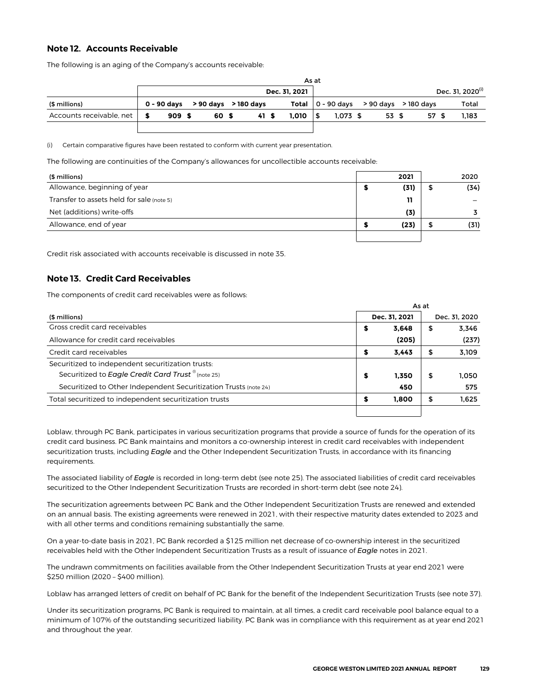### <span id="page-32-0"></span>**Note 12. Accounts Receivable**

The following is an aging of the Company's accounts receivable:

|                          | As at |                                            |  |      |  |               |  |            |  |       |                                                        |                              |
|--------------------------|-------|--------------------------------------------|--|------|--|---------------|--|------------|--|-------|--------------------------------------------------------|------------------------------|
|                          |       |                                            |  |      |  | Dec. 31. 2021 |  |            |  |       |                                                        | Dec. 31. 2020 <sup>(i)</sup> |
| (\$ millions)            |       | $0 - 90 \text{ days}$ > 90 days > 180 days |  |      |  |               |  |            |  |       | Total $\vert 0 - 90 \text{ days}$ > 90 days > 180 days | Total                        |
| Accounts receivable, net | 909S  | 60 S                                       |  | 41 S |  | 1.010         |  | $1.073$ \$ |  | 53 \$ | 57 \$                                                  | 1.183                        |
|                          |       |                                            |  |      |  |               |  |            |  |       |                                                        |                              |

(i) Certain comparative figures have been restated to conform with current year presentation.

The following are continuities of the Company's allowances for uncollectible accounts receivable:

| (\$ millions)                             | 2021 |   | 2020 |
|-------------------------------------------|------|---|------|
| Allowance, beginning of year              | (31) | ⊅ | (34) |
| Transfer to assets held for sale (note 5) | 11   |   |      |
| Net (additions) write-offs                | (3)  |   |      |
| Allowance, end of year                    | (23) |   | (31) |
|                                           |      |   |      |

Credit risk associated with accounts receivable is discussed in note 35.

### **Note 13. Credit Card Receivables**

The components of credit card receivables were as follows:

|                                                                  |   | As at         |    |               |  |  |  |  |  |
|------------------------------------------------------------------|---|---------------|----|---------------|--|--|--|--|--|
| (\$ millions)                                                    |   | Dec. 31, 2021 |    | Dec. 31, 2020 |  |  |  |  |  |
| Gross credit card receivables                                    | 5 | 3.648         | \$ | 3.346         |  |  |  |  |  |
| Allowance for credit card receivables                            |   | (205)         |    | (237)         |  |  |  |  |  |
| Credit card receivables                                          |   | 3.443         | \$ | 3,109         |  |  |  |  |  |
| Securitized to independent securitization trusts:                |   |               |    |               |  |  |  |  |  |
| Securitized to Eagle Credit Card Trust <sup>®</sup> (note 25)    | S | 1.350         | \$ | 1.050         |  |  |  |  |  |
| Securitized to Other Independent Securitization Trusts (note 24) |   | 450           |    | 575           |  |  |  |  |  |
| Total securitized to independent securitization trusts           |   | 1,800         | \$ | 1.625         |  |  |  |  |  |
|                                                                  |   |               |    |               |  |  |  |  |  |

Loblaw, through PC Bank, participates in various securitization programs that provide a source of funds for the operation of its credit card business. PC Bank maintains and monitors a co-ownership interest in credit card receivables with independent securitization trusts, including *Eagle* and the Other Independent Securitization Trusts, in accordance with its financing requirements.

The associated liability of *Eagle* is recorded in long-term debt (see note 25). The associated liabilities of credit card receivables securitized to the Other Independent Securitization Trusts are recorded in short-term debt (see note 24).

The securitization agreements between PC Bank and the Other Independent Securitization Trusts are renewed and extended on an annual basis. The existing agreements were renewed in 2021, with their respective maturity dates extended to 2023 and with all other terms and conditions remaining substantially the same.

On a year-to-date basis in 2021, PC Bank recorded a \$125 million net decrease of co-ownership interest in the securitized receivables held with the Other Independent Securitization Trusts as a result of issuance of *Eagle* notes in 2021.

The undrawn commitments on facilities available from the Other Independent Securitization Trusts at year end 2021 were \$250 million (2020 – \$400 million).

Loblaw has arranged letters of credit on behalf of PC Bank for the benefit of the Independent Securitization Trusts (see note 37).

Under its securitization programs, PC Bank is required to maintain, at all times, a credit card receivable pool balance equal to a minimum of 107% of the outstanding securitized liability. PC Bank was in compliance with this requirement as at year end 2021 and throughout the year.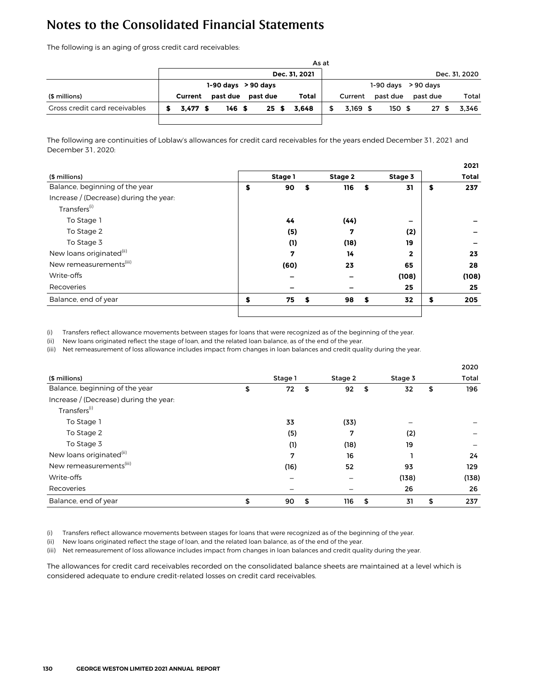The following is an aging of gross credit card receivables:

|                               |                         |          |                  |  |          |  |       | As at                   |            |  |          |  |          |               |
|-------------------------------|-------------------------|----------|------------------|--|----------|--|-------|-------------------------|------------|--|----------|--|----------|---------------|
|                               | Dec. 31, 2021           |          |                  |  |          |  |       |                         |            |  |          |  |          | Dec. 31, 2020 |
|                               | $1-90$ days $> 90$ days |          |                  |  |          |  |       | $1-90$ days $> 90$ days |            |  |          |  |          |               |
| (\$ millions)                 | Current                 | past due |                  |  | past due |  | Total |                         | Current    |  | past due |  | past due | Total         |
| Gross credit card receivables | 3.477S                  |          | 146 <sup>5</sup> |  | 25S      |  | 3.648 |                         | $3.169$ \$ |  | 150S     |  | 27S      | 3.346         |
|                               |                         |          |                  |  |          |  |       |                         |            |  |          |  |          |               |

The following are continuities of Loblaw's allowances for credit card receivables for the years ended December 31, 2021 and December 31, 2020:

|                                        |          |      |         |                         | 2021         |
|----------------------------------------|----------|------|---------|-------------------------|--------------|
| (\$ millions)                          | Stage 1  |      | Stage 2 | Stage 3                 | <b>Total</b> |
| Balance, beginning of the year         | \$<br>90 | \$   | 116     | \$<br>31                | \$<br>237    |
| Increase / (Decrease) during the year: |          |      |         |                         |              |
| Transfers <sup>(i)</sup>               |          |      |         |                         |              |
| To Stage 1                             | 44       |      | (44)    | -                       |              |
| To Stage 2                             | (5)      |      | 7       | (2)                     |              |
| To Stage 3                             | (1)      |      | (18)    | 19                      |              |
| New loans originated <sup>(ii)</sup>   | 7        |      | 14      | $\overline{\mathbf{2}}$ | 23           |
| New remeasurements <sup>(iii)</sup>    | (60)     |      | 23      | 65                      | 28           |
| Write-offs                             |          |      |         | (108)                   | (108)        |
| Recoveries                             |          |      |         | 25                      | 25           |
| Balance, end of year                   | \$<br>75 | - \$ | 98      | \$<br>32                | \$<br>205    |
|                                        |          |      |         |                         |              |

(i) Transfers reflect allowance movements between stages for loans that were recognized as of the beginning of the year.

(ii) New loans originated reflect the stage of loan, and the related loan balance, as of the end of the year.

(iii) Net remeasurement of loss allowance includes impact from changes in loan balances and credit quality during the year.

|                                        |                |           |          | 2020  |
|----------------------------------------|----------------|-----------|----------|-------|
| (\$ millions)                          | Stage 1        | Stage 2   | Stage 3  | Total |
| Balance, beginning of the year         | \$<br>72<br>\$ | \$<br>92  | 32<br>\$ | 196   |
| Increase / (Decrease) during the year: |                |           |          |       |
| Transfers <sup>(i)</sup>               |                |           |          |       |
| To Stage 1                             | 33             | (33)      |          |       |
| To Stage 2                             | (5)            | 7         | (2)      |       |
| To Stage 3                             | (1)            | (18)      | 19       |       |
| New loans originated <sup>(ii)</sup>   | 7              | 16        |          | 24    |
| New remeasurements <sup>(iii)</sup>    | (16)           | 52        | 93       | 129   |
| Write-offs                             |                | —         | (138)    | (138) |
| Recoveries                             |                |           | 26       | 26    |
| Balance, end of year                   | \$<br>90<br>\$ | 116<br>\$ | 31<br>\$ | 237   |

(i) Transfers reflect allowance movements between stages for loans that were recognized as of the beginning of the year.

(ii) New loans originated reflect the stage of loan, and the related loan balance, as of the end of the year.

(iii) Net remeasurement of loss allowance includes impact from changes in loan balances and credit quality during the year.

The allowances for credit card receivables recorded on the consolidated balance sheets are maintained at a level which is considered adequate to endure credit-related losses on credit card receivables.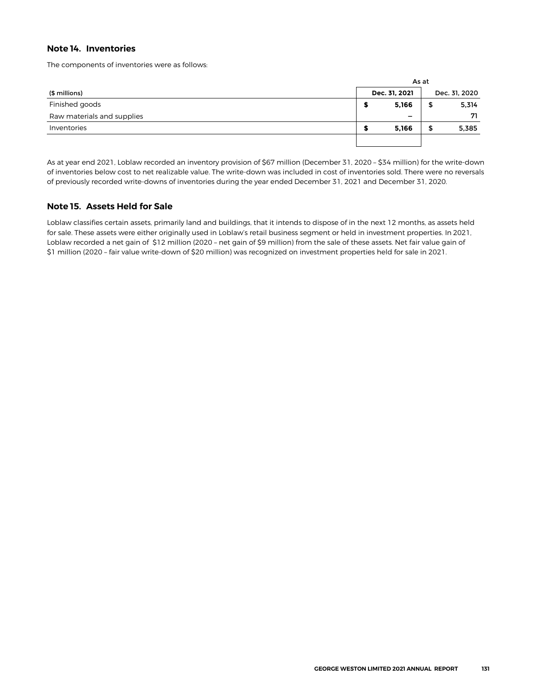### <span id="page-34-0"></span>**Note 14. Inventories**

The components of inventories were as follows:

|                            |               |                          | As at |               |
|----------------------------|---------------|--------------------------|-------|---------------|
| (\$ millions)              | Dec. 31, 2021 |                          |       | Dec. 31, 2020 |
| Finished goods             |               | 5,166                    | ъ     | 5,314         |
| Raw materials and supplies |               | $\overline{\phantom{0}}$ |       | 71            |
| Inventories                |               | 5,166                    | ⋑     | 5,385         |
|                            |               |                          |       |               |

As at year end 2021, Loblaw recorded an inventory provision of \$67 million (December 31, 2020 – \$34 million) for the write-down of inventories below cost to net realizable value. The write-down was included in cost of inventories sold. There were no reversals of previously recorded write-downs of inventories during the year ended December 31, 2021 and December 31, 2020.

### **Note 15. Assets Held for Sale**

Loblaw classifies certain assets, primarily land and buildings, that it intends to dispose of in the next 12 months, as assets held for sale. These assets were either originally used in Loblaw's retail business segment or held in investment properties. In 2021, Loblaw recorded a net gain of \$12 million (2020 – net gain of \$9 million) from the sale of these assets. Net fair value gain of \$1 million (2020 – fair value write-down of \$20 million) was recognized on investment properties held for sale in 2021.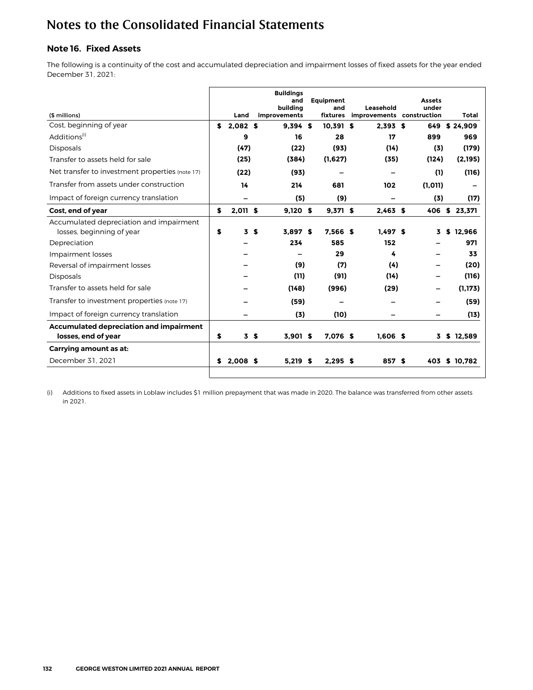## <span id="page-35-0"></span>**Note 16. Fixed Assets**

The following is a continuity of the cost and accumulated depreciation and impairment losses of fixed assets for the year ended December 31, 2021:

| (\$ millions)                                                        |    | Land     |                | <b>Buildinas</b><br>and<br>buildina<br>improvements | Equipment<br>and<br>fixtures | Leasehold<br>improvements construction | Assets<br>under | Total         |
|----------------------------------------------------------------------|----|----------|----------------|-----------------------------------------------------|------------------------------|----------------------------------------|-----------------|---------------|
| Cost, beginning of year                                              | \$ | 2.082S   |                | 9.394 S                                             | $10.391$ \$                  | 2.393S                                 | 649             | \$24.909      |
| Additions <sup>(1)</sup>                                             |    | 9        |                | 16                                                  | 28                           | 17                                     | 899             | 969           |
| <b>Disposals</b>                                                     |    | (47)     |                | (22)                                                | (93)                         | (14)                                   | (3)             | (179)         |
| Transfer to assets held for sale                                     |    | (25)     |                | (384)                                               | (1,627)                      | (35)                                   | (124)           | (2,195)       |
| Net transfer to investment properties (note 17)                      |    | (22)     |                | (93)                                                |                              |                                        | (1)             | (116)         |
| Transfer from assets under construction                              |    | 14       |                | 214                                                 | 681                          | 102                                    | (1, 011)        |               |
| Impact of foreign currency translation                               |    |          |                | (5)                                                 | (9)                          |                                        | (3)             | (17)          |
| Cost, end of year                                                    | \$ | 2,011 \$ |                | $9,120$ \$                                          | $9,371$ \$                   | $2,463$ \$                             | 406             | \$23,371      |
| Accumulated depreciation and impairment<br>losses, beginning of year | \$ | 3        | S.             | 3.897S                                              | 7.566 \$                     | 1.497S                                 | 3.              | \$12.966      |
| Depreciation                                                         |    |          |                | 234                                                 | 585                          | 152                                    |                 | 971           |
| Impairment losses                                                    |    |          |                |                                                     | 29                           | 4                                      |                 | 33            |
| Reversal of impairment losses                                        |    |          |                | (9)                                                 | (7)                          | (4)                                    |                 | (20)          |
| <b>Disposals</b>                                                     |    |          |                | (11)                                                | (91)                         | (14)                                   |                 | (116)         |
| Transfer to assets held for sale                                     |    |          |                | (148)                                               | (996)                        | (29)                                   |                 | (1.173)       |
| Transfer to investment properties (note 17)                          |    |          |                | (59)                                                |                              |                                        |                 | (59)          |
| Impact of foreign currency translation                               |    |          |                | (3)                                                 | (10)                         |                                        |                 | (13)          |
| <b>Accumulated depreciation and impairment</b>                       |    |          |                |                                                     |                              |                                        |                 |               |
| losses, end of year                                                  | \$ |          | 3 <sub>5</sub> | 3.901 \$                                            | 7.076 \$                     | $1.606$ \$                             |                 | 3 \$ 12.589   |
| Carrying amount as at:                                               |    |          |                |                                                     |                              |                                        |                 |               |
| December 31, 2021                                                    | S  | 2.008S   |                | $5.219$ \$                                          | $2.295$ \$                   | 857 \$                                 |                 | 403 \$ 10.782 |
|                                                                      |    |          |                |                                                     |                              |                                        |                 |               |

(i) Additions to fixed assets in Loblaw includes \$1 million prepayment that was made in 2020. The balance was transferred from other assets in 2021.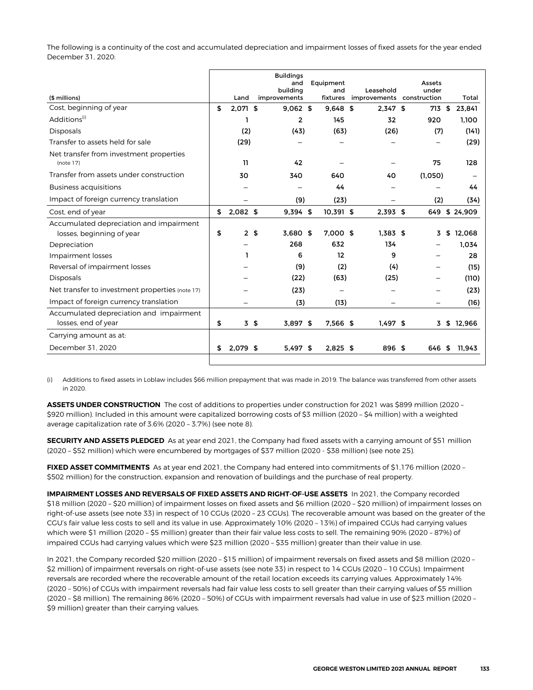The following is a continuity of the cost and accumulated depreciation and impairment losses of fixed assets for the year ended December 31, 2020:

| (\$ millions)                                        | Land                 | <b>Buildings</b><br>and<br>building<br>improvements | Equipment<br>and<br>fixtures | Leasehold  | Assets<br>under<br>improvements construction | Total         |
|------------------------------------------------------|----------------------|-----------------------------------------------------|------------------------------|------------|----------------------------------------------|---------------|
| Cost, beginning of year                              | \$<br>2,071 \$       | $9.062$ \$                                          | $9.648$ \$                   | $2,347$ \$ | 713 \$                                       | 23,841        |
| Additions <sup>(1)</sup>                             | ı                    | $\overline{2}$                                      | 145                          | 32         | 920                                          | 1.100         |
| <b>Disposals</b>                                     | (2)                  | (43)                                                | (63)                         | (26)       | (7)                                          | (141)         |
| Transfer to assets held for sale                     | (29)                 |                                                     |                              |            |                                              | (29)          |
| Net transfer from investment properties<br>(note 17) | 11                   | 42                                                  |                              |            | 75                                           | 128           |
| Transfer from assets under construction              | 30                   | 340                                                 | 640                          | 40         | (1,050)                                      |               |
| <b>Business acquisitions</b>                         |                      |                                                     | 44                           |            |                                              | 44            |
| Impact of foreign currency translation               |                      | (9)                                                 | (23)                         |            | (2)                                          | (34)          |
| Cost, end of year                                    | \$<br>$2,082$ \$     | $9,394$ \$                                          | 10,391 \$                    | $2,393$ \$ |                                              | 649 \$ 24,909 |
| Accumulated depreciation and impairment              |                      |                                                     |                              |            |                                              |               |
| losses, beginning of year                            | \$<br>2 <sub>5</sub> | 3.680 \$                                            | 7,000 \$                     | $1.383$ \$ | 3                                            | \$12.068      |
| Depreciation                                         |                      | 268                                                 | 632                          | 134        |                                              | 1.034         |
| Impairment losses                                    | ı                    | 6                                                   | 12                           | 9          |                                              | 28            |
| Reversal of impairment losses                        |                      | (9)                                                 | (2)                          | (4)        |                                              | (15)          |
| <b>Disposals</b>                                     |                      | (22)                                                | (63)                         | (25)       |                                              | (110)         |
| Net transfer to investment properties (note 17)      |                      | (23)                                                | $\qquad \qquad \  \  \, -$   |            | —                                            | (23)          |
| Impact of foreign currency translation               |                      | (3)                                                 | (13)                         |            | —                                            | (16)          |
| Accumulated depreciation and impairment              |                      |                                                     |                              |            |                                              |               |
| losses, end of year                                  | \$<br>3\$            | $3.897$ \$                                          | 7.566 \$                     | $1.497$ \$ |                                              | 3 \$ 12,966   |
| Carrying amount as at:                               |                      |                                                     |                              |            |                                              |               |
| December 31, 2020                                    | \$<br>$2.079$ \$     | $5.497$ \$                                          | $2,825$ \$                   | 896 \$     |                                              | 646 \$ 11,943 |
|                                                      |                      |                                                     |                              |            |                                              |               |

(i) Additions to fixed assets in Loblaw includes \$66 million prepayment that was made in 2019. The balance was transferred from other assets in 2020.

**ASSETS UNDER CONSTRUCTION** The cost of additions to properties under construction for 2021 was \$899 million (2020 – \$920 million). Included in this amount were capitalized borrowing costs of \$3 million (2020 – \$4 million) with a weighted average capitalization rate of 3.6% (2020 – 3.7%) (see note 8).

**SECURITY AND ASSETS PLEDGED** As at year end 2021, the Company had fixed assets with a carrying amount of \$51 million (2020 – \$52 million) which were encumbered by mortgages of \$37 million (2020 - \$38 million) (see note 25).

**FIXED ASSET COMMITMENTS** As at year end 2021, the Company had entered into commitments of \$1,176 million (2020 – \$502 million) for the construction, expansion and renovation of buildings and the purchase of real property.

**IMPAIRMENT LOSSES AND REVERSALS OF FIXED ASSETS AND RIGHT-OF-USE ASSETS** In 2021, the Company recorded \$18 million (2020 – \$20 million) of impairment losses on fixed assets and \$6 million (2020 – \$20 million) of impairment losses on right-of-use assets (see note 33) in respect of 10 CGUs (2020 – 23 CGUs). The recoverable amount was based on the greater of the CGU's fair value less costs to sell and its value in use. Approximately 10% (2020 – 13%) of impaired CGUs had carrying values which were \$1 million (2020 – \$5 million) greater than their fair value less costs to sell. The remaining 90% (2020 – 87%) of impaired CGUs had carrying values which were \$23 million (2020 – \$35 million) greater than their value in use.

In 2021, the Company recorded \$20 million (2020 – \$15 million) of impairment reversals on fixed assets and \$8 million (2020 – \$2 million) of impairment reversals on right-of-use assets (see note 33) in respect to 14 CGUs (2020 – 10 CGUs). Impairment reversals are recorded where the recoverable amount of the retail location exceeds its carrying values. Approximately 14% (2020 – 50%) of CGUs with impairment reversals had fair value less costs to sell greater than their carrying values of \$5 million (2020 – \$8 million). The remaining 86% (2020 – 50%) of CGUs with impairment reversals had value in use of \$23 million (2020 – \$9 million) greater than their carrying values.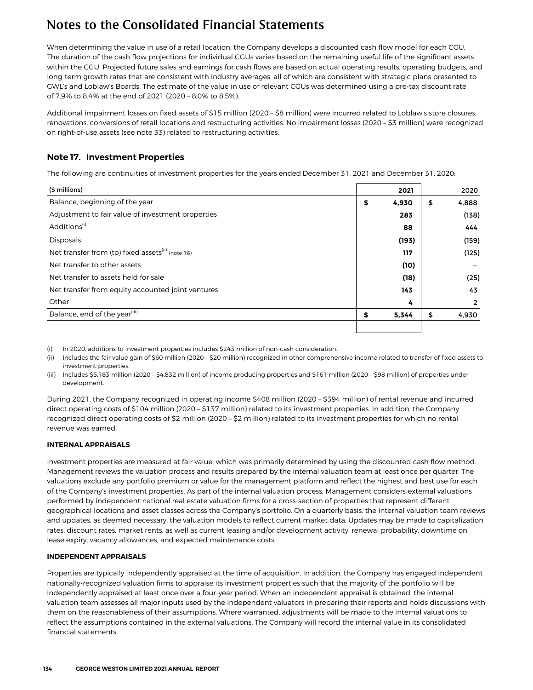When determining the value in use of a retail location, the Company develops a discounted cash flow model for each CGU. The duration of the cash flow projections for individual CGUs varies based on the remaining useful life of the significant assets within the CGU. Projected future sales and earnings for cash flows are based on actual operating results, operating budgets, and long-term growth rates that are consistent with industry averages, all of which are consistent with strategic plans presented to GWL's and Loblaw's Boards. The estimate of the value in use of relevant CGUs was determined using a pre-tax discount rate of 7.9% to 8.4% at the end of 2021 (2020 – 8.0% to 8.5%).

Additional impairment losses on fixed assets of \$15 million (2020 – \$8 million) were incurred related to Loblaw's store closures, renovations, conversions of retail locations and restructuring activities. No impairment losses (2020 – \$3 million) were recognized on right-of-use assets (see note 33) related to restructuring activities.

### **Note 17. Investment Properties**

The following are continuities of investment properties for the years ended December 31, 2021 and December 31, 2020:

| (\$ millions)                                                 | 2021        | 2020        |
|---------------------------------------------------------------|-------------|-------------|
| Balance, beginning of the year                                | \$<br>4,930 | \$<br>4,888 |
| Adjustment to fair value of investment properties             | 283         | (138)       |
| Additions <sup>(i)</sup>                                      | 88          | 444         |
| <b>Disposals</b>                                              | (193)       | (159)       |
| Net transfer from (to) fixed assets <sup>(ii)</sup> (note 16) | 117         | (125)       |
| Net transfer to other assets                                  | (10)        |             |
| Net transfer to assets held for sale                          | (18)        | (25)        |
| Net transfer from equity accounted joint ventures             | 143         | 43          |
| Other                                                         | 4           | 2           |
| Balance, end of the year <sup>(iii)</sup>                     | \$<br>5,344 | \$<br>4,930 |
|                                                               |             |             |

(i) In 2020, additions to investment properties includes \$243 million of non-cash consideration.

(ii) Includes the fair value gain of \$60 million (2020 – \$20 million) recognized in other comprehensive income related to transfer of fixed assets to investment properties.

(iii) Includes \$5,183 million (2020 – \$4,832 million) of income producing properties and \$161 million (2020 – \$98 million) of properties under development.

During 2021, the Company recognized in operating income \$408 million (2020 – \$394 million) of rental revenue and incurred direct operating costs of \$104 million (2020 – \$137 million) related to its investment properties. In addition, the Company recognized direct operating costs of \$2 million (2020 – \$2 million) related to its investment properties for which no rental revenue was earned.

#### **INTERNAL APPRAISALS**

Investment properties are measured at fair value, which was primarily determined by using the discounted cash flow method. Management reviews the valuation process and results prepared by the internal valuation team at least once per quarter. The valuations exclude any portfolio premium or value for the management platform and reflect the highest and best use for each of the Company's investment properties. As part of the internal valuation process, Management considers external valuations performed by independent national real estate valuation firms for a cross-section of properties that represent different geographical locations and asset classes across the Company's portfolio. On a quarterly basis, the internal valuation team reviews and updates, as deemed necessary, the valuation models to reflect current market data. Updates may be made to capitalization rates, discount rates, market rents, as well as current leasing and/or development activity, renewal probability, downtime on lease expiry, vacancy allowances, and expected maintenance costs.

#### **INDEPENDENT APPRAISALS**

Properties are typically independently appraised at the time of acquisition. In addition, the Company has engaged independent nationally-recognized valuation firms to appraise its investment properties such that the majority of the portfolio will be independently appraised at least once over a four-year period. When an independent appraisal is obtained, the internal valuation team assesses all major inputs used by the independent valuators in preparing their reports and holds discussions with them on the reasonableness of their assumptions. Where warranted, adjustments will be made to the internal valuations to reflect the assumptions contained in the external valuations. The Company will record the internal value in its consolidated financial statements.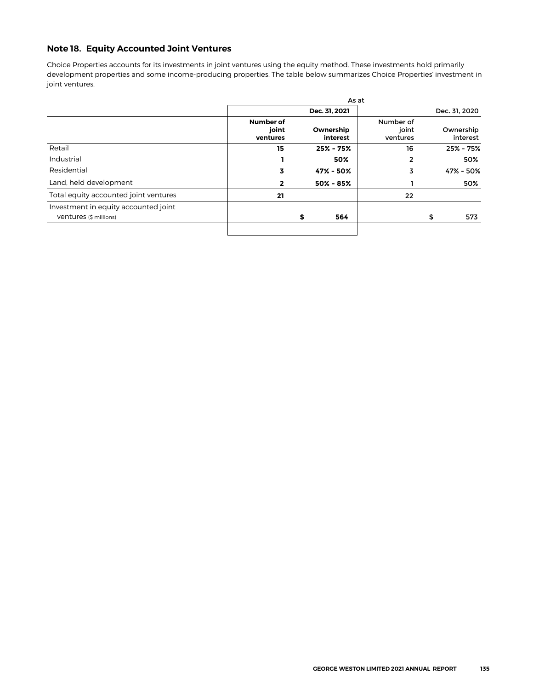### **Note 18. Equity Accounted Joint Ventures**

Choice Properties accounts for its investments in joint ventures using the equity method. These investments hold primarily development properties and some income-producing properties. The table below summarizes Choice Properties' investment in joint ventures.

|                                                                |                                |   | As at                 |                                |                       |
|----------------------------------------------------------------|--------------------------------|---|-----------------------|--------------------------------|-----------------------|
|                                                                |                                |   | Dec. 31, 2021         |                                | Dec. 31, 2020         |
|                                                                | Number of<br>joint<br>ventures |   | Ownership<br>interest | Number of<br>joint<br>ventures | Ownership<br>interest |
| Retail                                                         | 15                             |   | $25% - 75%$           | 16                             | 25% - 75%             |
| Industrial                                                     |                                |   | 50%                   | $\mathbf{2}$                   | 50%                   |
| Residential                                                    | 3                              |   | 47% - 50%             | 3                              | 47% - 50%             |
| Land, held development                                         | $\mathbf{2}$                   |   | $50\% - 85\%$         |                                | 50%                   |
| Total equity accounted joint ventures                          | 21                             |   |                       | 22                             |                       |
| Investment in equity accounted joint<br>Ventures (\$ millions) |                                | S | 564                   |                                | \$<br>573             |
|                                                                |                                |   |                       |                                |                       |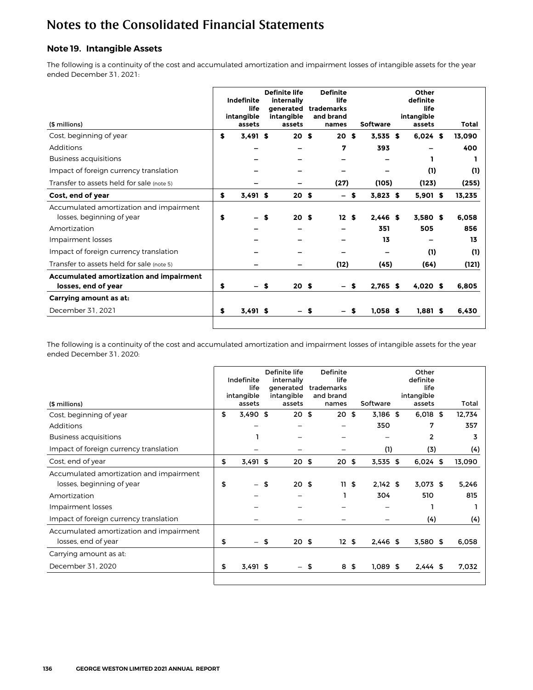### **Note 19. Intangible Assets**

The following is a continuity of the cost and accumulated amortization and impairment losses of intangible assets for the year ended December 31, 2021:

| (\$ millions)                                                        | Indefinite<br>life<br>intangible<br>assets | <b>Definite life</b><br>internally<br>aenerated<br>intangible<br>assets |   | <b>Definite</b><br>life<br>trademarks<br>and brand<br>names |    | <b>Software</b> | Other<br>definite<br>life<br>intangible<br>assets | Total  |
|----------------------------------------------------------------------|--------------------------------------------|-------------------------------------------------------------------------|---|-------------------------------------------------------------|----|-----------------|---------------------------------------------------|--------|
| Cost, beginning of year                                              | \$<br>$3,491$ \$                           | 20 <sub>s</sub>                                                         |   | 20S                                                         |    | 3.535S          | $6.024$ \$                                        | 13.090 |
| Additions                                                            |                                            |                                                                         |   | 7                                                           |    | 393             |                                                   | 400    |
| <b>Business acquisitions</b>                                         |                                            |                                                                         |   |                                                             |    |                 |                                                   |        |
| Impact of foreign currency translation                               |                                            |                                                                         |   |                                                             |    |                 | (1)                                               | (1)    |
| Transfer to assets held for sale (note 5)                            |                                            |                                                                         |   | (27)                                                        |    | (105)           | (123)                                             | (255)  |
| Cost, end of year                                                    | \$<br>$3,491$ \$                           | 20 <sub>s</sub>                                                         |   |                                                             | \$ | $3,823$ \$      | $5,901$ \$                                        | 13,235 |
| Accumulated amortization and impairment<br>losses, beginning of year | \$                                         | \$<br>20 <sub>s</sub>                                                   |   | 12S                                                         |    | $2.446$ \$      | 3.580S                                            | 6.058  |
| Amortization                                                         |                                            |                                                                         |   |                                                             |    | 351             | 505                                               | 856    |
| Impairment losses                                                    |                                            |                                                                         |   |                                                             |    | 13              |                                                   | 13     |
| Impact of foreign currency translation                               |                                            |                                                                         |   |                                                             |    |                 | (1)                                               | (1)    |
| Transfer to assets held for sale (note 5)                            |                                            |                                                                         |   | (12)                                                        |    | (45)            | (64)                                              | (121)  |
| Accumulated amortization and impairment<br>losses, end of year       | \$                                         | \$<br>20 <sub>s</sub>                                                   |   |                                                             | s  | $2,765$ \$      | 4.020S                                            | 6,805  |
| Carrying amount as at:                                               |                                            |                                                                         |   |                                                             |    |                 |                                                   |        |
| December 31, 2021                                                    | \$<br>$3,491$ \$                           |                                                                         | s |                                                             | \$ | $1.058$ \$      | $1.881$ \$                                        | 6,430  |
|                                                                      |                                            |                                                                         |   |                                                             |    |                 |                                                   |        |

The following is a continuity of the cost and accumulated amortization and impairment losses of intangible assets for the year ended December 31, 2020:

| (\$ millions)                                                        | Indefinite<br>life<br>intangible<br>assets |    | Definite life<br>internally<br>generated<br>intangible<br>assets | Definite<br>life<br>trademarks<br>and brand<br>names | Software         | Other<br>definite<br>life<br>intangible<br>assets | Total  |
|----------------------------------------------------------------------|--------------------------------------------|----|------------------------------------------------------------------|------------------------------------------------------|------------------|---------------------------------------------------|--------|
| Cost, beginning of year                                              | \$<br>$3,490$ \$                           |    | 20 <sub>5</sub>                                                  | 20                                                   | \$<br>$3,186$ \$ | $6,018$ \$                                        | 12,734 |
| Additions                                                            |                                            |    |                                                                  |                                                      | 350              | 7                                                 | 357    |
| <b>Business acquisitions</b>                                         |                                            |    |                                                                  |                                                      |                  | 2                                                 | 3      |
| Impact of foreign currency translation                               |                                            |    |                                                                  |                                                      | (1)              | (3)                                               | (4)    |
| Cost, end of year                                                    | \$<br>3,491 \$                             |    | 20 <sup>5</sup>                                                  | 20                                                   | \$<br>$3,535$ \$ | $6,024$ \$                                        | 13,090 |
| Accumulated amortization and impairment<br>losses, beginning of year | \$                                         | \$ | 20 <sub>5</sub>                                                  | 11S                                                  | $2.142$ \$       | $3,073$ \$                                        | 5,246  |
| Amortization                                                         |                                            |    |                                                                  |                                                      | 304              | 510                                               | 815    |
| Impairment losses                                                    |                                            |    |                                                                  |                                                      |                  |                                                   |        |
| Impact of foreign currency translation                               |                                            |    |                                                                  |                                                      |                  | (4)                                               | (4)    |
| Accumulated amortization and impairment<br>losses, end of year       | \$                                         | 5  | 20 <sub>5</sub>                                                  | 12S                                                  | $2,446$ \$       | 3,580 \$                                          | 6,058  |
| Carrying amount as at:                                               |                                            |    |                                                                  |                                                      |                  |                                                   |        |
| December 31, 2020                                                    | \$<br>$3,491$ \$                           |    | $\overline{\phantom{0}}$                                         | \$<br>8                                              | \$<br>$1,089$ \$ | $2,444$ \$                                        | 7,032  |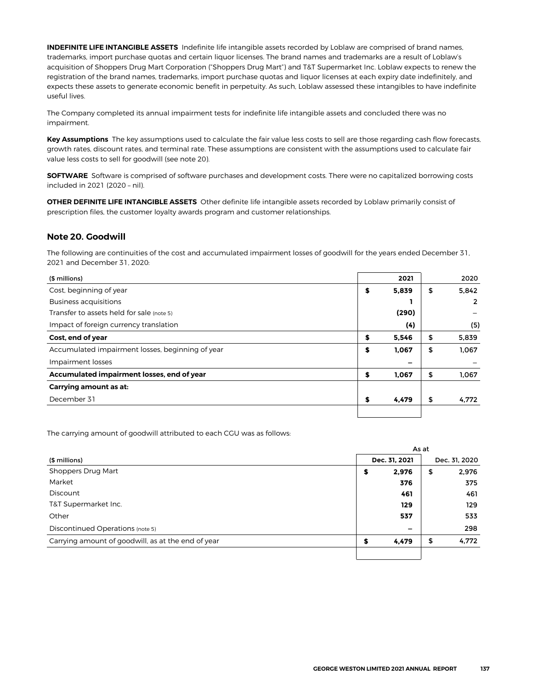**INDEFINITE LIFE INTANGIBLE ASSETS** Indefinite life intangible assets recorded by Loblaw are comprised of brand names, trademarks, import purchase quotas and certain liquor licenses. The brand names and trademarks are a result of Loblaw's acquisition of Shoppers Drug Mart Corporation ("Shoppers Drug Mart") and T&T Supermarket Inc. Loblaw expects to renew the registration of the brand names, trademarks, import purchase quotas and liquor licenses at each expiry date indefinitely, and expects these assets to generate economic benefit in perpetuity. As such, Loblaw assessed these intangibles to have indefinite useful lives.

The Company completed its annual impairment tests for indefinite life intangible assets and concluded there was no impairment.

**Key Assumptions** The key assumptions used to calculate the fair value less costs to sell are those regarding cash flow forecasts, growth rates, discount rates, and terminal rate. These assumptions are consistent with the assumptions used to calculate fair value less costs to sell for goodwill (see note 20).

**SOFTWARE** Software is comprised of software purchases and development costs. There were no capitalized borrowing costs included in 2021 (2020 – nil).

**OTHER DEFINITE LIFE INTANGIBLE ASSETS** Other definite life intangible assets recorded by Loblaw primarily consist of prescription files, the customer loyalty awards program and customer relationships.

#### **Note 20. Goodwill**

The following are continuities of the cost and accumulated impairment losses of goodwill for the years ended December 31, 2021 and December 31, 2020:

| (\$ millions)                                    |    | 2021  | 2020        |
|--------------------------------------------------|----|-------|-------------|
| Cost, beginning of year                          | \$ | 5,839 | \$<br>5,842 |
| <b>Business acquisitions</b>                     |    |       | 2           |
| Transfer to assets held for sale (note 5)        |    | (290) |             |
| Impact of foreign currency translation           |    | (4)   | (5)         |
| Cost, end of year                                | \$ | 5,546 | \$<br>5,839 |
| Accumulated impairment losses, beginning of year | S  | 1,067 | \$<br>1,067 |
| Impairment losses                                |    | -     |             |
| Accumulated impairment losses, end of year       | S  | 1.067 | \$<br>1,067 |
| Carrying amount as at:                           |    |       |             |
| December 31                                      | S  | 4,479 | \$<br>4,772 |
|                                                  |    |       |             |

The carrying amount of goodwill attributed to each CGU was as follows:

|                                                    | As at |                 |    |               |  |
|----------------------------------------------------|-------|-----------------|----|---------------|--|
| (\$ millions)                                      |       | Dec. 31, 2021   |    | Dec. 31, 2020 |  |
| Shoppers Drug Mart                                 | \$    | 2,976           | \$ | 2,976         |  |
| Market                                             |       | 376             |    | 375           |  |
| Discount                                           |       | 461             |    | 461           |  |
| T&T Supermarket Inc.                               |       | 129             |    | 129           |  |
| Other                                              |       | 537             |    | 533           |  |
| Discontinued Operations (note 5)                   |       | $\qquad \qquad$ |    | 298           |  |
| Carrying amount of goodwill, as at the end of year | \$    | 4,479           | \$ | 4,772         |  |
|                                                    |       |                 |    |               |  |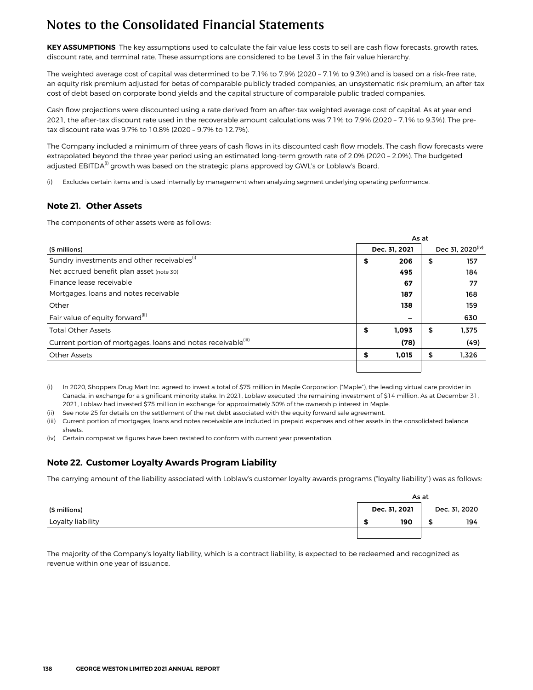**KEY ASSUMPTIONS** The key assumptions used to calculate the fair value less costs to sell are cash flow forecasts, growth rates, discount rate, and terminal rate. These assumptions are considered to be Level 3 in the fair value hierarchy.

The weighted average cost of capital was determined to be 7.1% to 7.9% (2020 – 7.1% to 9.3%) and is based on a risk-free rate, an equity risk premium adjusted for betas of comparable publicly traded companies, an unsystematic risk premium, an after-tax cost of debt based on corporate bond yields and the capital structure of comparable public traded companies.

Cash flow projections were discounted using a rate derived from an after-tax weighted average cost of capital. As at year end 2021, the after-tax discount rate used in the recoverable amount calculations was 7.1% to 7.9% (2020 – 7.1% to 9.3%). The pretax discount rate was 9.7% to 10.8% (2020 – 9.7% to 12.7%).

The Company included a minimum of three years of cash flows in its discounted cash flow models. The cash flow forecasts were extrapolated beyond the three year period using an estimated long-term growth rate of 2.0% (2020 – 2.0%). The budgeted adjusted EBITDA<sup>(i)</sup> growth was based on the strategic plans approved by GWL's or Loblaw's Board.

(i) Excludes certain items and is used internally by management when analyzing segment underlying operating performance.

#### **Note 21. Other Assets**

The components of other assets were as follows:

|                                                                           |    | As at         |    |                              |  |  |  |  |
|---------------------------------------------------------------------------|----|---------------|----|------------------------------|--|--|--|--|
| (\$ millions)                                                             |    | Dec. 31, 2021 |    | Dec 31, 2020 <sup>(iv)</sup> |  |  |  |  |
| Sundry investments and other receivables <sup>(1)</sup>                   | \$ | 206           | \$ | 157                          |  |  |  |  |
| Net accrued benefit plan asset (note 30)                                  |    | 495           |    | 184                          |  |  |  |  |
| Finance lease receivable                                                  |    | 67            |    | 77                           |  |  |  |  |
| Mortgages, loans and notes receivable                                     |    | 187           |    | 168                          |  |  |  |  |
| Other                                                                     |    | 138           |    | 159                          |  |  |  |  |
| Fair value of equity forward <sup>(ii)</sup>                              |    |               |    | 630                          |  |  |  |  |
| <b>Total Other Assets</b>                                                 | \$ | 1.093         | \$ | 1.375                        |  |  |  |  |
| Current portion of mortgages, loans and notes receivable <sup>(iii)</sup> |    | (78)          |    | (49)                         |  |  |  |  |
| <b>Other Assets</b>                                                       | S  | 1.015         | \$ | 1,326                        |  |  |  |  |
|                                                                           |    |               |    |                              |  |  |  |  |

(i) In 2020, Shoppers Drug Mart Inc. agreed to invest a total of \$75 million in Maple Corporation ("Maple"), the leading virtual care provider in Canada, in exchange for a significant minority stake. In 2021, Loblaw executed the remaining investment of \$14 million. As at December 31, 2021, Loblaw had invested \$75 million in exchange for approximately 30% of the ownership interest in Maple.

(ii) See note 25 for details on the settlement of the net debt associated with the equity forward sale agreement.

(iii) Current portion of mortgages, loans and notes receivable are included in prepaid expenses and other assets in the consolidated balance sheets.

(iv) Certain comparative figures have been restated to conform with current year presentation.

#### **Note 22. Customer Loyalty Awards Program Liability**

The carrying amount of the liability associated with Loblaw's customer loyalty awards programs ("loyalty liability") was as follows:

|                   |               | As at |               |  |  |  |  |  |
|-------------------|---------------|-------|---------------|--|--|--|--|--|
| (\$ millions)     | Dec. 31, 2021 |       | Dec. 31, 2020 |  |  |  |  |  |
| Loyalty liability | 190           |       | 194           |  |  |  |  |  |
|                   |               |       |               |  |  |  |  |  |

The majority of the Company's loyalty liability, which is a contract liability, is expected to be redeemed and recognized as revenue within one year of issuance.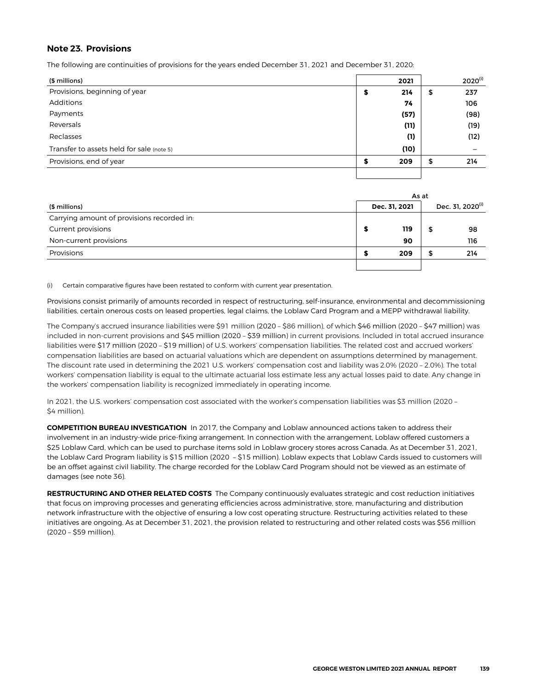#### **Note 23. Provisions**

The following are continuities of provisions for the years ended December 31, 2021 and December 31, 2020:

| (\$ millions)                             |   | 2021 |    | $2020^{(i)}$ |
|-------------------------------------------|---|------|----|--------------|
| Provisions, beginning of year             | э | 214  | \$ | 237          |
| Additions                                 |   | 74   |    | 106          |
| Payments                                  |   | (57) |    | (98)         |
| Reversals                                 |   | (11) |    | (19)         |
| Reclasses                                 |   | (1)  |    | (12)         |
| Transfer to assets held for sale (note 5) |   | (10) |    |              |
| Provisions, end of year                   |   | 209  | S  | 214          |
|                                           |   |      |    |              |

|                                            | As at |               |                              |     |  |  |
|--------------------------------------------|-------|---------------|------------------------------|-----|--|--|
| (\$ millions)                              |       | Dec. 31, 2021 | Dec. 31, 2020 <sup>(i)</sup> |     |  |  |
| Carrying amount of provisions recorded in: |       |               |                              |     |  |  |
| Current provisions                         | s     | 119           | ъ                            | 98  |  |  |
| Non-current provisions                     |       | 90            |                              | 116 |  |  |
| Provisions                                 |       | 209           |                              | 214 |  |  |
|                                            |       |               |                              |     |  |  |

(i) Certain comparative figures have been restated to conform with current year presentation.

Provisions consist primarily of amounts recorded in respect of restructuring, self-insurance, environmental and decommissioning liabilities, certain onerous costs on leased properties, legal claims, the Loblaw Card Program and a MEPP withdrawal liability.

The Company's accrued insurance liabilities were \$91 million (2020 – \$86 million), of which \$46 million (2020 – \$47 million) was included in non-current provisions and \$45 million (2020 – \$39 million) in current provisions. Included in total accrued insurance liabilities were \$17 million (2020 – \$19 million) of U.S. workers' compensation liabilities. The related cost and accrued workers' compensation liabilities are based on actuarial valuations which are dependent on assumptions determined by management. The discount rate used in determining the 2021 U.S. workers' compensation cost and liability was 2.0% (2020 – 2.0%). The total workers' compensation liability is equal to the ultimate actuarial loss estimate less any actual losses paid to date. Any change in the workers' compensation liability is recognized immediately in operating income.

In 2021, the U.S. workers' compensation cost associated with the worker's compensation liabilities was \$3 million (2020 – \$4 million).

**COMPETITION BUREAU INVESTIGATION** In 2017, the Company and Loblaw announced actions taken to address their involvement in an industry-wide price-fixing arrangement. In connection with the arrangement, Loblaw offered customers a \$25 Loblaw Card, which can be used to purchase items sold in Loblaw grocery stores across Canada. As at December 31, 2021, the Loblaw Card Program liability is \$15 million (2020 – \$15 million). Loblaw expects that Loblaw Cards issued to customers will be an offset against civil liability. The charge recorded for the Loblaw Card Program should not be viewed as an estimate of damages (see note 36).

**RESTRUCTURING AND OTHER RELATED COSTS** The Company continuously evaluates strategic and cost reduction initiatives that focus on improving processes and generating efficiencies across administrative, store, manufacturing and distribution network infrastructure with the objective of ensuring a low cost operating structure. Restructuring activities related to these initiatives are ongoing. As at December 31, 2021, the provision related to restructuring and other related costs was \$56 million (2020 – \$59 million).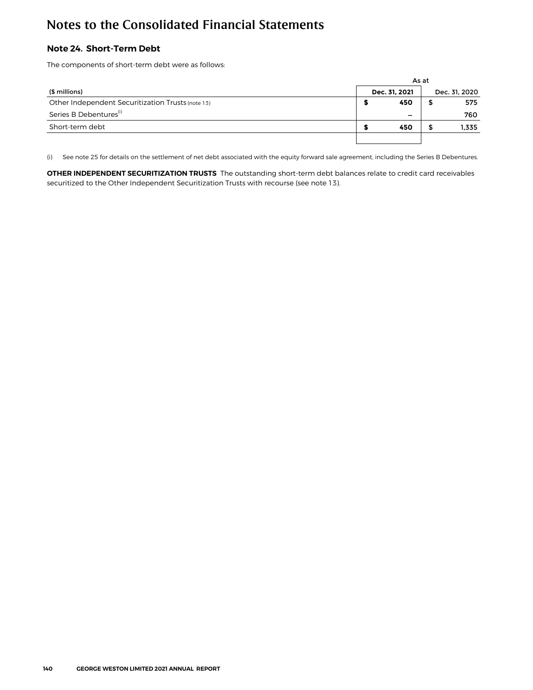### **Note 24. Short-Term Debt**

The components of short-term debt were as follows:

|                                                   |               | As at |               |       |
|---------------------------------------------------|---------------|-------|---------------|-------|
| (\$ millions)                                     | Dec. 31, 2021 |       | Dec. 31, 2020 |       |
| Other Independent Securitization Trusts (note 13) | 450           |       |               | 575   |
| Series B Debentures <sup>(i)</sup>                |               |       |               | 760   |
| Short-term debt                                   | 450           |       |               | 1,335 |
|                                                   |               |       |               |       |

(i) See note 25 for details on the settlement of net debt associated with the equity forward sale agreement, including the Series B Debentures.

**OTHER INDEPENDENT SECURITIZATION TRUSTS** The outstanding short-term debt balances relate to credit card receivables securitized to the Other Independent Securitization Trusts with recourse (see note 13).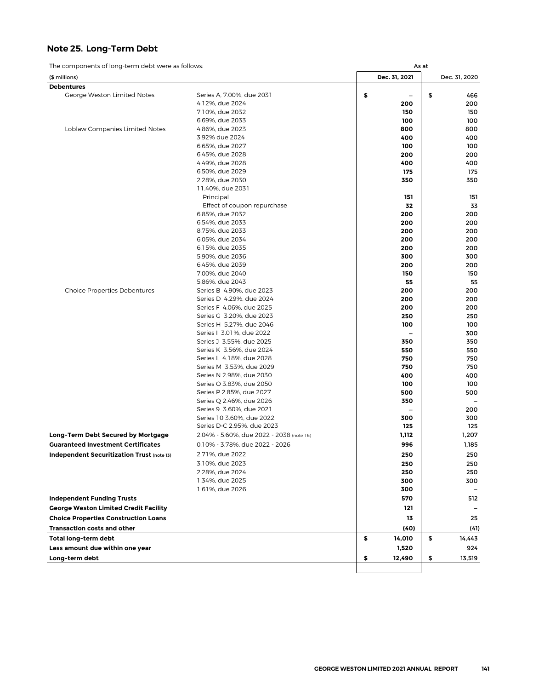### **Note 25. Long-Term Debt**

The components of long-term debt were as follows: As at Asset As at Asset As at Asset As at Asset As at Asset Asset Asset Asset Asset Asset Asset Asset Asset Asset Asset Asset Asset Asset Asset Asset Asset Asset Asset Asse

| The components of fong term acor were as follows |                                                                        |               | As ut |               |
|--------------------------------------------------|------------------------------------------------------------------------|---------------|-------|---------------|
| (\$ millions)                                    |                                                                        | Dec. 31, 2021 |       | Dec. 31, 2020 |
| <b>Debentures</b>                                |                                                                        |               |       |               |
| George Weston Limited Notes                      | Series A, 7.00%, due 2031                                              | \$<br>-       | \$    | 466           |
|                                                  | 4.12%, due 2024                                                        | 200           |       | 200           |
|                                                  | 7.10%, due 2032                                                        | 150           |       | 150           |
|                                                  | 6.69%, due 2033                                                        | 100           |       | 100           |
| Loblaw Companies Limited Notes                   | 4.86%, due 2023                                                        | 800           |       | 800           |
|                                                  | 3.92% due 2024                                                         | 400           |       | 400           |
|                                                  | 6.65%, due 2027                                                        | 100           |       | 100           |
|                                                  | 6.45%, due 2028<br>4.49%, due 2028                                     | 200           |       | 200           |
|                                                  | 6.50%, due 2029                                                        | 400           |       | 400           |
|                                                  | 2.28%, due 2030                                                        | 175<br>350    |       | 175<br>350    |
|                                                  | 11.40%, due 2031                                                       |               |       |               |
|                                                  | Principal                                                              | 151           |       | 151           |
|                                                  | Effect of coupon repurchase                                            | 32            |       | 33            |
|                                                  | 6.85%, due 2032                                                        | 200           |       | 200           |
|                                                  | 6.54%, due 2033                                                        | 200           |       | 200           |
|                                                  | 8.75%, due 2033                                                        | 200           |       | 200           |
|                                                  | 6.05%, due 2034                                                        | 200           |       | 200           |
|                                                  | 6.15%, due 2035                                                        | 200           |       | 200           |
|                                                  | 5.90%, due 2036                                                        | 300           |       | 300           |
|                                                  | 6.45%, due 2039                                                        | 200           |       | 200           |
|                                                  | 7.00%, due 2040                                                        | 150           |       | 150           |
|                                                  | 5.86%, due 2043                                                        | 55            |       | 55            |
| <b>Choice Properties Debentures</b>              | Series B 4.90%, due 2023                                               | 200           |       | 200           |
|                                                  | Series D 4.29%, due 2024                                               | 200           |       | 200           |
|                                                  | Series F 4.06%, due 2025                                               | 200           |       | 200           |
|                                                  | Series G 3.20%, due 2023                                               | 250           |       | 250           |
|                                                  | Series H 5.27%, due 2046                                               | 100           |       | 100           |
|                                                  | Series   3.01%, due 2022                                               |               |       | 300           |
|                                                  | Series J 3.55%, due 2025                                               | 350           |       | 350           |
|                                                  | Series K 3.56%, due 2024                                               | 550           |       | 550           |
|                                                  | Series L 4.18%, due 2028                                               | 750           |       | 750           |
|                                                  | Series M 3.53%, due 2029                                               | 750           |       | 750           |
|                                                  | Series N 2.98%, due 2030                                               | 400           |       | 400           |
|                                                  | Series O 3.83%, due 2050                                               | 100           |       | 100           |
|                                                  | Series P 2.85%, due 2027                                               | 500           |       | 500           |
|                                                  | Series Q 2.46%, due 2026                                               | 350           |       |               |
|                                                  | Series 9 3.60%, due 2021                                               |               |       | 200           |
|                                                  | Series 10 3.60%, due 2022                                              | 300           |       | 300           |
|                                                  | Series D-C 2.95%, due 2023<br>2.04% - 5.60%, due 2022 - 2038 (note 16) | 125           |       | 125           |
| Long-Term Debt Secured by Mortgage               |                                                                        | 1,112         |       | 1,207         |
| <b>Guaranteed Investment Certificates</b>        | 0.10% - 3.78%, due 2022 - 2026                                         | 996           |       | 1,185         |
| Independent Securitization Trust (note 13)       | 2.71%, due 2022                                                        | 250           |       | 250           |
|                                                  | 3.10%, due 2023                                                        | 250           |       | 250           |
|                                                  | 2.28%, due 2024                                                        | 250           |       | 250           |
|                                                  | 1.34%, due 2025                                                        | 300           |       | 300           |
|                                                  | 1.61%, due 2026                                                        | 300           |       |               |
| <b>Independent Funding Trusts</b>                |                                                                        | 570           |       | 512           |
| <b>George Weston Limited Credit Facility</b>     |                                                                        | 121           |       |               |
| <b>Choice Properties Construction Loans</b>      |                                                                        | 13            |       | 25            |
| <b>Transaction costs and other</b>               |                                                                        | (40)          |       | (41)          |
| Total long-term debt                             |                                                                        | \$<br>14,010  | \$    | 14,443        |
| Less amount due within one year                  |                                                                        | 1,520         |       | 924           |
| Long-term debt                                   |                                                                        | \$<br>12,490  | \$    | 13,519        |
|                                                  |                                                                        |               |       |               |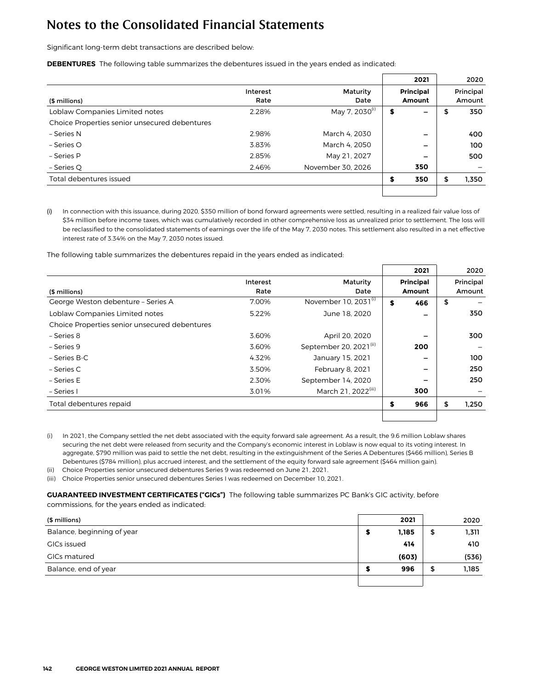Significant long-term debt transactions are described below:

**DEBENTURES** The following table summarizes the debentures issued in the years ended as indicated:

|                                               |          |                            |    | 2021                     | 2020        |
|-----------------------------------------------|----------|----------------------------|----|--------------------------|-------------|
|                                               | Interest | Maturity                   |    | <b>Principal</b>         | Principal   |
| (\$ millions)                                 | Rate     | Date                       |    | Amount                   | Amount      |
| Loblaw Companies Limited notes                | 2.28%    | May 7, 2030 <sup>(i)</sup> | \$ | $\overline{\phantom{0}}$ | \$<br>350   |
| Choice Properties senior unsecured debentures |          |                            |    |                          |             |
| - Series N                                    | 2.98%    | March 4, 2030              |    | -                        | 400         |
| – Series O                                    | 3.83%    | March 4, 2050              |    | -                        | 100         |
| - Series P                                    | 2.85%    | May 21, 2027               |    | -                        | 500         |
| – Series Q                                    | 2.46%    | November 30, 2026          |    | 350                      |             |
| Total debentures issued                       |          |                            | S  | 350                      | \$<br>1,350 |
|                                               |          |                            |    |                          |             |

(i) In connection with this issuance, during 2020, \$350 million of bond forward agreements were settled, resulting in a realized fair value loss of \$34 million before income taxes, which was cumulatively recorded in other comprehensive loss as unrealized prior to settlement. The loss will be reclassified to the consolidated statements of earnings over the life of the May 7, 2030 notes. This settlement also resulted in a net effective interest rate of 3.34% on the May 7, 2030 notes issued.

The following table summarizes the debentures repaid in the years ended as indicated:

|                                               |          |                                    | 2021             | 2020        |
|-----------------------------------------------|----------|------------------------------------|------------------|-------------|
|                                               | Interest | Maturity                           | <b>Principal</b> | Principal   |
| (\$ millions)                                 | Rate     | Date                               | Amount           | Amount      |
| George Weston debenture - Series A            | 7.00%    | November 10, 2031 <sup>(i)</sup>   | \$<br>466        | \$          |
| Loblaw Companies Limited notes                | 5.22%    | June 18, 2020                      | -                | 350         |
| Choice Properties senior unsecured debentures |          |                                    |                  |             |
| - Series 8                                    | 3.60%    | April 20, 2020                     |                  | 300         |
| - Series 9                                    | 3.60%    | September 20, 2021 <sup>(ii)</sup> | 200              |             |
| – Series B-C                                  | 4.32%    | January 15, 2021                   |                  | 100         |
| – Series C                                    | 3.50%    | February 8, 2021                   | -                | 250         |
| - Series E                                    | 2.30%    | September 14, 2020                 |                  | 250         |
| - Series I                                    | 3.01%    | March 21, 2022 <sup>(iii)</sup>    | 300              |             |
| Total debentures repaid                       |          |                                    | \$<br>966        | \$<br>1,250 |
|                                               |          |                                    |                  |             |

(i) In 2021, the Company settled the net debt associated with the equity forward sale agreement. As a result, the 9.6 million Loblaw shares securing the net debt were released from security and the Company's economic interest in Loblaw is now equal to its voting interest. In aggregate, \$790 million was paid to settle the net debt, resulting in the extinguishment of the Series A Debentures (\$466 million), Series B Debentures (\$784 million), plus accrued interest, and the settlement of the equity forward sale agreement (\$464 million gain).

(ii) Choice Properties senior unsecured debentures Series 9 was redeemed on June 21, 2021.

(iii) Choice Properties senior unsecured debentures Series I was redeemed on December 10, 2021.

**GUARANTEED INVESTMENT CERTIFICATES ("GICs")** The following table summarizes PC Bank's GIC activity, before commissions, for the years ended as indicated:

| (\$ millions)              | 2021  |    | 2020  |
|----------------------------|-------|----|-------|
| Balance, beginning of year | 1,185 | \$ | 1,311 |
| GICs issued                | 414   |    | 410   |
| GICs matured               | (603) |    | (536) |
| Balance, end of year       | 996   | S  | 1,185 |
|                            |       |    |       |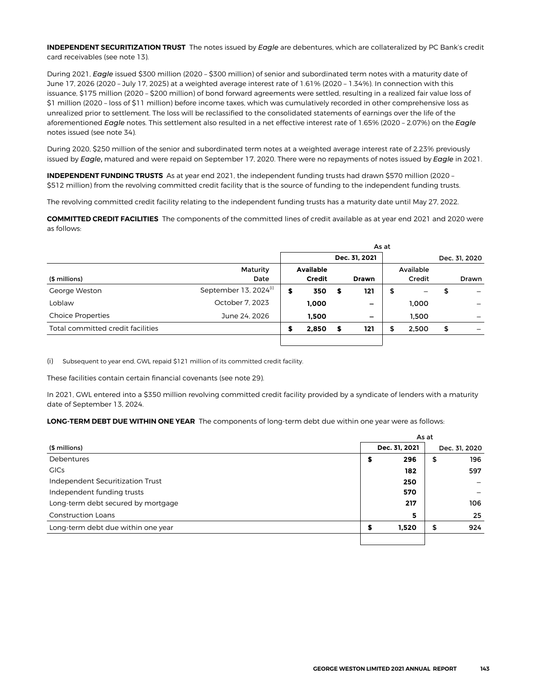**INDEPENDENT SECURITIZATION TRUST** The notes issued by *Eagle* are debentures, which are collateralized by PC Bank's credit card receivables (see note 13).

During 2021, *Eagle* issued \$300 million (2020 – \$300 million) of senior and subordinated term notes with a maturity date of June 17, 2026 (2020 – July 17, 2025) at a weighted average interest rate of 1.61% (2020 – 1.34%). In connection with this issuance, \$175 million (2020 – \$200 million) of bond forward agreements were settled, resulting in a realized fair value loss of \$1 million (2020 – loss of \$11 million) before income taxes, which was cumulatively recorded in other comprehensive loss as unrealized prior to settlement. The loss will be reclassified to the consolidated statements of earnings over the life of the aforementioned *Eagle* notes. This settlement also resulted in a net effective interest rate of 1.65% (2020 – 2.07%) on the *Eagle* notes issued (see note 34).

During 2020, \$250 million of the senior and subordinated term notes at a weighted average interest rate of 2.23% previously issued by *Eagle*, matured and were repaid on September 17, 2020. There were no repayments of notes issued by *Eagle* in 2021.

**INDEPENDENT FUNDING TRUSTS** As at year end 2021, the independent funding trusts had drawn \$570 million (2020 – \$512 million) from the revolving committed credit facility that is the source of funding to the independent funding trusts.

The revolving committed credit facility relating to the independent funding trusts has a maturity date until May 27, 2022.

**COMMITTED CREDIT FACILITIES** The components of the committed lines of credit available as at year end 2021 and 2020 were as follows:

|                                   |                                   | As at |                                   |    |               |    |                     |    |               |
|-----------------------------------|-----------------------------------|-------|-----------------------------------|----|---------------|----|---------------------|----|---------------|
|                                   |                                   |       |                                   |    | Dec. 31, 2021 |    |                     |    | Dec. 31, 2020 |
| (\$ millions)                     | Maturity<br>Date                  |       | <b>Available</b><br><b>Credit</b> |    | <b>Drawn</b>  |    | Available<br>Credit |    | Drawn         |
| George Weston                     | September 13, 2024 <sup>(i)</sup> | \$    | 350                               | s  | 121           | \$ |                     | \$ |               |
| Loblaw                            | October 7, 2023                   |       | 1,000                             |    | -             |    | 1,000               |    |               |
| <b>Choice Properties</b>          | June 24, 2026                     |       | 1,500                             |    | -             |    | 1,500               |    |               |
| Total committed credit facilities |                                   |       | 2,850                             | \$ | 121           | \$ | 2.500               | \$ |               |
|                                   |                                   |       |                                   |    |               |    |                     |    |               |

(i) Subsequent to year end, GWL repaid \$121 million of its committed credit facility.

These facilities contain certain financial covenants (see note 29).

In 2021, GWL entered into a \$350 million revolving committed credit facility provided by a syndicate of lenders with a maturity date of September 13, 2024.

**LONG-TERM DEBT DUE WITHIN ONE YEAR** The components of long-term debt due within one year were as follows:

|                                    |               | As at |    |               |  |  |  |
|------------------------------------|---------------|-------|----|---------------|--|--|--|
| (\$ millions)                      | Dec. 31, 2021 |       |    | Dec. 31, 2020 |  |  |  |
| Debentures                         | ⋑             | 296   | \$ | 196           |  |  |  |
| <b>GICs</b>                        |               | 182   |    | 597           |  |  |  |
| Independent Securitization Trust   |               | 250   |    |               |  |  |  |
| Independent funding trusts         |               | 570   |    |               |  |  |  |
| Long-term debt secured by mortgage |               | 217   |    | 106           |  |  |  |
| <b>Construction Loans</b>          |               | 5     |    | 25            |  |  |  |
| Long-term debt due within one year |               | 1,520 | \$ | 924           |  |  |  |
|                                    |               |       |    |               |  |  |  |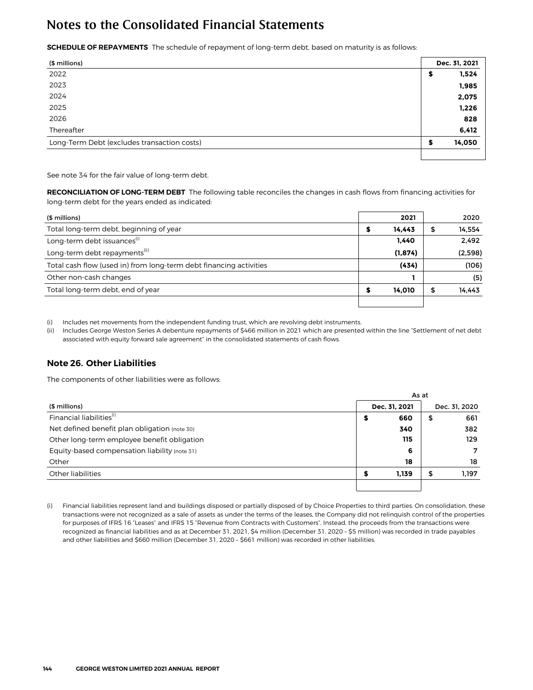**SCHEDULE OF REPAYMENTS** The schedule of repayment of long-term debt, based on maturity is as follows:

| (\$ millions)                               | Dec. 31, 2021 |
|---------------------------------------------|---------------|
| 2022                                        | 1,524<br>\$   |
| 2023                                        | 1,985         |
| 2024                                        | 2,075         |
| 2025                                        | 1,226         |
| 2026                                        | 828           |
| Thereafter                                  | 6,412         |
| Long-Term Debt (excludes transaction costs) | 14,050<br>S   |
|                                             |               |

See note 34 for the fair value of long-term debt.

**RECONCILIATION OF LONG-TERM DEBT** The following table reconciles the changes in cash flows from financing activities for long-term debt for the years ended as indicated:

| (\$ millions)                                                      | 2021     |    | 2020    |
|--------------------------------------------------------------------|----------|----|---------|
| Total long-term debt, beginning of year                            | 14,443   | 5  | 14,554  |
| Long-term debt issuances <sup>(i)</sup>                            | 1.440    |    | 2,492   |
| Long-term debt repayments <sup>(ii)</sup>                          | (1, 874) |    | (2,598) |
| Total cash flow (used in) from long-term debt financing activities | (434)    |    | (106)   |
| Other non-cash changes                                             |          |    | (5)     |
| Total long-term debt, end of year                                  | 14.010   | \$ | 14,443  |
|                                                                    |          |    |         |

(i) Includes net movements from the independent funding trust, which are revolving debt instruments.

(ii) Includes George Weston Series A debenture repayments of \$466 million in 2021 which are presented within the line "Settlement of net debt associated with equity forward sale agreement" in the consolidated statements of cash flows.

#### **Note 26. Other Liabilities**

The components of other liabilities were as follows:

|                                               | As at         |       |               |       |  |  |
|-----------------------------------------------|---------------|-------|---------------|-------|--|--|
| (\$ millions)                                 | Dec. 31, 2021 |       | Dec. 31, 2020 |       |  |  |
| Financial liabilities <sup>(i)</sup>          | э             | 660   | \$            | 661   |  |  |
| Net defined benefit plan obligation (note 30) |               | 340   |               | 382   |  |  |
| Other long-term employee benefit obligation   |               | 115   |               | 129   |  |  |
| Equity-based compensation liability (note 31) |               | 6     |               | 7     |  |  |
| Other                                         |               | 18    |               | 18    |  |  |
| Other liabilities                             |               | 1.139 | \$            | 1,197 |  |  |
|                                               |               |       |               |       |  |  |

(i) Financial liabilities represent land and buildings disposed or partially disposed of by Choice Properties to third parties. On consolidation, these transactions were not recognized as a sale of assets as under the terms of the leases, the Company did not relinquish control of the properties for purposes of IFRS 16 "Leases" and IFRS 15 "Revenue from Contracts with Customers". Instead, the proceeds from the transactions were recognized as financial liabilities and as at December 31, 2021, \$4 million (December 31, 2020 – \$5 million) was recorded in trade payables and other liabilities and \$660 million (December 31, 2020 – \$661 million) was recorded in other liabilities.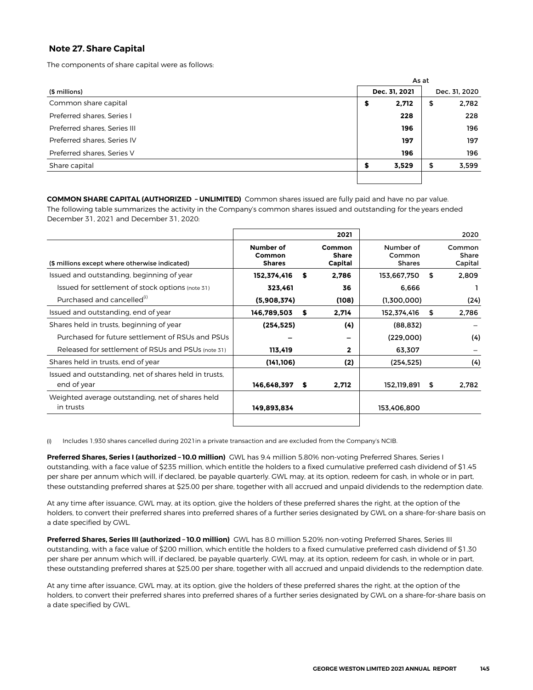### **Note 27. Share Capital**

The components of share capital were as follows:

|                              |   | As at         |    |               |  |
|------------------------------|---|---------------|----|---------------|--|
| (\$ millions)                |   | Dec. 31, 2021 |    | Dec. 31, 2020 |  |
| Common share capital         | s | 2,712         | \$ | 2,782         |  |
| Preferred shares. Series I   |   | 228           |    | 228           |  |
| Preferred shares, Series III |   | 196           |    | 196           |  |
| Preferred shares, Series IV  |   | 197           |    | 197           |  |
| Preferred shares, Series V   |   | 196           |    | 196           |  |
| Share capital                | S | 3,529         | \$ | 3,599         |  |
|                              |   |               |    |               |  |

**COMMON SHARE CAPITAL (AUTHORIZED – UNLIMITED)** Common shares issued are fully paid and have no par value. The following table summarizes the activity in the Company's common shares issued and outstanding for the years ended December 31, 2021 and December 31, 2020:

|                                                                      |                                      |    | 2021                              |                                      | 2020                       |
|----------------------------------------------------------------------|--------------------------------------|----|-----------------------------------|--------------------------------------|----------------------------|
| (\$ millions except where otherwise indicated)                       | Number of<br>Common<br><b>Shares</b> |    | Common<br><b>Share</b><br>Capital | Number of<br>Common<br><b>Shares</b> | Common<br>Share<br>Capital |
| Issued and outstanding, beginning of year                            | 152,374,416                          | S  | 2,786                             | 153,667,750                          | \$<br>2,809                |
| Issued for settlement of stock options (note 31)                     | 323,461                              |    | 36                                | 6.666                                |                            |
| Purchased and cancelled <sup>(1)</sup>                               | (5,908,374)                          |    | (108)                             | (1,300,000)                          | (24)                       |
| Issued and outstanding, end of year                                  | 146,789,503                          | \$ | 2,714                             | 152,374,416                          | \$<br>2,786                |
| Shares held in trusts, beginning of year                             | (254, 525)                           |    | (4)                               | (88, 832)                            |                            |
| Purchased for future settlement of RSUs and PSUs                     |                                      |    |                                   | (229,000)                            | (4)                        |
| Released for settlement of RSUs and PSUs (note 31)                   | 113,419                              |    | $\mathbf{2}$                      | 63,307                               |                            |
| Shares held in trusts, end of year                                   | (141, 106)                           |    | (2)                               | (254, 525)                           | (4)                        |
| Issued and outstanding, net of shares held in trusts,<br>end of year | 146,648,397                          | s  | 2,712                             | 152,119,891                          | \$<br>2,782                |
| Weighted average outstanding, net of shares held<br>in trusts        | 149,893,834                          |    |                                   | 153,406,800                          |                            |
|                                                                      |                                      |    |                                   |                                      |                            |

(i) Includes 1,930 shares cancelled during 2021in a private transaction and are excluded from the Company's NCIB.

**Preferred Shares, Series I (authorized – 10.0 million)** GWL has 9.4 million 5.80% non-voting Preferred Shares, Series I outstanding, with a face value of \$235 million, which entitle the holders to a fixed cumulative preferred cash dividend of \$1.45 per share per annum which will, if declared, be payable quarterly. GWL may, at its option, redeem for cash, in whole or in part, these outstanding preferred shares at \$25.00 per share, together with all accrued and unpaid dividends to the redemption date.

At any time after issuance, GWL may, at its option, give the holders of these preferred shares the right, at the option of the holders, to convert their preferred shares into preferred shares of a further series designated by GWL on a share-for-share basis on a date specified by GWL.

**Preferred Shares, Series III (authorized – 10.0 million)** GWL has 8.0 million 5.20% non-voting Preferred Shares, Series III outstanding, with a face value of \$200 million, which entitle the holders to a fixed cumulative preferred cash dividend of \$1.30 per share per annum which will, if declared, be payable quarterly. GWL may, at its option, redeem for cash, in whole or in part, these outstanding preferred shares at \$25.00 per share, together with all accrued and unpaid dividends to the redemption date.

At any time after issuance, GWL may, at its option, give the holders of these preferred shares the right, at the option of the holders, to convert their preferred shares into preferred shares of a further series designated by GWL on a share-for-share basis on a date specified by GWL.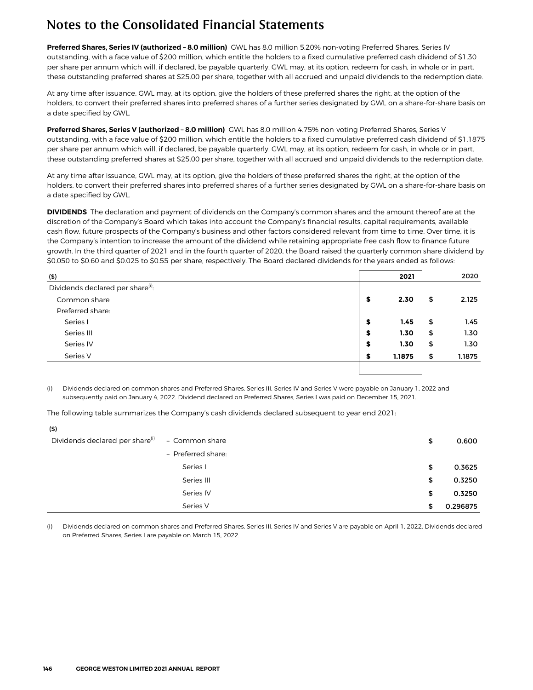**Preferred Shares, Series IV (authorized – 8.0 million)** GWL has 8.0 million 5.20% non-voting Preferred Shares, Series IV outstanding, with a face value of \$200 million, which entitle the holders to a fixed cumulative preferred cash dividend of \$1.30 per share per annum which will, if declared, be payable quarterly. GWL may, at its option, redeem for cash, in whole or in part, these outstanding preferred shares at \$25.00 per share, together with all accrued and unpaid dividends to the redemption date.

At any time after issuance, GWL may, at its option, give the holders of these preferred shares the right, at the option of the holders, to convert their preferred shares into preferred shares of a further series designated by GWL on a share-for-share basis on a date specified by GWL.

**Preferred Shares, Series V (authorized – 8.0 million)** GWL has 8.0 million 4.75% non-voting Preferred Shares, Series V outstanding, with a face value of \$200 million, which entitle the holders to a fixed cumulative preferred cash dividend of \$1.1875 per share per annum which will, if declared, be payable quarterly. GWL may, at its option, redeem for cash, in whole or in part, these outstanding preferred shares at \$25.00 per share, together with all accrued and unpaid dividends to the redemption date.

At any time after issuance, GWL may, at its option, give the holders of these preferred shares the right, at the option of the holders, to convert their preferred shares into preferred shares of a further series designated by GWL on a share-for-share basis on a date specified by GWL.

**DIVIDENDS** The declaration and payment of dividends on the Company's common shares and the amount thereof are at the discretion of the Company's Board which takes into account the Company's financial results, capital requirements, available cash flow, future prospects of the Company's business and other factors considered relevant from time to time. Over time, it is the Company's intention to increase the amount of the dividend while retaining appropriate free cash flow to finance future growth. In the third quarter of 2021 and in the fourth quarter of 2020, the Board raised the quarterly common share dividend by \$0.050 to \$0.60 and \$0.025 to \$0.55 per share, respectively. The Board declared dividends for the years ended as follows:

| (5)                                           |   | 2021   | 2020         |
|-----------------------------------------------|---|--------|--------------|
| Dividends declared per share <sup>(i)</sup> : |   |        |              |
| Common share                                  | S | 2.30   | \$<br>2.125  |
| Preferred share:                              |   |        |              |
| Series I                                      | S | 1.45   | \$<br>1.45   |
| Series III                                    | S | 1.30   | \$<br>1.30   |
| Series IV                                     | э | 1.30   | \$<br>1.30   |
| Series V                                      |   | 1.1875 | \$<br>1.1875 |
|                                               |   |        |              |

Dividends declared on common shares and Preferred Shares, Series III, Series IV and Series V were payable on January 1, 2022 and subsequently paid on January 4, 2022. Dividend declared on Preferred Shares, Series I was paid on December 15, 2021.

The following table summarizes the Company's cash dividends declared subsequent to year end **2021:**

| (5)                                         |                    |                |
|---------------------------------------------|--------------------|----------------|
| Dividends declared per share <sup>(i)</sup> | - Common share     | \$<br>0.600    |
|                                             | - Preferred share: |                |
|                                             | Series I           | \$<br>0.3625   |
|                                             | Series III         | \$<br>0.3250   |
|                                             | Series IV          | \$<br>0.3250   |
|                                             | Series V           | \$<br>0.296875 |

(i) Dividends declared on common shares and Preferred Shares, Series III, Series IV and Series V are payable on April 1, 2022. Dividends declared on Preferred Shares, Series I are payable on March 15, 2022.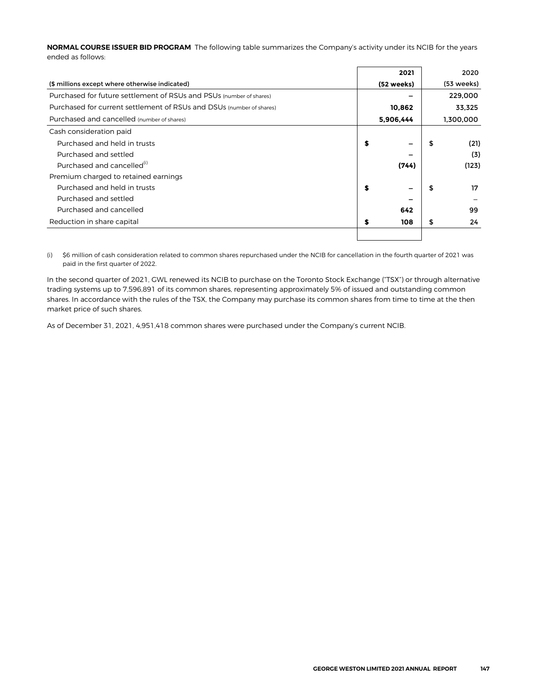**NORMAL COURSE ISSUER BID PROGRAM** The following table summarizes the Company's activity under its NCIB for the years ended as follows:

|                                                                      | 2021                           |    | 2020       |
|----------------------------------------------------------------------|--------------------------------|----|------------|
| (\$ millions except where otherwise indicated)                       | (52 weeks)                     |    | (53 weeks) |
| Purchased for future settlement of RSUs and PSUs (number of shares)  |                                |    | 229,000    |
| Purchased for current settlement of RSUs and DSUs (number of shares) | 10,862                         |    | 33,325     |
| Purchased and cancelled (number of shares)                           | 5,906,444                      |    | 1,300,000  |
| Cash consideration paid                                              |                                |    |            |
| Purchased and held in trusts                                         | \$<br>$\overline{\phantom{0}}$ | \$ | (21)       |
| Purchased and settled                                                | -                              |    | (3)        |
| Purchased and cancelled <sup>(i)</sup>                               | (744)                          |    | (123)      |
| Premium charged to retained earnings                                 |                                |    |            |
| Purchased and held in trusts                                         | \$<br>-                        | S  | 17         |
| Purchased and settled                                                |                                |    |            |
| Purchased and cancelled                                              | 642                            |    | 99         |
| Reduction in share capital                                           | \$<br>108                      | \$ | 24         |
|                                                                      |                                |    |            |

(i) \$6 million of cash consideration related to common shares repurchased under the NCIB for cancellation in the fourth quarter of 2021 was paid in the first quarter of 2022.

In the second quarter of 2021, GWL renewed its NCIB to purchase on the Toronto Stock Exchange ("TSX") or through alternative trading systems up to 7,596,891 of its common shares, representing approximately 5% of issued and outstanding common shares. In accordance with the rules of the TSX, the Company may purchase its common shares from time to time at the then market price of such shares.

As of December 31, 2021, 4,951,418 common shares were purchased under the Company's current NCIB.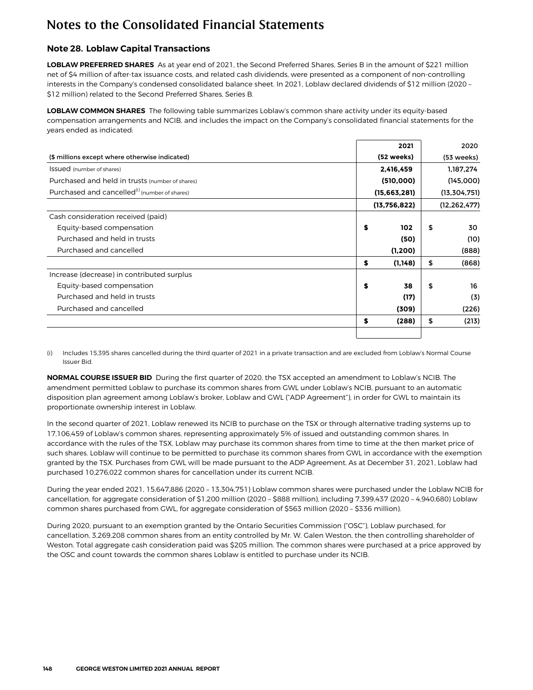### **Note 28. Loblaw Capital Transactions**

LOBLAW PREFERRED SHARES As at year end of 2021, the Second Preferred Shares, Series B in the amount of \$221 million net of \$4 million of after-tax issuance costs, and related cash dividends, were presented as a component of non-controlling interests in the Company's condensed consolidated balance sheet. In 2021, Loblaw declared dividends of \$12 million (2020 – \$12 million) related to the Second Preferred Shares, Series B.

**LOBLAW COMMON SHARES** The following table summarizes Loblaw's common share activity under its equity-based compensation arrangements and NCIB, and includes the impact on the Company's consolidated financial statements for the years ended as indicated:

|                                                           |              | 2021     | 2020           |
|-----------------------------------------------------------|--------------|----------|----------------|
| (\$ millions except where otherwise indicated)            | (52 weeks)   |          | (53 weeks)     |
| <b>Issued</b> (number of shares)                          | 2,416,459    |          | 1,187,274      |
| Purchased and held in trusts (number of shares)           | (510,000)    |          | (145,000)      |
| Purchased and cancelled <sup>(i)</sup> (number of shares) | (15,663,281) |          | (13, 304, 751) |
|                                                           | (13,756,822) |          | (12, 262, 477) |
| Cash consideration received (paid)                        |              |          |                |
| Equity-based compensation                                 | \$           | 102      | \$<br>30       |
| Purchased and held in trusts                              |              | (50)     | (10)           |
| Purchased and cancelled                                   |              | (1, 200) | (888)          |
|                                                           | \$           | (1,148)  | \$<br>(868)    |
| Increase (decrease) in contributed surplus                |              |          |                |
| Equity-based compensation                                 | \$           | 38       | \$<br>16       |
| Purchased and held in trusts                              |              | (17)     | (3)            |
| Purchased and cancelled                                   |              | (309)    | (226)          |
|                                                           | \$           | (288)    | \$<br>(213)    |
|                                                           |              |          |                |

(i) Includes 15,395 shares cancelled during the third quarter of 2021 in a private transaction and are excluded from Loblaw's Normal Course Issuer Bid.

**NORMAL COURSE ISSUER BID** During the first quarter of 2020, the TSX accepted an amendment to Loblaw's NCIB. The amendment permitted Loblaw to purchase its common shares from GWL under Loblaw's NCIB, pursuant to an automatic disposition plan agreement among Loblaw's broker, Loblaw and GWL ("ADP Agreement"), in order for GWL to maintain its proportionate ownership interest in Loblaw.

In the second quarter of 2021, Loblaw renewed its NCIB to purchase on the TSX or through alternative trading systems up to 17,106,459 of Loblaw's common shares, representing approximately 5% of issued and outstanding common shares. In accordance with the rules of the TSX, Loblaw may purchase its common shares from time to time at the then market price of such shares. Loblaw will continue to be permitted to purchase its common shares from GWL in accordance with the exemption granted by the TSX. Purchases from GWL will be made pursuant to the ADP Agreement. As at December 31, 2021, Loblaw had purchased 10,276,022 common shares for cancellation under its current NCIB.

During the year ended 2021, 15,647,886 (2020 – 13,304,751) Loblaw common shares were purchased under the Loblaw NCIB for cancellation, for aggregate consideration of \$1,200 million (2020 – \$888 million), including 7,399,437 (2020 – 4,940,680) Loblaw common shares purchased from GWL, for aggregate consideration of \$563 million (2020 – \$336 million).

During 2020, pursuant to an exemption granted by the Ontario Securities Commission ("OSC"), Loblaw purchased, for cancellation, 3,269,208 common shares from an entity controlled by Mr. W. Galen Weston, the then controlling shareholder of Weston. Total aggregate cash consideration paid was \$205 million. The common shares were purchased at a price approved by the OSC and count towards the common shares Loblaw is entitled to purchase under its NCIB.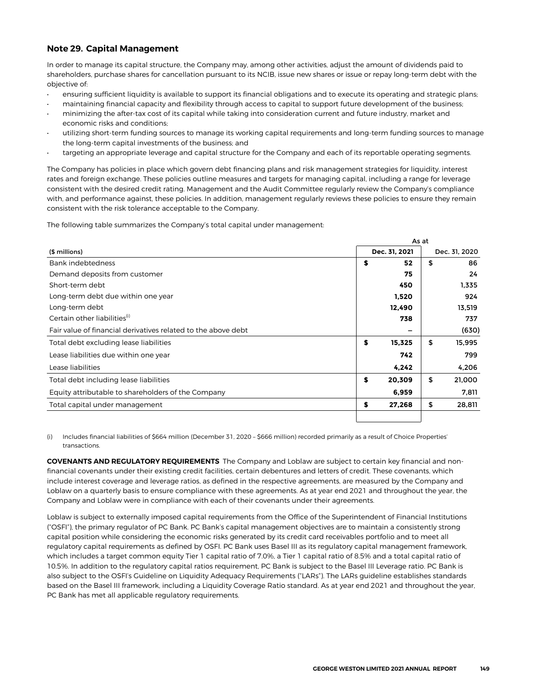### **Note 29. Capital Management**

In order to manage its capital structure, the Company may, among other activities, adjust the amount of dividends paid to shareholders, purchase shares for cancellation pursuant to its NCIB, issue new shares or issue or repay long-term debt with the objective of:

- ensuring sufficient liquidity is available to support its financial obligations and to execute its operating and strategic plans;
- maintaining financial capacity and flexibility through access to capital to support future development of the business; • minimizing the after-tax cost of its capital while taking into consideration current and future industry, market and economic risks and conditions;
- utilizing short-term funding sources to manage its working capital requirements and long-term funding sources to manage the long-term capital investments of the business; and
- targeting an appropriate leverage and capital structure for the Company and each of its reportable operating segments.

The Company has policies in place which govern debt financing plans and risk management strategies for liquidity, interest rates and foreign exchange. These policies outline measures and targets for managing capital, including a range for leverage consistent with the desired credit rating. Management and the Audit Committee regularly review the Company's compliance with, and performance against, these policies. In addition, management regularly reviews these policies to ensure they remain consistent with the risk tolerance acceptable to the Company.

The following table summarizes the Company's total capital under management:

|                                                               | As at |               |    |               |  |  |  |  |  |
|---------------------------------------------------------------|-------|---------------|----|---------------|--|--|--|--|--|
| (\$ millions)                                                 |       | Dec. 31, 2021 |    | Dec. 31, 2020 |  |  |  |  |  |
| Bank indebtedness                                             | \$    | 52            | \$ | 86            |  |  |  |  |  |
| Demand deposits from customer                                 |       | 75            |    | 24            |  |  |  |  |  |
| Short-term debt                                               |       | 450           |    | 1,335         |  |  |  |  |  |
| Long-term debt due within one year                            |       | 1,520         |    | 924           |  |  |  |  |  |
| Long-term debt                                                |       | 12,490        |    | 13,519        |  |  |  |  |  |
| Certain other liabilities <sup>(i)</sup>                      |       | 738           |    | 737           |  |  |  |  |  |
| Fair value of financial derivatives related to the above debt |       | -             |    | (630)         |  |  |  |  |  |
| Total debt excluding lease liabilities                        | \$    | 15,325        | \$ | 15,995        |  |  |  |  |  |
| Lease liabilities due within one year                         |       | 742           |    | 799           |  |  |  |  |  |
| Lease liabilities                                             |       | 4,242         |    | 4,206         |  |  |  |  |  |
| Total debt including lease liabilities                        | \$    | 20.309        | \$ | 21.000        |  |  |  |  |  |
| Equity attributable to shareholders of the Company            |       | 6,959         |    | 7,811         |  |  |  |  |  |
| Total capital under management                                | \$    | 27,268        | \$ | 28,811        |  |  |  |  |  |
|                                                               |       |               |    |               |  |  |  |  |  |

Includes financial liabilities of \$664 million (December 31, 2020 - \$666 million) recorded primarily as a result of Choice Properties' transactions.

**COVENANTS AND REGULATORY REQUIREMENTS** The Company and Loblaw are subject to certain key financial and nonfinancial covenants under their existing credit facilities, certain debentures and letters of credit. These covenants, which include interest coverage and leverage ratios, as defined in the respective agreements, are measured by the Company and Loblaw on a quarterly basis to ensure compliance with these agreements. As at year end 2021 and throughout the year, the Company and Loblaw were in compliance with each of their covenants under their agreements.

Loblaw is subject to externally imposed capital requirements from the Office of the Superintendent of Financial Institutions ("OSFI"), the primary regulator of PC Bank. PC Bank's capital management objectives are to maintain a consistently strong capital position while considering the economic risks generated by its credit card receivables portfolio and to meet all regulatory capital requirements as defined by OSFI. PC Bank uses Basel III as its regulatory capital management framework, which includes a target common equity Tier 1 capital ratio of 7.0%, a Tier 1 capital ratio of 8.5% and a total capital ratio of 10.5%. In addition to the regulatory capital ratios requirement, PC Bank is subject to the Basel III Leverage ratio. PC Bank is also subject to the OSFI's Guideline on Liquidity Adequacy Requirements ("LARs"). The LARs guideline establishes standards based on the Basel III framework, including a Liquidity Coverage Ratio standard. As at year end 2021 and throughout the year, PC Bank has met all applicable regulatory requirements.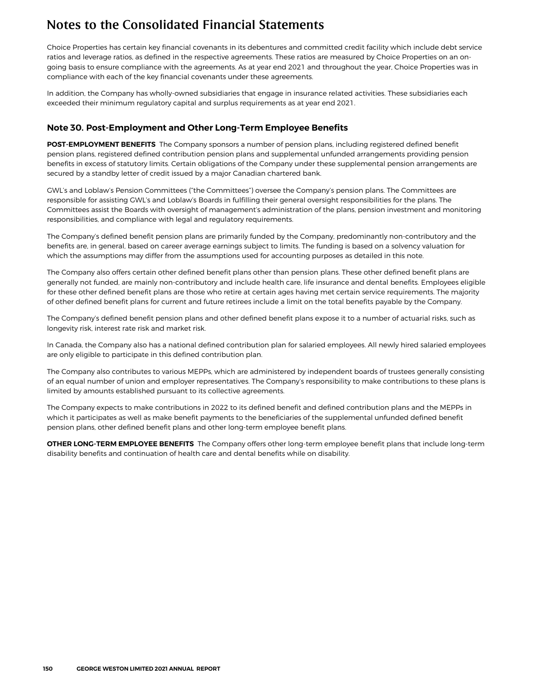Choice Properties has certain key financial covenants in its debentures and committed credit facility which include debt service ratios and leverage ratios, as defined in the respective agreements. These ratios are measured by Choice Properties on an ongoing basis to ensure compliance with the agreements. As at year end 2021 and throughout the year, Choice Properties was in compliance with each of the key financial covenants under these agreements.

In addition, the Company has wholly-owned subsidiaries that engage in insurance related activities. These subsidiaries each exceeded their minimum regulatory capital and surplus requirements as at year end 2021.

#### **Note 30. Post-Employment and Other Long-Term Employee Benefits**

**POST-EMPLOYMENT BENEFITS** The Company sponsors a number of pension plans, including registered defined benefit pension plans, registered defined contribution pension plans and supplemental unfunded arrangements providing pension benefits in excess of statutory limits. Certain obligations of the Company under these supplemental pension arrangements are secured by a standby letter of credit issued by a major Canadian chartered bank.

GWL's and Loblaw's Pension Committees ("the Committees") oversee the Company's pension plans. The Committees are responsible for assisting GWL's and Loblaw's Boards in fulfilling their general oversight responsibilities for the plans. The Committees assist the Boards with oversight of management's administration of the plans, pension investment and monitoring responsibilities, and compliance with legal and regulatory requirements.

The Company's defined benefit pension plans are primarily funded by the Company, predominantly non-contributory and the benefits are, in general, based on career average earnings subject to limits. The funding is based on a solvency valuation for which the assumptions may differ from the assumptions used for accounting purposes as detailed in this note.

The Company also offers certain other defined benefit plans other than pension plans. These other defined benefit plans are generally not funded, are mainly non-contributory and include health care, life insurance and dental benefits. Employees eligible for these other defined benefit plans are those who retire at certain ages having met certain service requirements. The majority of other defined benefit plans for current and future retirees include a limit on the total benefits payable by the Company.

The Company's defined benefit pension plans and other defined benefit plans expose it to a number of actuarial risks, such as longevity risk, interest rate risk and market risk.

In Canada, the Company also has a national defined contribution plan for salaried employees. All newly hired salaried employees are only eligible to participate in this defined contribution plan.

The Company also contributes to various MEPPs, which are administered by independent boards of trustees generally consisting of an equal number of union and employer representatives. The Company's responsibility to make contributions to these plans is limited by amounts established pursuant to its collective agreements.

The Company expects to make contributions in 2022 to its defined benefit and defined contribution plans and the MEPPs in which it participates as well as make benefit payments to the beneficiaries of the supplemental unfunded defined benefit pension plans, other defined benefit plans and other long-term employee benefit plans.

**OTHER LONG-TERM EMPLOYEE BENEFITS** The Company offers other long-term employee benefit plans that include long-term disability benefits and continuation of health care and dental benefits while on disability.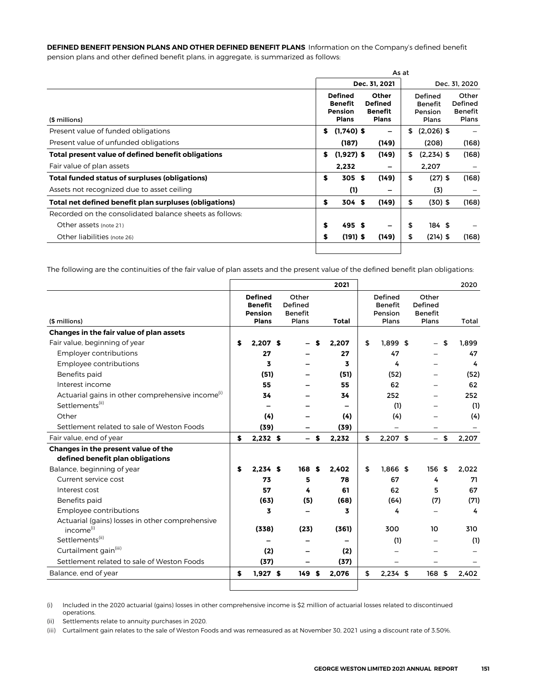**DEFINED BENEFIT PENSION PLANS AND OTHER DEFINED BENEFIT PLANS** Information on the Company's defined benefit pension plans and other defined benefit plans, in aggregate, is summarized as follows:

|                                                         |    |                                                             |                                                           | As at |                                        |                                                    |
|---------------------------------------------------------|----|-------------------------------------------------------------|-----------------------------------------------------------|-------|----------------------------------------|----------------------------------------------------|
|                                                         |    |                                                             | Dec. 31, 2021                                             |       |                                        | Dec. 31, 2020                                      |
| (\$ millions)                                           |    | <b>Defined</b><br>Benefit<br><b>Pension</b><br><b>Plans</b> | Other<br><b>Defined</b><br><b>Benefit</b><br><b>Plans</b> |       | Defined<br>Benefit<br>Pension<br>Plans | Other<br>Defined<br><b>Benefit</b><br><b>Plans</b> |
| Present value of funded obligations                     | S. | $(1,740)$ \$                                                | -                                                         | \$    | $(2,026)$ \$                           |                                                    |
| Present value of unfunded obligations                   |    | (187)                                                       | (149)                                                     |       | (208)                                  | (168)                                              |
| Total present value of defined benefit obligations      | s. | $(1,927)$ \$                                                | (149)                                                     | \$    | $(2,234)$ \$                           | (168)                                              |
| Fair value of plan assets                               |    | 2,232                                                       | -                                                         |       | 2,207                                  |                                                    |
| Total funded status of surpluses (obligations)          | \$ | 305S                                                        | (149)                                                     | \$    | $(27)$ \$                              | (168)                                              |
| Assets not recognized due to asset ceiling              |    | (1)                                                         |                                                           |       | (3)                                    |                                                    |
| Total net defined benefit plan surpluses (obligations)  | \$ | 304S                                                        | (149)                                                     | \$    | $(30)$ \$                              | (168)                                              |
| Recorded on the consolidated balance sheets as follows: |    |                                                             |                                                           |       |                                        |                                                    |
| Other assets (note 21)                                  | \$ | 495S                                                        | -                                                         | \$    | 184 \$                                 |                                                    |
| Other liabilities (note 26)                             | \$ | $(191)$ \$                                                  | (149)                                                     | \$    | $(214)$ \$                             | (168)                                              |

The following are the continuities of the fair value of plan assets and the present value of the defined benefit plan obligations:

|                                                              |   |                                                                    |                                             |    | 2021  |                                               |                                             | 2020        |
|--------------------------------------------------------------|---|--------------------------------------------------------------------|---------------------------------------------|----|-------|-----------------------------------------------|---------------------------------------------|-------------|
| (\$ millions)                                                |   | <b>Defined</b><br><b>Benefit</b><br><b>Pension</b><br><b>Plans</b> | Other<br>Defined<br><b>Benefit</b><br>Plans |    | Total | Defined<br><b>Benefit</b><br>Pension<br>Plans | Other<br>Defined<br><b>Benefit</b><br>Plans | Total       |
| Changes in the fair value of plan assets                     |   |                                                                    |                                             |    |       |                                               |                                             |             |
| Fair value, beginning of year                                | S | 2.207S                                                             |                                             |    | 2,207 | \$<br>$1,899$ \$                              |                                             | \$<br>1.899 |
| <b>Employer contributions</b>                                |   | 27                                                                 |                                             |    | 27    | 47                                            |                                             | 47          |
| Employee contributions                                       |   | 3                                                                  |                                             |    | 3     | 4                                             |                                             | 4           |
| Benefits paid                                                |   | (51)                                                               |                                             |    | (51)  | (52)                                          |                                             | (52)        |
| Interest income                                              |   | 55                                                                 |                                             |    | 55    | 62                                            |                                             | 62          |
| Actuarial gains in other comprehensive income <sup>(1)</sup> |   | 34                                                                 |                                             |    | 34    | 252                                           |                                             | 252         |
| Settlements <sup>(ii)</sup>                                  |   | -                                                                  |                                             |    |       | (1)                                           |                                             | (1)         |
| Other                                                        |   | (4)                                                                |                                             |    | (4)   | (4)                                           |                                             | (4)         |
| Settlement related to sale of Weston Foods                   |   | (39)                                                               |                                             |    | (39)  |                                               |                                             |             |
| Fair value, end of year                                      | S | $2,232$ \$                                                         | $\overline{\phantom{0}}$                    | \$ | 2.232 | \$<br>$2.207$ \$                              | $-$                                         | \$<br>2.207 |
| Changes in the present value of the                          |   |                                                                    |                                             |    |       |                                               |                                             |             |
| defined benefit plan obligations                             |   |                                                                    |                                             |    |       |                                               |                                             |             |
| Balance, beginning of year                                   | S | $2.234$ \$                                                         | 168                                         | S. | 2.402 | \$<br>$1.866$ \$                              | 156S                                        | 2.022       |
| Current service cost                                         |   | 73                                                                 | 5                                           |    | 78    | 67                                            | 4                                           | 71          |
| Interest cost                                                |   | 57                                                                 | 4                                           |    | 61    | 62                                            | 5                                           | 67          |
| Benefits paid                                                |   | (63)                                                               | (5)                                         |    | (68)  | (64)                                          | (7)                                         | (71)        |
| Employee contributions                                       |   | 3                                                                  |                                             |    | 3     | 4                                             |                                             | 4           |
| Actuarial (gains) losses in other comprehensive              |   |                                                                    |                                             |    |       |                                               |                                             |             |
| income <sup>(i)</sup>                                        |   | (338)                                                              | (23)                                        |    | (361) | 300                                           | 10                                          | 310         |
| Settlements <sup>(ii)</sup>                                  |   |                                                                    |                                             |    |       | (1)                                           |                                             | (1)         |
| Curtailment gain <sup>(iii)</sup>                            |   | (2)                                                                |                                             |    | (2)   |                                               |                                             |             |
| Settlement related to sale of Weston Foods                   |   | (37)                                                               |                                             |    | (37)  |                                               |                                             |             |
| Balance, end of year                                         | S | $1,927$ \$                                                         | 149S                                        |    | 2,076 | \$<br>$2,234$ \$                              | 168 \$                                      | 2,402       |
|                                                              |   |                                                                    |                                             |    |       |                                               |                                             |             |

(i) Included in the 2020 actuarial (gains) losses in other comprehensive income is \$2 million of actuarial losses related to discontinued operations.

(ii) Settlements relate to annuity purchases in 2020.

**(iii)** Curtailment gain relates to the sale of Weston Foods and was remeasured as at November 30, 2021 using a discount rate of 3.50%.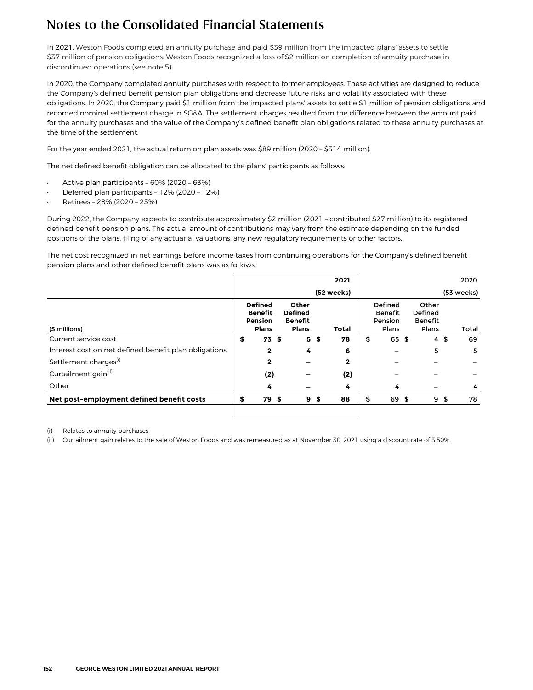**In** 2021**, Weston Foods completed an annuity purchase and paid \$39 million from the impacted plans' assets to settle \$37 million of pension obligations. Weston Foods recognized a loss of** \$2 **million on completion of annuity purchase in discontinued operations (see note 5).** 

In 2020, the Company completed annuity purchases with respect to former employees. These activities are designed to reduce the Company's defined benefit pension plan obligations and decrease future risks and volatility associated with these obligations. In 2020, the Company paid \$1 million from the impacted plans' assets to settle \$1 million of pension obligations and recorded nominal settlement charge in SG&A. The settlement charges resulted from the difference between the amount paid for the annuity purchases and the value of the Company's defined benefit plan obligations related to these annuity purchases at the time of the settlement.

For the year ended 2021, the actual return on plan assets was \$89 million (2020 – \$314 million).

The net defined benefit obligation can be allocated to the plans' participants as follows:

- Active plan participants 60% (2020 63%)
- Deferred plan participants 12% (2020 12%)
- Retirees 28% (2020 25%)

During 2022, the Company expects to contribute approximately \$2 million (2021 – contributed \$27 million) to its registered defined benefit pension plans. The actual amount of contributions may vary from the estimate depending on the funded positions of the plans, filing of any actuarial valuations, any new regulatory requirements or other factors.

The net cost recognized in net earnings before income taxes from continuing operations for the Company's defined benefit pension plans and other defined benefit plans was as follows:

|                                                       |                                                             |                                                           |                | 2021         |                                               |                                             |     | 2020       |
|-------------------------------------------------------|-------------------------------------------------------------|-----------------------------------------------------------|----------------|--------------|-----------------------------------------------|---------------------------------------------|-----|------------|
|                                                       |                                                             |                                                           |                | (52 weeks)   |                                               |                                             |     | (53 weeks) |
| (\$ millions)                                         | <b>Defined</b><br><b>Benefit</b><br>Pension<br><b>Plans</b> | Other<br><b>Defined</b><br><b>Benefit</b><br><b>Plans</b> |                | Total        | Defined<br><b>Benefit</b><br>Pension<br>Plans | Other<br>Defined<br><b>Benefit</b><br>Plans |     | Total      |
| Current service cost                                  | \$<br>73 <sub>5</sub>                                       |                                                           | 5 <sub>5</sub> | 78           | \$<br>65 \$                                   |                                             | 4\$ | 69         |
| Interest cost on net defined benefit plan obligations | 2                                                           | 4                                                         |                | 6            |                                               | 5                                           |     | 5          |
| Settlement charges <sup>(i)</sup>                     | 2                                                           |                                                           |                | $\mathbf{2}$ |                                               |                                             |     |            |
| Curtailment gain <sup>(ii)</sup>                      | (2)                                                         |                                                           |                | (2)          |                                               |                                             |     |            |
| Other                                                 | 4                                                           |                                                           |                | 4            | 4                                             |                                             |     | 4          |
| Net post-employment defined benefit costs             | \$<br>79 \$                                                 |                                                           | 9 <sup>5</sup> | 88           | \$<br>69 \$                                   |                                             | 9\$ | 78         |

(i) Relates to annuity purchases.

**(ii)** Curtailment gain relates to the sale of Weston Foods and was remeasured as at November 30, 2021 using a discount rate of 3.50%.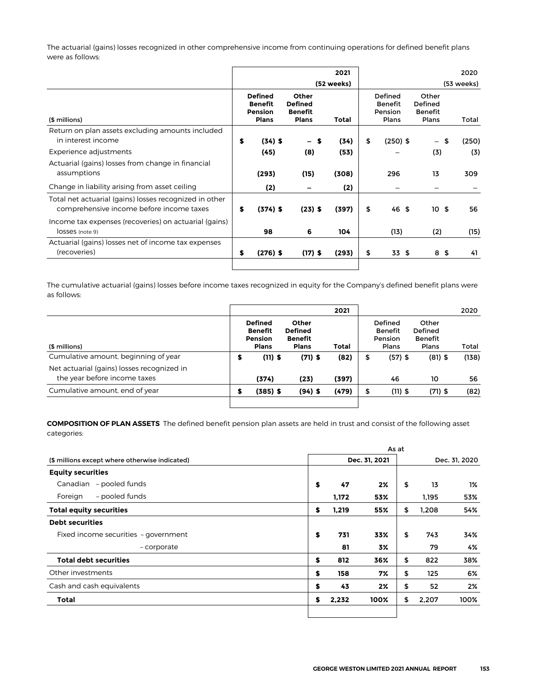The actuarial (gains) losses recognized in other comprehensive income from continuing operations for defined benefit plans were as follows:

|                                                                                                    | 2021 |                                                             |                                                           |            |    |                                               |                                             | 2020       |
|----------------------------------------------------------------------------------------------------|------|-------------------------------------------------------------|-----------------------------------------------------------|------------|----|-----------------------------------------------|---------------------------------------------|------------|
|                                                                                                    |      |                                                             |                                                           | (52 weeks) |    |                                               |                                             | (53 weeks) |
| (\$ millions)                                                                                      |      | <b>Defined</b><br><b>Benefit</b><br>Pension<br><b>Plans</b> | Other<br><b>Defined</b><br><b>Benefit</b><br><b>Plans</b> | Total      |    | Defined<br><b>Benefit</b><br>Pension<br>Plans | Other<br>Defined<br><b>Benefit</b><br>Plans | Total      |
| Return on plan assets excluding amounts included<br>in interest income                             | \$   | $(34)$ \$                                                   | – S                                                       | (34)       | \$ | $(250)$ \$                                    | - \$                                        | (250)      |
| Experience adjustments                                                                             |      | (45)                                                        | (8)                                                       | (53)       |    |                                               | (3)                                         | (3)        |
| Actuarial (gains) losses from change in financial<br>assumptions                                   |      | (293)                                                       | (15)                                                      | (308)      |    | 296                                           | 13                                          | 309        |
| Change in liability arising from asset ceiling                                                     |      | (2)                                                         |                                                           | (2)        |    |                                               |                                             |            |
| Total net actuarial (gains) losses recognized in other<br>comprehensive income before income taxes | \$   | $(374)$ \$                                                  | $(23)$ \$                                                 | (397)      | \$ | 46 \$                                         | 10 <sub>5</sub>                             | 56         |
| Income tax expenses (recoveries) on actuarial (gains)<br>losses (note 9)                           |      | 98                                                          | 6                                                         | 104        |    | (13)                                          | (2)                                         | (15)       |
| Actuarial (gains) losses net of income tax expenses<br>(recoveries)                                | \$   | $(276)$ \$                                                  | $(17)$ \$                                                 | (293)      | \$ | 33 \$                                         | 8\$                                         | 41         |
|                                                                                                    |      |                                                             |                                                           |            |    |                                               |                                             |            |

The cumulative actuarial (gains) losses before income taxes recognized in equity for the Company's defined benefit plans were as follows:

|                                                                            |                                                             |                                                                  | 2021  |    |                                               |                                             | 2020  |
|----------------------------------------------------------------------------|-------------------------------------------------------------|------------------------------------------------------------------|-------|----|-----------------------------------------------|---------------------------------------------|-------|
| (\$ millions)                                                              | <b>Defined</b><br>Benefit<br><b>Pension</b><br><b>Plans</b> | <b>Other</b><br><b>Defined</b><br><b>Benefit</b><br><b>Plans</b> | Total |    | Defined<br><b>Benefit</b><br>Pension<br>Plans | Other<br>Defined<br><b>Benefit</b><br>Plans | Total |
| Cumulative amount, beginning of year                                       | \$<br>$(11)$ \$                                             | $(71)$ \$                                                        | (82)  | \$ | $(57)$ \$                                     | $(81)$ \$                                   | (138) |
| Net actuarial (gains) losses recognized in<br>the year before income taxes | (374)                                                       | (23)                                                             | (397) |    | 46                                            | 10                                          | 56    |
| Cumulative amount, end of year                                             | \$<br>$(385)$ \$                                            | $(94)$ \$                                                        | (479) | S  | $(11)$ \$                                     | $(71)$ \$                                   | (82)  |
|                                                                            |                                                             |                                                                  |       |    |                                               |                                             |       |

**COMPOSITION OF PLAN ASSETS** The defined benefit pension plan assets are held in trust and consist of the following asset categories:

| Canadian - pooled funds<br>- pooled funds<br>Foreign |             |               | As at |       |               |
|------------------------------------------------------|-------------|---------------|-------|-------|---------------|
| (\$ millions except where otherwise indicated)       |             | Dec. 31, 2021 |       |       | Dec. 31, 2020 |
| <b>Equity securities</b>                             |             |               |       |       |               |
|                                                      | \$<br>47    | $2\%$         | \$    | 13    | 1%            |
|                                                      | 1,172       | 53%           |       | 1,195 | 53%           |
| <b>Total equity securities</b>                       | \$<br>1,219 | 55%           | \$    | 1.208 | 54%           |
| <b>Debt securities</b>                               |             |               |       |       |               |
| Fixed income securities - government                 | \$<br>731   | 33%           | \$    | 743   | 34%           |
| - corporate                                          | 81          | 3%            |       | 79    | 4%            |
| <b>Total debt securities</b>                         | \$<br>812   | 36%           | \$    | 822   | 38%           |
| Other investments                                    | \$<br>158   | 7%            | \$    | 125   | 6%            |
| Cash and cash equivalents                            | \$<br>43    | 2%            | \$    | 52    | 2%            |
| Total                                                | \$<br>2,232 | 100%          | \$    | 2.207 | 100%          |
|                                                      |             |               |       |       |               |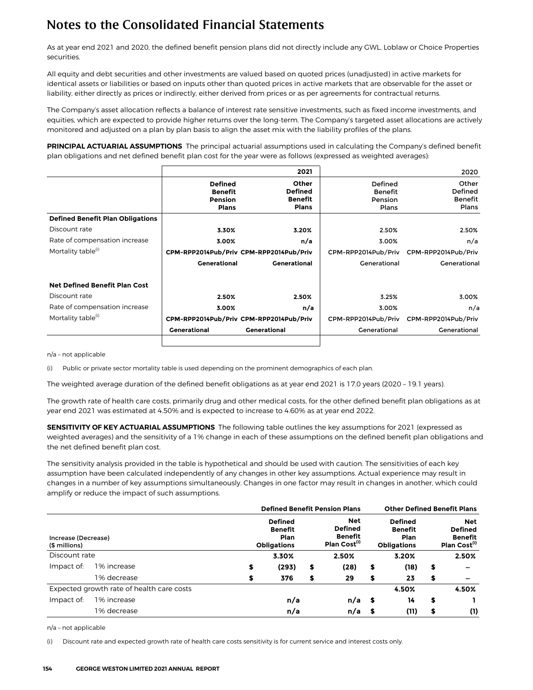As at year end 2021 and 2020, the defined benefit pension plans did not directly include any GWL, Loblaw or Choice Properties securities.

All equity and debt securities and other investments are valued based on quoted prices (unadjusted) in active markets for identical assets or liabilities or based on inputs other than quoted prices in active markets that are observable for the asset or liability, either directly as prices or indirectly, either derived from prices or as per agreements for contractual returns.

The Company's asset allocation reflects a balance of interest rate sensitive investments, such as fixed income investments, and equities, which are expected to provide higher returns over the long-term. The Company's targeted asset allocations are actively monitored and adjusted on a plan by plan basis to align the asset mix with the liability profiles of the plans.

**PRINCIPAL ACTUARIAL ASSUMPTIONS** The principal actuarial assumptions used in calculating the Company's defined benefit plan obligations and net defined benefit plan cost for the year were as follows (expressed as weighted averages):

|                                         |                                                                    | 2021                                                             |                                               | 2020                                               |
|-----------------------------------------|--------------------------------------------------------------------|------------------------------------------------------------------|-----------------------------------------------|----------------------------------------------------|
|                                         | <b>Defined</b><br><b>Benefit</b><br><b>Pension</b><br><b>Plans</b> | <b>Other</b><br><b>Defined</b><br><b>Benefit</b><br><b>Plans</b> | Defined<br><b>Benefit</b><br>Pension<br>Plans | Other<br>Defined<br><b>Benefit</b><br><b>Plans</b> |
| <b>Defined Benefit Plan Obligations</b> |                                                                    |                                                                  |                                               |                                                    |
| Discount rate                           | 3.30%                                                              | 3.20%                                                            | 2.50%                                         | 2.50%                                              |
| Rate of compensation increase           | 3.00%                                                              | n/a                                                              | 3.00%                                         | n/a                                                |
| Mortality table <sup>(i)</sup>          |                                                                    | CPM-RPP2014Pub/Priv CPM-RPP2014Pub/Priv                          | CPM-RPP2014Pub/Priv                           | CPM-RPP2014Pub/Priv                                |
|                                         | <b>Generational</b>                                                | <b>Generational</b>                                              | Generational                                  | Generational                                       |
| <b>Net Defined Benefit Plan Cost</b>    |                                                                    |                                                                  |                                               |                                                    |
| Discount rate                           | 2.50%                                                              | 2.50%                                                            | 3.25%                                         | 3.00%                                              |
| Rate of compensation increase           | 3.00%                                                              | n/a                                                              | 3.00%                                         | n/a                                                |
| Mortality table <sup>(i)</sup>          |                                                                    | CPM-RPP2014Pub/Priv CPM-RPP2014Pub/Priv                          | CPM-RPP2014Pub/Priv                           | CPM-RPP2014Pub/Priv                                |
|                                         | <b>Generational</b>                                                | <b>Generational</b>                                              | Generational                                  | Generational                                       |
|                                         |                                                                    |                                                                  |                                               |                                                    |

n/a – not applicable

(i) Public or private sector mortality table is used depending on the prominent demographics of each plan.

The weighted average duration of the defined benefit obligations as at year end 2021 is 17.0 years (2020 – 19.1 years).

The growth rate of health care costs, primarily drug and other medical costs, for the other defined benefit plan obligations as at year end 2021 was estimated at 4.50% and is expected to increase to 4.60% as at year end 2022.

**SENSITIVITY OF KEY ACTUARIAL ASSUMPTIONS** The following table outlines the key assumptions for 2021 (expressed as weighted averages) and the sensitivity of a 1% change in each of these assumptions on the defined benefit plan obligations and the net defined benefit plan cost.

The sensitivity analysis provided in the table is hypothetical and should be used with caution. The sensitivities of each key assumption have been calculated independently of any changes in other key assumptions. Actual experience may result in changes in a number of key assumptions simultaneously. Changes in one factor may result in changes in another, which could amplify or reduce the impact of such assumptions.

|                                      |                                           |                                                                |       |    | <b>Defined Benefit Pension Plans</b>                                |    | <b>Other Defined Benefit Plans</b>                             |    |                                                                            |
|--------------------------------------|-------------------------------------------|----------------------------------------------------------------|-------|----|---------------------------------------------------------------------|----|----------------------------------------------------------------|----|----------------------------------------------------------------------------|
| Increase (Decrease)<br>(\$ millions) |                                           | <b>Defined</b><br><b>Benefit</b><br>Plan<br><b>Obligations</b> |       |    | Net<br><b>Defined</b><br><b>Benefit</b><br>Plan Cost <sup>(1)</sup> |    | <b>Defined</b><br><b>Benefit</b><br>Plan<br><b>Obligations</b> |    | <b>Net</b><br><b>Defined</b><br><b>Benefit</b><br>Plan Cost <sup>(i)</sup> |
| Discount rate                        |                                           |                                                                | 3.30% |    | 2.50%                                                               |    | 3.20%                                                          |    | 2.50%                                                                      |
| Impact of:                           | 1% increase                               | \$                                                             | (293) | \$ | (28)                                                                | \$ | (18)                                                           | \$ |                                                                            |
|                                      | 1% decrease                               |                                                                | 376   | \$ | 29                                                                  | \$ | 23                                                             | \$ | $\overline{\phantom{0}}$                                                   |
|                                      | Expected growth rate of health care costs |                                                                |       |    |                                                                     |    | 4.50%                                                          |    | 4.50%                                                                      |
| Impact of:                           | 1% increase                               |                                                                | n/a   |    | $n/a$ \$                                                            |    | 14                                                             | \$ |                                                                            |
|                                      | 1% decrease                               |                                                                | n/a   |    | n/a \$                                                              |    | (11)                                                           | \$ | (1)                                                                        |

n/a – not applicable

(i) Discount rate and expected growth rate of health care costs sensitivity is for current service and interest costs only.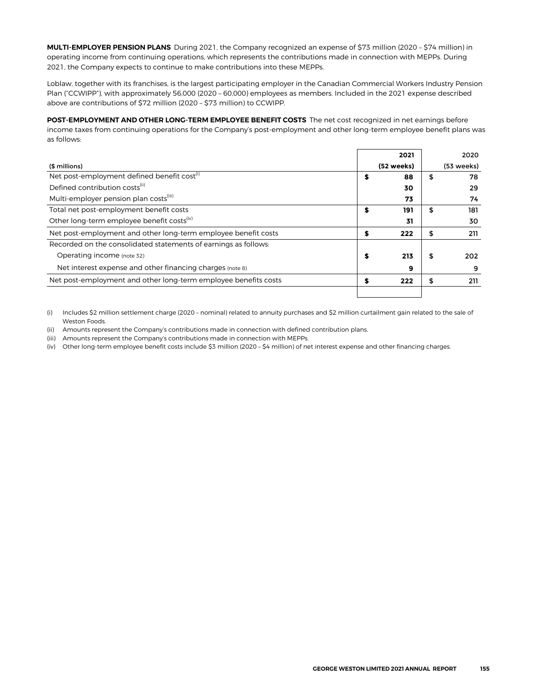**MULTI-EMPLOYER PENSION PLANS** During 2021, the Company recognized an expense of \$73 million (2020 – \$74 million) in operating income from continuing operations, which represents the contributions made in connection with MEPPs. During 2021, the Company expects to continue to make contributions into these MEPPs.

Loblaw, together with its franchises, is the largest participating employer in the Canadian Commercial Workers Industry Pension Plan ("CCWIPP"), with approximately 56,000 (2020 – 60,000) employees as members. Included in the 2021 expense described above are contributions of \$72 million (2020 – \$73 million) to CCWIPP.

**POST-EMPLOYMENT AND OTHER LONG-TERM EMPLOYEE BENEFIT COSTS** The net cost recognized in net earnings before income taxes from continuing operations for the Company's post-employment and other long-term employee benefit plans was as follows:

|                                                                 |   | 2021       |    | 2020       |
|-----------------------------------------------------------------|---|------------|----|------------|
| (\$ millions)                                                   |   | (52 weeks) |    | (53 weeks) |
| Net post-employment defined benefit cost <sup>(1)</sup>         | S | 88         | \$ | 78         |
| Defined contribution costs <sup>(ii)</sup>                      |   | 30         |    | 29         |
| Multi-employer pension plan costs <sup>(iii)</sup>              |   | 73         |    | 74         |
| Total net post-employment benefit costs                         | S | 191        | S  | 181        |
| Other long-term employee benefit costs <sup>(iv)</sup>          |   | 31         |    | 30         |
| Net post-employment and other long-term employee benefit costs  | S | 222        | \$ | 211        |
| Recorded on the consolidated statements of earnings as follows: |   |            |    |            |
| Operating income (note 32)                                      | S | 213        | \$ | 202        |
| Net interest expense and other financing charges (note 8)       |   | 9          |    | 9          |
| Net post-employment and other long-term employee benefits costs | S | 222        | \$ | 211        |
|                                                                 |   |            |    |            |

(i) Includes \$2 million settlement charge (2020 – nominal) related to annuity purchases and \$2 million curtailment gain related to the sale of Weston Foods.

(ii) Amounts represent the Company's contributions made in connection with defined contribution plans.

(iii) Amounts represent the Company's contributions made in connection with MEPPs.

(iv) Other long-term employee benefit costs include \$3 million (2020 – \$4 million) of net interest expense and other financing charges.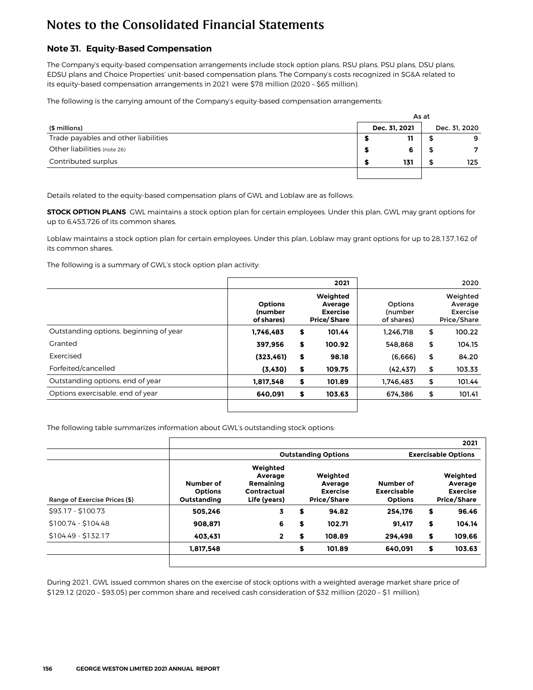### **Note 31. Equity-Based Compensation**

The Company's equity-based compensation arrangements include stock option plans, RSU plans, PSU plans, DSU plans, EDSU plans and Choice Properties' unit-based compensation plans. The Company's costs recognized in SG&A related to its equity-based compensation arrangements in 2021 were \$78 million (2020 – \$65 million).

The following is the carrying amount of the Company's equity-based compensation arrangements:

|                                      |               | As at |               |
|--------------------------------------|---------------|-------|---------------|
| (\$ millions)                        | Dec. 31, 2021 |       | Dec. 31, 2020 |
| Trade payables and other liabilities | 11            |       | 9             |
| Other liabilities (note 26)          | 6             |       | 7             |
| Contributed surplus                  | 131           |       | 125           |
|                                      |               |       |               |

Details related to the equity-based compensation plans of GWL and Loblaw are as follows:

**STOCK OPTION PLANS** GWL maintains a stock option plan for certain employees. Under this plan, GWL may grant options for up to 6,453,726 of its common shares.

Loblaw maintains a stock option plan for certain employees. Under this plan, Loblaw may grant options for up to 28,137,162 of its common shares.

The following is a summary of GWL's stock option plan activity:

|                                        |                                                | 2021                                                         |                                  | 2020                                           |
|----------------------------------------|------------------------------------------------|--------------------------------------------------------------|----------------------------------|------------------------------------------------|
|                                        | <b>Options</b><br><b>(number</b><br>of shares) | Weighted<br>Average<br><b>Exercise</b><br><b>Price/Share</b> | Options<br>(number<br>of shares) | Weighted<br>Average<br>Exercise<br>Price/Share |
| Outstanding options, beginning of year | 1.746.483                                      | \$<br>101.44                                                 | 1.246.718                        | \$<br>100.22                                   |
| Granted                                | 397,956                                        | \$<br>100.92                                                 | 548.868                          | \$<br>104.15                                   |
| Exercised                              | (323, 461)                                     | \$<br>98.18                                                  | (6,666)                          | \$<br>84.20                                    |
| Forfeited/cancelled                    | (3,430)                                        | \$<br>109.75                                                 | (42, 437)                        | \$<br>103.33                                   |
| Outstanding options, end of year       | 1,817,548                                      | \$<br>101.89                                                 | 1.746.483                        | \$<br>101.44                                   |
| Options exercisable, end of year       | 640.091                                        | \$<br>103.63                                                 | 674.386                          | \$<br>101.41                                   |
|                                        |                                                |                                                              |                                  |                                                |

The following table summarizes information about GWL's outstanding stock options:

|                               |                                            |                                                                 |    |                                                              |                                                   | 2021                                                         |
|-------------------------------|--------------------------------------------|-----------------------------------------------------------------|----|--------------------------------------------------------------|---------------------------------------------------|--------------------------------------------------------------|
|                               | <b>Outstanding Options</b>                 |                                                                 |    |                                                              |                                                   | <b>Exercisable Options</b>                                   |
| Range of Exercise Prices (\$) | Number of<br><b>Options</b><br>Outstanding | Weighted<br>Average<br>Remaining<br>Contractual<br>Life (years) |    | Weighted<br>Average<br><b>Exercise</b><br><b>Price/Share</b> | Number of<br><b>Exercisable</b><br><b>Options</b> | Weighted<br>Average<br><b>Exercise</b><br><b>Price/Share</b> |
| \$93.17 - \$100.73            | 505.246                                    | 3                                                               | S  | 94.82                                                        | 254.176                                           | \$<br>96.46                                                  |
| $$100.74 - $104.48$           | 908.871                                    | 6                                                               | \$ | 102.71                                                       | 91.417                                            | \$<br>104.14                                                 |
| $$104.49 - $132.17$           | 403.431                                    | $\overline{2}$                                                  | S  | 108.89                                                       | 294.498                                           | \$<br>109.66                                                 |
|                               | 1.817.548                                  |                                                                 | \$ | 101.89                                                       | 640.091                                           | \$<br>103.63                                                 |
|                               |                                            |                                                                 |    |                                                              |                                                   |                                                              |

During 2021, GWL issued common shares on the exercise of stock options with a weighted average market share price of \$129.12 (2020 – \$93.05) per common share and received cash consideration of \$32 million (2020 – \$1 million).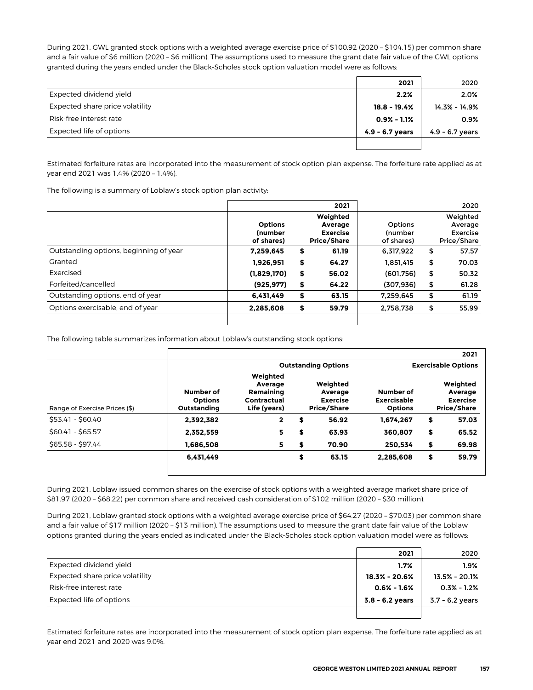During 2021, GWL granted stock options with a weighted average exercise price of \$100.92 (2020 – \$104.15) per common share and a fair value of \$6 million (2020 - \$6 million). The assumptions used to measure the grant date fair value of the GWL options granted during the years ended under the Black-Scholes stock option valuation model were as follows:

|                                 | 2021              | 2020              |
|---------------------------------|-------------------|-------------------|
| Expected dividend yield         | 2.2%              | 2.0%              |
| Expected share price volatility | $18.8 - 19.4%$    | 14.3% - 14.9%     |
| Risk-free interest rate         | $0.9\% - 1.1\%$   | 0.9%              |
| Expected life of options        | $4.9 - 6.7$ years | $4.9 - 6.7$ years |
|                                 |                   |                   |

Estimated forfeiture rates are incorporated into the measurement of stock option plan expense. The forfeiture rate applied as at year end 2021 was 1.4% (2020 – 1.4%).

The following is a summary of Loblaw's stock option plan activity:

|                                        |                                                | 2021                                                  |                                  | 2020                                           |
|----------------------------------------|------------------------------------------------|-------------------------------------------------------|----------------------------------|------------------------------------------------|
|                                        | <b>Options</b><br><b>(number</b><br>of shares) | Weighted<br>Average<br><b>Exercise</b><br>Price/Share | Options<br>(number<br>of shares) | Weighted<br>Average<br>Exercise<br>Price/Share |
| Outstanding options, beginning of year | 7.259.645                                      | \$<br>61.19                                           | 6.317.922                        | \$<br>57.57                                    |
| Granted                                | 1.926.951                                      | \$<br>64.27                                           | 1.851.415                        | \$<br>70.03                                    |
| Exercised                              | (1,829,170)                                    | \$<br>56.02                                           | (601,756)                        | \$<br>50.32                                    |
| Forfeited/cancelled                    | (925, 977)                                     | \$<br>64.22                                           | (307,936)                        | \$<br>61.28                                    |
| Outstanding options, end of year       | 6.431.449                                      | \$<br>63.15                                           | 7.259.645                        | \$<br>61.19                                    |
| Options exercisable, end of year       | 2,285,608                                      | \$<br>59.79                                           | 2,758,738                        | \$<br>55.99                                    |

The following table summarizes information about Loblaw's outstanding stock options:

|                                            |                                                                 |    |                                        |                                                   | 2021                                                  |
|--------------------------------------------|-----------------------------------------------------------------|----|----------------------------------------|---------------------------------------------------|-------------------------------------------------------|
|                                            | <b>Outstanding Options</b>                                      |    |                                        |                                                   | <b>Exercisable Options</b>                            |
| Number of<br><b>Options</b><br>Outstanding | Weighted<br>Average<br>Remaining<br>Contractual<br>Life (years) |    | Weighted<br>Average<br><b>Exercise</b> | Number of<br><b>Exercisable</b><br><b>Options</b> | Weighted<br>Average<br><b>Exercise</b><br>Price/Share |
| 2.392.382                                  | $\mathbf{2}$                                                    | \$ | 56.92                                  | 1.674.267                                         | \$<br>57.03                                           |
| 2.352.559                                  | 5.                                                              | \$ | 63.93                                  | 360.807                                           | \$<br>65.52                                           |
| 1.686.508                                  | 5                                                               | \$ | 70.90                                  | 250.534                                           | \$<br>69.98                                           |
| 6,431,449                                  |                                                                 | \$ | 63.15                                  | 2.285.608                                         | \$<br>59.79                                           |
|                                            |                                                                 |    |                                        | Price/Share                                       |                                                       |

During 2021, Loblaw issued common shares on the exercise of stock options with a weighted average market share price of \$81.97 (2020 – \$68.22) per common share and received cash consideration of \$102 million (2020 – \$30 million).

During 2021, Loblaw granted stock options with a weighted average exercise price of \$64.27 (2020 – \$70.03) per common share and a fair value of \$17 million (2020 – \$13 million). The assumptions used to measure the grant date fair value of the Loblaw options granted during the years ended as indicated under the Black-Scholes stock option valuation model were as follows:

|                                 | 2021              | 2020            |
|---------------------------------|-------------------|-----------------|
| Expected dividend yield         | 1.7%              | $1.9\%$         |
| Expected share price volatility | $18.3\% - 20.6\%$ | 13.5% - 20.1%   |
| Risk-free interest rate         | $0.6\% - 1.6\%$   | $0.3\% - 1.2\%$ |
| Expected life of options        | $3.8 - 6.2$ years | 3.7 - 6.2 years |
|                                 |                   |                 |

Estimated forfeiture rates are incorporated into the measurement of stock option plan expense. The forfeiture rate applied as at year end 2021 and 2020 was 9.0%.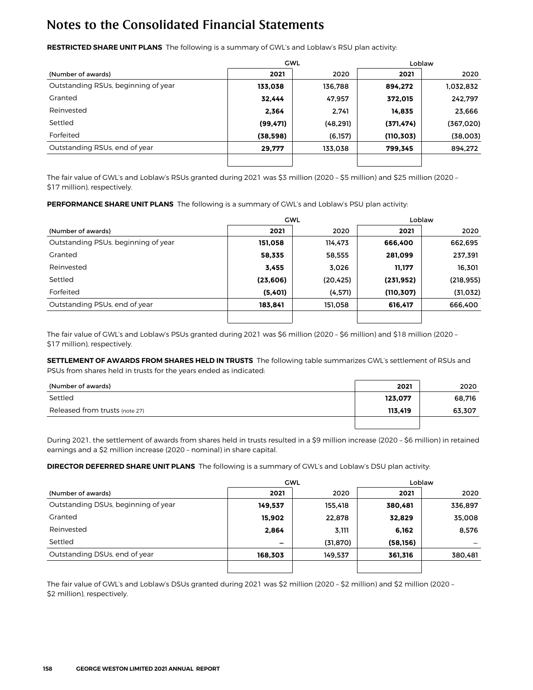**RESTRICTED SHARE UNIT PLANS** The following is a summary of GWL's and Loblaw's RSU plan activity:

|                                     |           | <b>GWL</b> | Loblaw     |           |  |
|-------------------------------------|-----------|------------|------------|-----------|--|
| (Number of awards)                  | 2021      | 2020       | 2021       | 2020      |  |
| Outstanding RSUs, beginning of year | 133,038   | 136,788    | 894.272    | 1,032,832 |  |
| Granted                             | 32,444    | 47,957     | 372,015    | 242,797   |  |
| Reinvested                          | 2,364     | 2.741      | 14,835     | 23,666    |  |
| Settled                             | (99, 471) | (48, 291)  | (371, 474) | (367,020) |  |
| Forfeited                           | (38, 598) | (6, 157)   | (110, 303) | (38,003)  |  |
| Outstanding RSUs, end of year       | 29,777    | 133,038    | 799,345    | 894,272   |  |
|                                     |           |            |            |           |  |

The fair value of GWL's and Loblaw's RSUs granted during 2021 was \$3 million (2020 – \$5 million) and \$25 million (2020 – \$17 million), respectively.

**PERFORMANCE SHARE UNIT PLANS** The following is a summary of GWL's and Loblaw's PSU plan activity:

|                                     |           | <b>GWL</b> | Loblaw     |            |  |
|-------------------------------------|-----------|------------|------------|------------|--|
| (Number of awards)                  | 2021      | 2020       | 2021       | 2020       |  |
| Outstanding PSUs, beginning of year | 151.058   | 114,473    | 666.400    | 662,695    |  |
| Granted                             | 58,335    | 58,555     | 281,099    | 237,391    |  |
| Reinvested                          | 3,455     | 3,026      | 11,177     | 16,301     |  |
| Settled                             | (23, 606) | (20,425)   | (231, 952) | (218, 955) |  |
| Forfeited                           | (5,401)   | (4,571)    | (110, 307) | (31, 032)  |  |
| Outstanding PSUs, end of year       | 183.841   | 151,058    | 616,417    | 666,400    |  |
|                                     |           |            |            |            |  |

The fair value of GWL's and Loblaw's PSUs granted during 2021 was \$6 million (2020 – \$6 million) and \$18 million (2020 – \$17 million), respectively.

**SETTLEMENT OF AWARDS FROM SHARES HELD IN TRUSTS** The following table summarizes GWL's settlement of RSUs and PSUs from shares held in trusts for the years ended as indicated:

| (Number of awards)             | 2021    | 2020   |
|--------------------------------|---------|--------|
| Settled                        | 123,077 | 68,716 |
| Released from trusts (note 27) | 113,419 | 63,307 |
|                                |         |        |

During 2021, the settlement of awards from shares held in trusts resulted in a \$9 million increase (2020 – \$6 million) in retained earnings and a \$2 million increase (2020 – nominal) in share capital.

**DIRECTOR DEFERRED SHARE UNIT PLANS** The following is a summary of GWL's and Loblaw's DSU plan activity:

|                                     |                 | <b>GWL</b> | Loblaw    |         |  |
|-------------------------------------|-----------------|------------|-----------|---------|--|
| (Number of awards)                  | 2021            | 2020       | 2021      | 2020    |  |
| Outstanding DSUs, beginning of year | 149,537         | 155,418    | 380,481   | 336,897 |  |
| Granted                             | 15,902          | 22,878     | 32,829    | 35,008  |  |
| Reinvested                          | 2,864           | 3,111      | 6,162     | 8,576   |  |
| Settled                             | $\qquad \qquad$ | (31, 870)  | (58, 156) |         |  |
| Outstanding DSUs, end of year       | 168,303         | 149,537    | 361,316   | 380,481 |  |
|                                     |                 |            |           |         |  |

The fair value of GWL's and Loblaw's DSUs granted during 2021 was \$2 million (2020 – \$2 million) and \$2 million (2020 – \$2 million), respectively.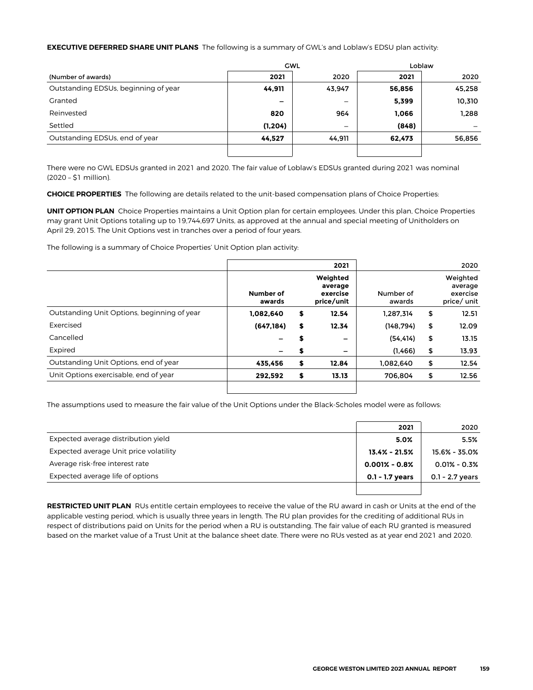#### **EXECUTIVE DEFERRED SHARE UNIT PLANS** The following is a summary of GWL's and Loblaw's EDSU plan activity:

|                                      |                          | <b>GWL</b>               | Loblaw |        |  |  |
|--------------------------------------|--------------------------|--------------------------|--------|--------|--|--|
| (Number of awards)                   | 2021                     | 2020                     | 2021   | 2020   |  |  |
| Outstanding EDSUs, beginning of year | 44,911                   | 43,947                   | 56,856 | 45,258 |  |  |
| Granted                              | $\overline{\phantom{0}}$ |                          | 5,399  | 10,310 |  |  |
| Reinvested                           | 820                      | 964                      | 1,066  | 1,288  |  |  |
| Settled                              | (1, 204)                 | $\overline{\phantom{m}}$ | (848)  |        |  |  |
| Outstanding EDSUs, end of year       | 44,527                   | 44,911                   | 62,473 | 56,856 |  |  |
|                                      |                          |                          |        |        |  |  |

There were no GWL EDSUs granted in 2021 and 2020. The fair value of Loblaw's EDSUs granted during 2021 was nominal (2020 – \$1 million).

**CHOICE PROPERTIES** The following are details related to the unit-based compensation plans of Choice Properties:

**UNIT OPTION PLAN** Choice Properties maintains a Unit Option plan for certain employees. Under this plan, Choice Properties may grant Unit Options totaling up to 19,744,697 Units, as approved at the annual and special meeting of Unitholders on April 29, 2015. The Unit Options vest in tranches over a period of four years.

The following is a summary of Choice Properties' Unit Option plan activity:

|                                             |                     |    | 2021                                          |                     | 2020                                           |
|---------------------------------------------|---------------------|----|-----------------------------------------------|---------------------|------------------------------------------------|
|                                             | Number of<br>awards |    | Weighted<br>average<br>exercise<br>price/unit | Number of<br>awards | Weighted<br>average<br>exercise<br>price/ unit |
| Outstanding Unit Options, beginning of year | 1,082,640           | \$ | 12.54                                         | 1.287.314           | \$<br>12.51                                    |
| Exercised                                   | (647, 184)          | \$ | 12.34                                         | (148, 794)          | \$<br>12.09                                    |
| Cancelled                                   |                     | S  | -                                             | (54, 414)           | \$<br>13.15                                    |
| Expired                                     | -                   | S  | -                                             | (1,466)             | \$<br>13.93                                    |
| Outstanding Unit Options, end of year       | 435,456             | \$ | 12.84                                         | 1,082,640           | \$<br>12.54                                    |
| Unit Options exercisable, end of year       | 292.592             | \$ | 13.13                                         | 706.804             | \$<br>12.56                                    |
|                                             |                     |    |                                               |                     |                                                |

The assumptions used to measure the fair value of the Unit Options under the Black-Scholes model were as follows:

|                                        | 2021              | 2020              |
|----------------------------------------|-------------------|-------------------|
| Expected average distribution vield    | 5.0%              | 5.5%              |
| Expected average Unit price volatility | $13.4\% - 21.5\%$ | 15.6% - 35.0%     |
| Average risk-free interest rate        | $0.001\% - 0.8\%$ | $0.01\% - 0.3\%$  |
| Expected average life of options       | $0.1 - 1.7$ years | $0.1 - 2.7$ years |
|                                        |                   |                   |

**RESTRICTED UNIT PLAN** RUs entitle certain employees to receive the value of the RU award in cash or Units at the end of the applicable vesting period, which is usually three years in length. The RU plan provides for the crediting of additional RUs in respect of distributions paid on Units for the period when a RU is outstanding. The fair value of each RU granted is measured based on the market value of a Trust Unit at the balance sheet date. There were no RUs vested as at year end 2021 and 2020.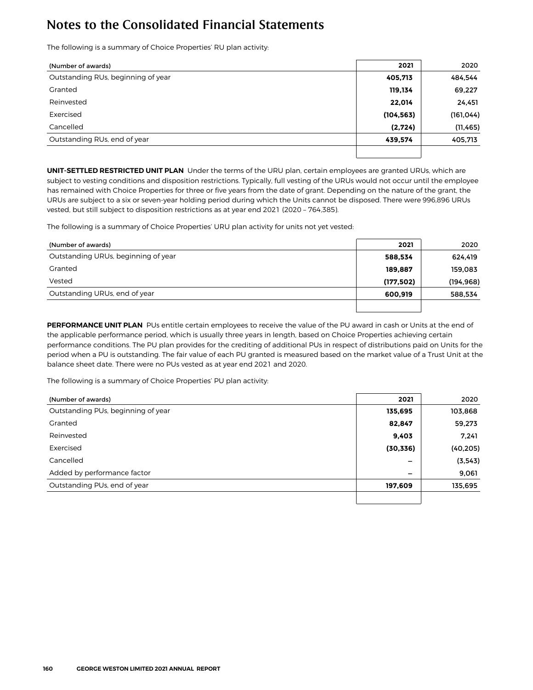The following is a summary of Choice Properties' RU plan activity:

| (Number of awards)                 | 2021       | 2020       |
|------------------------------------|------------|------------|
| Outstanding RUs, beginning of year | 405,713    | 484,544    |
| Granted                            | 119,134    | 69,227     |
| Reinvested                         | 22,014     | 24,451     |
| Exercised                          | (104, 563) | (161, 044) |
| Cancelled                          | (2,724)    | (11, 465)  |
| Outstanding RUs, end of year       | 439,574    | 405,713    |
|                                    |            |            |

**UNIT-SETTLED RESTRICTED UNIT PLAN** Under the terms of the URU plan, certain employees are granted URUs, which are subject to vesting conditions and disposition restrictions. Typically, full vesting of the URUs would not occur until the employee has remained with Choice Properties for three or five years from the date of grant. Depending on the nature of the grant, the URUs are subject to a six or seven-year holding period during which the Units cannot be disposed. There were 996,896 URUs vested, but still subject to disposition restrictions as at year end 2021 (2020 – 764,385).

The following is a summary of Choice Properties' URU plan activity for units not yet vested:

| (Number of awards)                  | 2021      | 2020       |
|-------------------------------------|-----------|------------|
| Outstanding URUs, beginning of year | 588,534   | 624.419    |
| Granted                             | 189.887   | 159,083    |
| Vested                              | (177,502) | (194, 968) |
| Outstanding URUs, end of year       | 600.919   | 588,534    |
|                                     |           |            |

**PERFORMANCE UNIT PLAN** PUs entitle certain employees to receive the value of the PU award in cash or Units at the end of the applicable performance period, which is usually three years in length, based on Choice Properties achieving certain performance conditions. The PU plan provides for the crediting of additional PUs in respect of distributions paid on Units for the period when a PU is outstanding. The fair value of each PU granted is measured based on the market value of a Trust Unit at the balance sheet date. There were no PUs vested as at year end 2021 and 2020.

The following is a summary of Choice Properties' PU plan activity:

| (Number of awards)                 | 2021      | 2020      |
|------------------------------------|-----------|-----------|
| Outstanding PUs, beginning of year | 135,695   | 103,868   |
| Granted                            | 82,847    | 59,273    |
| Reinvested                         | 9,403     | 7.241     |
| Exercised                          | (30, 336) | (40, 205) |
| Cancelled                          | -         | (3, 543)  |
| Added by performance factor        | -         | 9,061     |
| Outstanding PUs, end of year       | 197,609   | 135,695   |
|                                    |           |           |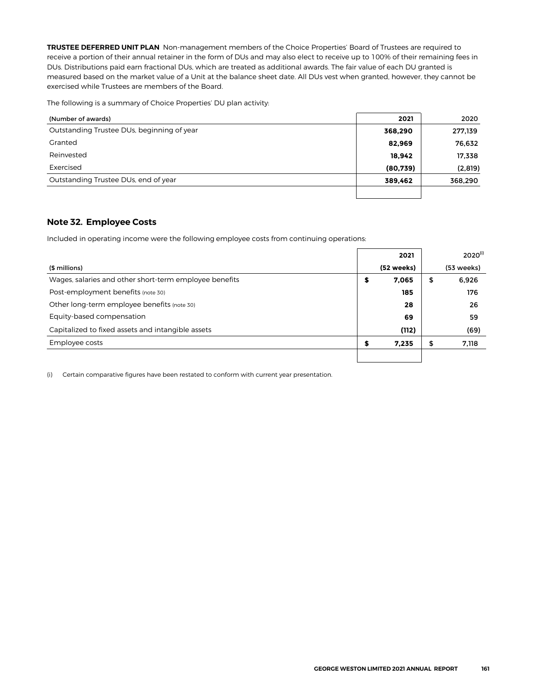**TRUSTEE DEFERRED UNIT PLAN** Non-management members of the Choice Properties' Board of Trustees are required to receive a portion of their annual retainer in the form of DUs and may also elect to receive up to 100% of their remaining fees in DUs. Distributions paid earn fractional DUs, which are treated as additional awards. The fair value of each DU granted is measured based on the market value of a Unit at the balance sheet date. All DUs vest when granted, however, they cannot be exercised while Trustees are members of the Board.

The following is a summary of Choice Properties' DU plan activity:

| (Number of awards)                         | 2021      | 2020    |
|--------------------------------------------|-----------|---------|
| Outstanding Trustee DUs, beginning of year | 368,290   | 277,139 |
| Granted                                    | 82,969    | 76,632  |
| Reinvested                                 | 18,942    | 17,338  |
| Exercised                                  | (80, 739) | (2,819) |
| Outstanding Trustee DUs, end of year       | 389,462   | 368,290 |
|                                            |           |         |

#### **Note 32. Employee Costs**

Included in operating income were the following employee costs from continuing operations:

|                                                        | 2021        | $2020^{(i)}$ |
|--------------------------------------------------------|-------------|--------------|
| (\$ millions)                                          | (52 weeks)  | (53 weeks)   |
| Wages, salaries and other short-term employee benefits | \$<br>7,065 | \$<br>6,926  |
| Post-employment benefits (note 30)                     | 185         | 176          |
| Other long-term employee benefits (note 30)            | 28          | 26           |
| Equity-based compensation                              | 69          | 59           |
| Capitalized to fixed assets and intangible assets      | (112)       | (69)         |
| Employee costs                                         | \$<br>7,235 | \$<br>7,118  |
|                                                        |             |              |

(i) Certain comparative figures have been restated to conform with current year presentation.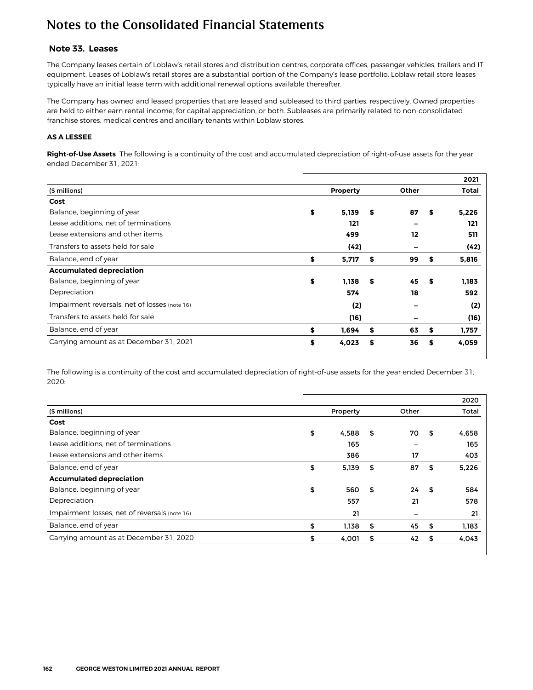#### **Note 33. Leases**

The Company leases certain of Loblaw's retail stores and distribution centres, corporate offices, passenger vehicles, trailers and IT equipment. Leases of Loblaw's retail stores are a substantial portion of the Company's lease portfolio. Loblaw retail store leases typically have an initial lease term with additional renewal options available thereafter.

The Company has owned and leased properties that are leased and subleased to third parties, respectively. Owned properties are held to either earn rental income, for capital appreciation, or both. Subleases are primarily related to non-consolidated franchise stores, medical centres and ancillary tenants within Loblaw stores.

#### **AS A LESSEE**

**Right-of-Use Assets** The following is a continuity of the cost and accumulated depreciation of right-of-use assets for the year ended December 31, 2021:

|                                               |                 |    |              |      | 2021  |
|-----------------------------------------------|-----------------|----|--------------|------|-------|
| (\$ millions)                                 | <b>Property</b> |    | <b>Other</b> |      | Total |
| Cost                                          |                 |    |              |      |       |
| Balance, beginning of year                    | \$<br>5,139     | \$ | 87           | s    | 5,226 |
| Lease additions, net of terminations          | 121             |    |              |      | 121   |
| Lease extensions and other items              | 499             |    | 12           |      | 511   |
| Transfers to assets held for sale             | (42)            |    |              |      | (42)  |
| Balance, end of year                          | \$<br>5,717     | \$ | 99           | \$   | 5,816 |
| <b>Accumulated depreciation</b>               |                 |    |              |      |       |
| Balance, beginning of year                    | \$<br>1,138     | S. | 45           | - \$ | 1.183 |
| Depreciation                                  | 574             |    | 18           |      | 592   |
| Impairment reversals, net of losses (note 16) | (2)             |    |              |      | (2)   |
| Transfers to assets held for sale             | (16)            |    |              |      | (16)  |
| Balance, end of year                          | \$<br>1.694     | \$ | 63           | \$   | 1,757 |
| Carrying amount as at December 31, 2021       | \$<br>4,023     | \$ | 36           | \$   | 4,059 |
|                                               |                 |    |              |      |       |

The following is a continuity of the cost and accumulated depreciation of right-of-use assets for the year ended December 31, 2020:

|                                               |             |          |      | 2020  |
|-----------------------------------------------|-------------|----------|------|-------|
| (\$ millions)                                 | Property    | Other    |      | Total |
| Cost                                          |             |          |      |       |
| Balance, beginning of year                    | \$<br>4,588 | \$<br>70 | \$   | 4,658 |
| Lease additions, net of terminations          | 165         |          |      | 165   |
| Lease extensions and other items              | 386         | 17       |      | 403   |
| Balance, end of year                          | \$<br>5,139 | \$<br>87 | \$   | 5,226 |
| <b>Accumulated depreciation</b>               |             |          |      |       |
| Balance, beginning of year                    | \$<br>560   | \$<br>24 | - \$ | 584   |
| Depreciation                                  | 557         | 21       |      | 578   |
| Impairment losses, net of reversals (note 16) | 21          |          |      | 21    |
| Balance, end of year                          | \$<br>1,138 | \$<br>45 | \$   | 1,183 |
| Carrying amount as at December 31, 2020       | \$<br>4,001 | \$<br>42 | \$   | 4,043 |
|                                               |             |          |      |       |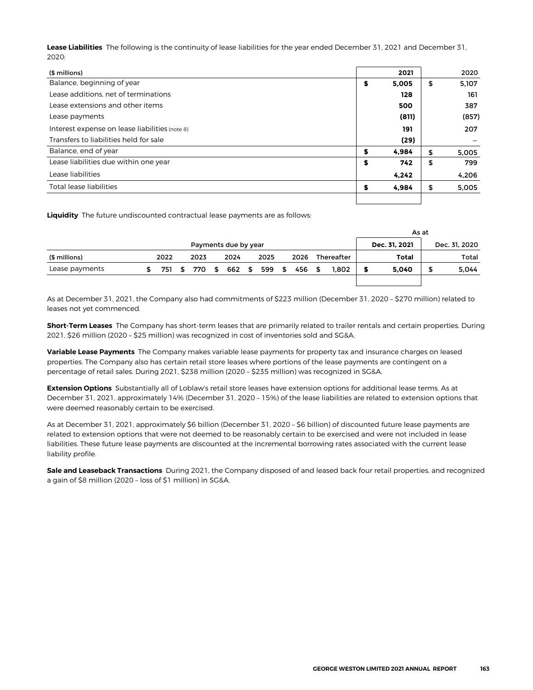**Lease Liabilities** The following is the continuity of lease liabilities for the year ended December 31, 2021 and December 31, 2020:

| (\$ millions)                                  |    | 2021  | 2020        |
|------------------------------------------------|----|-------|-------------|
| Balance, beginning of year                     | \$ | 5,005 | \$<br>5,107 |
| Lease additions, net of terminations           |    | 128   | 161         |
| Lease extensions and other items               |    | 500   | 387         |
| Lease payments                                 |    | (811) | (857)       |
| Interest expense on lease liabilities (note 8) |    | 191   | 207         |
| Transfers to liabilities held for sale         |    | (29)  |             |
| Balance, end of year                           | S  | 4.984 | \$<br>5,005 |
| Lease liabilities due within one year          | \$ | 742   | \$<br>799   |
| Lease liabilities                              |    | 4,242 | 4.206       |
| <b>Total lease liabilities</b>                 | S  | 4.984 | \$<br>5,005 |
|                                                |    |       |             |

**Liquidity** The future undiscounted contractual lease payments are as follows:

|                      |      |     |      |      |  |               |  |      |      |        |               |            |               |       | As at |       |  |
|----------------------|------|-----|------|------|--|---------------|--|------|------|--------|---------------|------------|---------------|-------|-------|-------|--|
| Payments due by year |      |     |      |      |  |               |  |      |      |        | Dec. 31, 2021 |            | Dec. 31, 2020 |       |       |       |  |
| (\$ millions)        | 2022 |     |      | 2023 |  | 2024          |  | 2025 |      | 2026   |               | Thereafter | Total         |       |       | Total |  |
| Lease payments       |      | 751 | - \$ |      |  | 770 \$ 662 \$ |  | 599  | - \$ | 456 \$ |               | 1.802      |               | 5.040 | œ     | 5,044 |  |
|                      |      |     |      |      |  |               |  |      |      |        |               |            |               |       |       |       |  |

As at December 31, 2021, the Company also had commitments of \$223 million (December 31, 2020 – \$270 million) related to leases not yet commenced.

**Short-Term Leases** The Company has short-term leases that are primarily related to trailer rentals and certain properties. During 2021, \$26 million (2020 – \$25 million) was recognized in cost of inventories sold and SG&A.

**Variable Lease Payments** The Company makes variable lease payments for property tax and insurance charges on leased properties. The Company also has certain retail store leases where portions of the lease payments are contingent on a percentage of retail sales. During 2021, \$238 million (2020 – \$235 million) was recognized in SG&A.

**Extension Options** Substantially all of Loblaw's retail store leases have extension options for additional lease terms. As at December 31, 2021, approximately 14% (December 31, 2020 – 15%) of the lease liabilities are related to extension options that were deemed reasonably certain to be exercised.

As at December 31, 2021, approximately \$6 billion (December 31, 2020 – \$6 billion) of discounted future lease payments are related to extension options that were not deemed to be reasonably certain to be exercised and were not included in lease liabilities. These future lease payments are discounted at the incremental borrowing rates associated with the current lease liability profile.

**Sale and Leaseback Transactions** During 2021, the Company disposed of and leased back four retail properties, and recognized a gain of \$8 million (2020 – loss of \$1 million) in SG&A.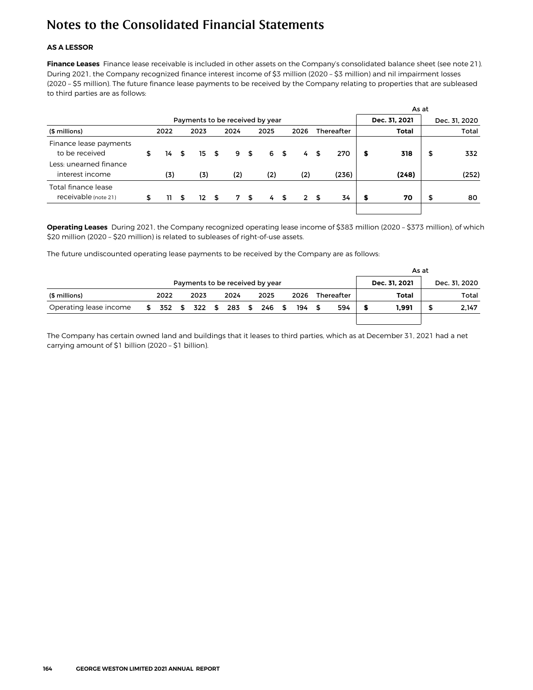#### **AS A LESSOR**

**Finance Leases** Finance lease receivable is included in other assets on the Company's consolidated balance sheet (see note 21). During 2021, the Company recognized finance interest income of \$3 million (2020 – \$3 million) and nil impairment losses (2020 – \$5 million). The future finance lease payments to be received by the Company relating to properties that are subleased to third parties are as follows:

|                                             |    |      |    |               |  |      |     |      |      |                |               |                   |   | As at |    |       |
|---------------------------------------------|----|------|----|---------------|--|------|-----|------|------|----------------|---------------|-------------------|---|-------|----|-------|
| Payments to be received by year             |    |      |    |               |  |      |     |      |      |                | Dec. 31, 2021 | Dec. 31, 2020     |   |       |    |       |
| (\$ millions)                               |    | 2022 |    | 2023          |  | 2024 |     | 2025 |      | 2026           |               | <b>Thereafter</b> |   | Total |    | Total |
| Finance lease payments<br>to be received    | \$ | 14   | \$ | 15S           |  |      | 9S  |      | 6 \$ | 4              | - \$          | 270               | s | 318   | \$ | 332   |
| Less: unearned finance<br>interest income   |    | (3)  |    | (3)           |  | (2)  |     | (2)  |      | (2)            |               | (236)             |   | (248) |    | (252) |
| Total finance lease<br>receivable (note 21) | \$ | 11.  | \$ | $12 \quad$ \$ |  |      | 7\$ | 4    | - \$ | 2 <sub>5</sub> |               | 34                | s | 70    | \$ | 80    |

**Operating Leases** During 2021, the Company recognized operating lease income of \$383 million (2020 – \$373 million), of which \$20 million (2020 – \$20 million) is related to subleases of right-of-use assets.

The future undiscounted operating lease payments to be received by the Company are as follows:

|                                 |    |      |  |      |  |                             |      |  |  |     |  |     | As at |               |                   |               |      |  |       |  |  |       |
|---------------------------------|----|------|--|------|--|-----------------------------|------|--|--|-----|--|-----|-------|---------------|-------------------|---------------|------|--|-------|--|--|-------|
| Payments to be received by year |    |      |  |      |  |                             |      |  |  |     |  |     |       | Dec. 31. 2021 |                   | Dec. 31, 2020 |      |  |       |  |  |       |
| (\$ millions)                   |    | 2022 |  | 2023 |  | 2024                        | 2025 |  |  |     |  |     |       |               | <b>Thereafter</b> |               | 2026 |  | Total |  |  | Total |
| Operating lease income          | S. |      |  |      |  | 352 \$ 322 \$ 283 \$ 246 \$ |      |  |  | 194 |  | 594 |       | 1.991         | S                 | 2,147         |      |  |       |  |  |       |
|                                 |    |      |  |      |  |                             |      |  |  |     |  |     |       |               |                   |               |      |  |       |  |  |       |

The Company has certain owned land and buildings that it leases to third parties, which as at December 31, 2021 had a net carrying amount of \$1 billion (2020 – \$1 billion).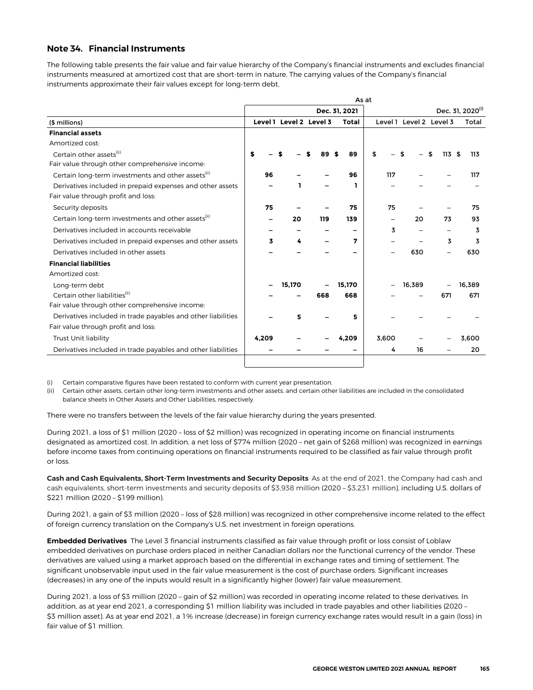#### **Note 34. Financial Instruments**

The following table presents the fair value and fair value hierarchy of the Company's financial instruments and excludes financial instruments measured at amortized cost that are short-term in nature. The carrying values of the Company's financial instruments approximate their fair values except for long-term debt.

| As at                                                          |  |       |                         |     |     |                          |       |                         |           |                              |  |  |
|----------------------------------------------------------------|--|-------|-------------------------|-----|-----|--------------------------|-------|-------------------------|-----------|------------------------------|--|--|
|                                                                |  |       |                         |     |     | Dec. 31, 2021            |       |                         |           | Dec. 31, 2020 <sup>(i)</sup> |  |  |
| (\$ millions)                                                  |  |       | Level 1 Level 2 Level 3 |     |     | <b>Total</b>             |       | Level 1 Level 2 Level 3 |           | Total                        |  |  |
| <b>Financial assets</b>                                        |  |       |                         |     |     |                          |       |                         |           |                              |  |  |
| Amortized cost:                                                |  |       |                         |     |     |                          |       |                         |           |                              |  |  |
| Certain other assets <sup>(ii)</sup>                           |  |       |                         |     | 89  | 89                       | \$    |                         | \$<br>113 | 113<br>\$                    |  |  |
| Fair value through other comprehensive income:                 |  |       |                         |     |     |                          |       |                         |           |                              |  |  |
| Certain long-term investments and other assets <sup>(ii)</sup> |  | 96    |                         |     |     | 96                       | 117   |                         |           | 117                          |  |  |
| Derivatives included in prepaid expenses and other assets      |  |       | ъ                       |     |     | ı                        |       |                         |           |                              |  |  |
| Fair value through profit and loss:                            |  |       |                         |     |     |                          |       |                         |           |                              |  |  |
| Security deposits                                              |  | 75    |                         |     |     | 75                       | 75    |                         |           | 75                           |  |  |
| Certain long-term investments and other assets <sup>(11)</sup> |  |       | 20                      |     | 119 | 139                      |       | 20                      | 73        | 93                           |  |  |
| Derivatives included in accounts receivable                    |  |       |                         |     |     | $\overline{\phantom{0}}$ | 3     |                         |           | 3                            |  |  |
| Derivatives included in prepaid expenses and other assets      |  | 3     | 4                       |     |     | 7                        |       |                         | 3         | 3                            |  |  |
| Derivatives included in other assets                           |  |       |                         |     |     | -                        |       | 630                     |           | 630                          |  |  |
| <b>Financial liabilities</b>                                   |  |       |                         |     |     |                          |       |                         |           |                              |  |  |
| Amortized cost:                                                |  |       |                         |     |     |                          |       |                         |           |                              |  |  |
| Long-term debt                                                 |  |       | 15,170                  |     |     | 15.170                   |       | 16,389                  |           | 16.389                       |  |  |
| Certain other liabilities <sup>(ii)</sup>                      |  |       |                         | 668 |     | 668                      |       |                         | 671       | 671                          |  |  |
| Fair value through other comprehensive income:                 |  |       |                         |     |     |                          |       |                         |           |                              |  |  |
| Derivatives included in trade payables and other liabilities   |  |       | 5                       |     |     | 5                        |       |                         |           |                              |  |  |
| Fair value through profit and loss:                            |  |       |                         |     |     |                          |       |                         |           |                              |  |  |
| <b>Trust Unit liability</b>                                    |  | 4.209 |                         |     |     | 4,209                    | 3,600 |                         |           | 3.600                        |  |  |
| Derivatives included in trade payables and other liabilities   |  |       |                         |     |     |                          | 4     | 16                      |           | 20                           |  |  |
|                                                                |  |       |                         |     |     |                          |       |                         |           |                              |  |  |

(i) Certain comparative figures have been restated to conform with current year presentation.

(ii) Certain other assets, certain other long-term investments and other assets, and certain other liabilities are included in the consolidated balance sheets in Other Assets and Other Liabilities, respectively.

There were no transfers between the levels of the fair value hierarchy during the years presented.

During 2021, a loss of \$1 million (2020 – loss of \$2 million) was recognized in operating income on financial instruments designated as amortized cost. In addition, a net loss of \$774 million (2020 – net gain of \$268 million) was recognized in earnings before income taxes from continuing operations on financial instruments required to be classified as fair value through profit or loss.

**Cash and Cash Equivalents, Short-Term Investments and Security Deposits** As at the end of 2021, the Company had cash and cash equivalents, short-term investments and security deposits of \$3,938 million (2020 – \$3,231 million), including U.S. dollars of \$221 million (2020 – \$199 million).

During 2021, a gain of \$3 million (2020 – loss of \$28 million) was recognized in other comprehensive income related to the effect of foreign currency translation on the Company's U.S. net investment in foreign operations.

**Embedded Derivatives** The Level 3 financial instruments classified as fair value through profit or loss consist of Loblaw embedded derivatives on purchase orders placed in neither Canadian dollars nor the functional currency of the vendor. These derivatives are valued using a market approach based on the differential in exchange rates and timing of settlement. The significant unobservable input used in the fair value measurement is the cost of purchase orders. Significant increases (decreases) in any one of the inputs would result in a significantly higher (lower) fair value measurement.

During 2021, a loss of \$3 million (2020 – gain of \$2 million) was recorded in operating income related to these derivatives. In addition, as at year end 2021, a corresponding \$1 million liability was included in trade payables and other liabilities (2020 – \$3 million asset). As at year end 2021, a 1% increase (decrease) in foreign currency exchange rates would result in a gain (loss) in fair value of \$1 million.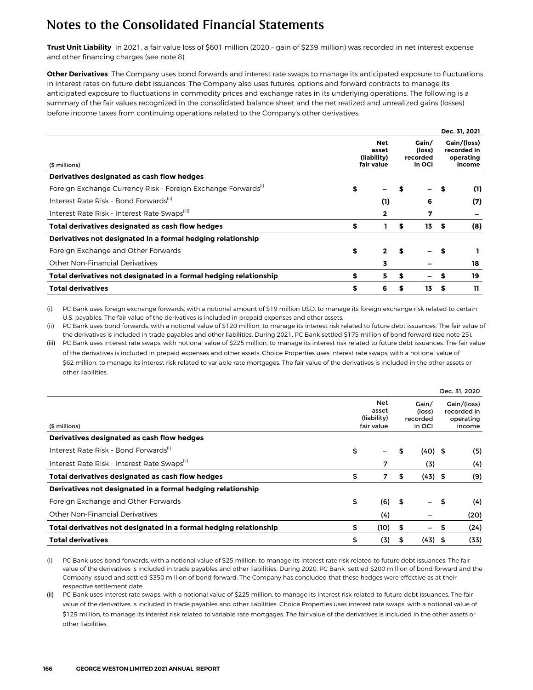**Trust Unit Liability** In 2021, a fair value loss of \$601 million (2020 – gain of \$239 million) was recorded in net interest expense and other financing charges (see note 8).

**Other Derivatives** The Company uses bond forwards and interest rate swaps to manage its anticipated exposure to fluctuations in interest rates on future debt issuances. The Company also uses futures, options and forward contracts to manage its anticipated exposure to fluctuations in commodity prices and exchange rates in its underlying operations. The following is a summary of the fair values recognized in the consolidated balance sheet and the net realized and unrealized gains (losses) before income taxes from continuing operations related to the Company's other derivatives:

|                                                                           |                                                  |                                       |    |      | Dec. 31, 2021                                     |
|---------------------------------------------------------------------------|--------------------------------------------------|---------------------------------------|----|------|---------------------------------------------------|
| (\$ millions)                                                             | <b>Net</b><br>asset<br>(liability)<br>fair value | Gain/<br>(loss)<br>recorded<br>in OCI |    |      | Gain/(loss)<br>recorded in<br>operating<br>income |
| Derivatives designated as cash flow hedges                                |                                                  |                                       |    |      |                                                   |
| Foreign Exchange Currency Risk - Foreign Exchange Forwards <sup>(1)</sup> | \$                                               |                                       |    |      | (1)                                               |
| Interest Rate Risk - Bond Forwards <sup>(ii)</sup>                        | (1)                                              |                                       | 6  |      | (7)                                               |
| Interest Rate Risk - Interest Rate Swaps(iii)                             | 2                                                |                                       | 7  |      |                                                   |
| Total derivatives designated as cash flow hedges                          | \$<br>1                                          | \$                                    | 13 | - \$ | (8)                                               |
| Derivatives not designated in a formal hedging relationship               |                                                  |                                       |    |      |                                                   |
| Foreign Exchange and Other Forwards                                       | \$<br>$\mathbf{2}$                               | S                                     |    |      |                                                   |
| Other Non-Financial Derivatives                                           | 3                                                |                                       |    |      | 18                                                |
| Total derivatives not designated in a formal hedging relationship         | \$<br>5.                                         | S                                     |    |      | 19                                                |
| <b>Total derivatives</b>                                                  | \$<br>6                                          |                                       | 13 | S    | 11                                                |

(i) PC Bank uses foreign exchange forwards, with a notional amount of \$19 million USD, to manage its foreign exchange risk related to certain U.S. payables. The fair value of the derivatives is included in prepaid expenses and other assets.

(ii) PC Bank uses bond forwards, with a notional value of \$120 million, to manage its interest risk related to future debt issuances. The fair value of the derivatives is included in trade payables and other liabilities. During 2021, PC Bank settled \$175 million of bond forward (see note 25).

(iii) PC Bank uses interest rate swaps, with notional value of \$225 million, to manage its interest risk related to future debt issuances. The fair value of the derivatives is included in prepaid expenses and other assets. Choice Properties uses interest rate swaps, with a notional value of \$62 million, to manage its interest risk related to variable rate mortgages. The fair value of the derivatives is included in the other assets or other liabilities.

|                     |                           |                           |          | Dec. 31, 2020                                     |
|---------------------|---------------------------|---------------------------|----------|---------------------------------------------------|
| <b>Net</b><br>asset |                           | Gain/<br>(loss)<br>in OCI |          | Gain/(loss)<br>recorded in<br>operating<br>income |
|                     |                           |                           |          |                                                   |
| \$                  | \$                        |                           |          | (5)                                               |
| 7                   |                           | (3)                       |          | (4)                                               |
| \$<br>7             | \$                        |                           |          | (9)                                               |
|                     |                           |                           |          |                                                   |
| \$<br>(6)           | -\$                       | $\overline{\phantom{0}}$  |          | (4)                                               |
| (4)                 |                           |                           |          | (20)                                              |
| \$<br>(10)          | \$                        | —                         | \$       | (24)                                              |
| \$<br>(3)           | \$                        |                           |          | (33)                                              |
|                     | (liability)<br>fair value |                           | recorded | $(40)$ \$<br>$(43)$ \$<br>- \$<br>$(43)$ \$       |

(i) PC Bank uses bond forwards, with a notional value of \$25 million, to manage its interest rate risk related to future debt issuances. The fair value of the derivatives is included in trade payables and other liabilities. During 2020, PC Bank settled \$200 million of bond forward and the Company issued and settled \$350 million of bond forward. The Company has concluded that these hedges were effective as at their respective settlement date.

PC Bank uses interest rate swaps, with a notional value of \$225 million, to manage its interest risk related to future debt issuances. The fair value of the derivatives is included in trade payables and other liabilities. Choice Properties uses interest rate swaps, with a notional value of \$129 million, to manage its interest risk related to variable rate mortgages. The fair value of the derivatives is included in the other assets or other liabilities.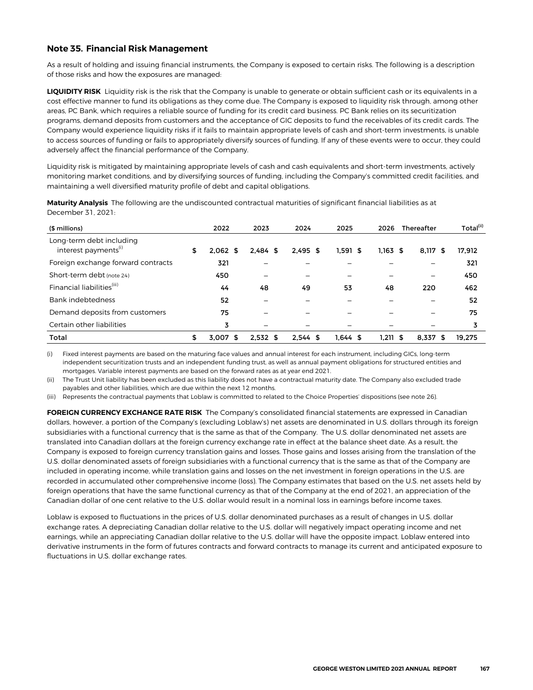#### **Note 35. Financial Risk Management**

As a result of holding and issuing financial instruments, the Company is exposed to certain risks. The following is a description of those risks and how the exposures are managed:

**LIQUIDITY RISK** Liquidity risk is the risk that the Company is unable to generate or obtain sufficient cash or its equivalents in a cost effective manner to fund its obligations as they come due. The Company is exposed to liquidity risk through, among other areas, PC Bank, which requires a reliable source of funding for its credit card business. PC Bank relies on its securitization programs, demand deposits from customers and the acceptance of GIC deposits to fund the receivables of its credit cards. The Company would experience liquidity risks if it fails to maintain appropriate levels of cash and short-term investments, is unable to access sources of funding or fails to appropriately diversify sources of funding. If any of these events were to occur, they could adversely affect the financial performance of the Company.

Liquidity risk is mitigated by maintaining appropriate levels of cash and cash equivalents and short-term investments, actively monitoring market conditions, and by diversifying sources of funding, including the Company's committed credit facilities, and maintaining a well diversified maturity profile of debt and capital obligations.

| (\$ millions)                                                |    | 2022       | 2023       | 2024       | 2025       | 2026          | <b>Thereafter</b> | Total(ii) |
|--------------------------------------------------------------|----|------------|------------|------------|------------|---------------|-------------------|-----------|
| Long-term debt including<br>interest payments <sup>(i)</sup> | \$ | $2.062$ \$ | $2.484$ \$ | $2.495$ \$ | $1.591$ \$ | $1.163$ \$    | 8.117<br>- 56     | 17.912    |
| Foreign exchange forward contracts                           |    | 321        |            |            |            |               |                   | 321       |
| Short-term debt (note 24)                                    |    | 450        |            |            | -          |               |                   | 450       |
| Financial liabilities <sup>(iii)</sup>                       |    | 44         | 48         | 49         | 53         | 48            | 220               | 462       |
| Bank indebtedness                                            |    | 52         |            |            |            |               |                   | 52        |
| Demand deposits from customers                               |    | 75         |            |            |            |               |                   | 75        |
| Certain other liabilities                                    |    | 3          |            |            |            |               |                   |           |
| Total                                                        | \$ | 3.007<br>S | $2.532$ \$ | $2.544$ \$ | $1.644$ \$ | 1.211<br>- \$ | 8.337<br>S        | 19.275    |

**Maturity Analysis** The following are the undiscounted contractual maturities of significant financial liabilities as at December 31, 2021:

Fixed interest payments are based on the maturing face values and annual interest for each instrument, including GICs, long-term independent securitization trusts and an independent funding trust, as well as annual payment obligations for structured entities and mortgages. Variable interest payments are based on the forward rates as at year end 2021.

(ii) The Trust Unit liability has been excluded as this liability does not have a contractual maturity date. The Company also excluded trade payables and other liabilities, which are due within the next 12 months.

(iii) Represents the contractual payments that Loblaw is committed to related to the Choice Properties' dispositions (see note 26).

**FOREIGN CURRENCY EXCHANGE RATE RISK** The Company's consolidated financial statements are expressed in Canadian dollars, however, a portion of the Company's (excluding Loblaw's) net assets are denominated in U.S. dollars through its foreign subsidiaries with a functional currency that is the same as that of the Company. The U.S. dollar denominated net assets are translated into Canadian dollars at the foreign currency exchange rate in effect at the balance sheet date. As a result, the Company is exposed to foreign currency translation gains and losses. Those gains and losses arising from the translation of the U.S. dollar denominated assets of foreign subsidiaries with a functional currency that is the same as that of the Company are included in operating income, while translation gains and losses on the net investment in foreign operations in the U.S. are recorded in accumulated other comprehensive income (loss). The Company estimates that based on the U.S. net assets held by foreign operations that have the same functional currency as that of the Company at the end of 2021, an appreciation of the Canadian dollar of one cent relative to the U.S. dollar would result in a nominal loss in earnings before income taxes.

Loblaw is exposed to fluctuations in the prices of U.S. dollar denominated purchases as a result of changes in U.S. dollar exchange rates. A depreciating Canadian dollar relative to the U.S. dollar will negatively impact operating income and net earnings, while an appreciating Canadian dollar relative to the U.S. dollar will have the opposite impact. Loblaw entered into derivative instruments in the form of futures contracts and forward contracts to manage its current and anticipated exposure to fluctuations in U.S. dollar exchange rates.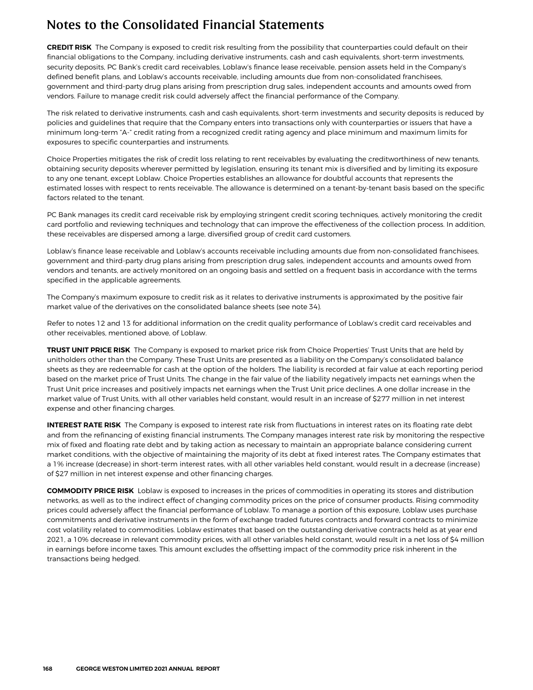**CREDIT RISK** The Company is exposed to credit risk resulting from the possibility that counterparties could default on their financial obligations to the Company, including derivative instruments, cash and cash equivalents, short-term investments, security deposits, PC Bank's credit card receivables, Loblaw's finance lease receivable, pension assets held in the Company's defined benefit plans, and Loblaw's accounts receivable, including amounts due from non-consolidated franchisees, government and third-party drug plans arising from prescription drug sales, independent accounts and amounts owed from vendors. Failure to manage credit risk could adversely affect the financial performance of the Company.

The risk related to derivative instruments, cash and cash equivalents, short-term investments and security deposits is reduced by policies and guidelines that require that the Company enters into transactions only with counterparties or issuers that have a minimum long-term "A-" credit rating from a recognized credit rating agency and place minimum and maximum limits for exposures to specific counterparties and instruments.

Choice Properties mitigates the risk of credit loss relating to rent receivables by evaluating the creditworthiness of new tenants, obtaining security deposits wherever permitted by legislation, ensuring its tenant mix is diversified and by limiting its exposure to any one tenant, except Loblaw. Choice Properties establishes an allowance for doubtful accounts that represents the estimated losses with respect to rents receivable. The allowance is determined on a tenant-by-tenant basis based on the specific factors related to the tenant.

PC Bank manages its credit card receivable risk by employing stringent credit scoring techniques, actively monitoring the credit card portfolio and reviewing techniques and technology that can improve the effectiveness of the collection process. In addition, these receivables are dispersed among a large, diversified group of credit card customers.

Loblaw's finance lease receivable and Loblaw's accounts receivable including amounts due from non-consolidated franchisees, government and third-party drug plans arising from prescription drug sales, independent accounts and amounts owed from vendors and tenants, are actively monitored on an ongoing basis and settled on a frequent basis in accordance with the terms specified in the applicable agreements.

The Company's maximum exposure to credit risk as it relates to derivative instruments is approximated by the positive fair market value of the derivatives on the consolidated balance sheets (see note 34).

Refer to notes 12 and 13 for additional information on the credit quality performance of Loblaw's credit card receivables and other receivables, mentioned above, of Loblaw.

**TRUST UNIT PRICE RISK** The Company is exposed to market price risk from Choice Properties' Trust Units that are held by unitholders other than the Company. These Trust Units are presented as a liability on the Company's consolidated balance sheets as they are redeemable for cash at the option of the holders. The liability is recorded at fair value at each reporting period based on the market price of Trust Units. The change in the fair value of the liability negatively impacts net earnings when the Trust Unit price increases and positively impacts net earnings when the Trust Unit price declines. A one dollar increase in the market value of Trust Units, with all other variables held constant, would result in an increase of \$277 million in net interest expense and other financing charges.

**INTEREST RATE RISK** The Company is exposed to interest rate risk from fluctuations in interest rates on its floating rate debt and from the refinancing of existing financial instruments. The Company manages interest rate risk by monitoring the respective mix of fixed and floating rate debt and by taking action as necessary to maintain an appropriate balance considering current market conditions, with the objective of maintaining the majority of its debt at fixed interest rates. The Company estimates that a 1% increase (decrease) in short-term interest rates, with all other variables held constant, would result in a decrease (increase) of \$27 million in net interest expense and other financing charges.

**COMMODITY PRICE RISK** Loblaw is exposed to increases in the prices of commodities in operating its stores and distribution networks, as well as to the indirect effect of changing commodity prices on the price of consumer products. Rising commodity prices could adversely affect the financial performance of Loblaw. To manage a portion of this exposure, Loblaw uses purchase commitments and derivative instruments in the form of exchange traded futures contracts and forward contracts to minimize cost volatility related to commodities. Loblaw estimates that based on the outstanding derivative contracts held as at year end 2021, a 10% decrease in relevant commodity prices, with all other variables held constant, would result in a net loss of \$4 million in earnings before income taxes. This amount excludes the offsetting impact of the commodity price risk inherent in the transactions being hedged.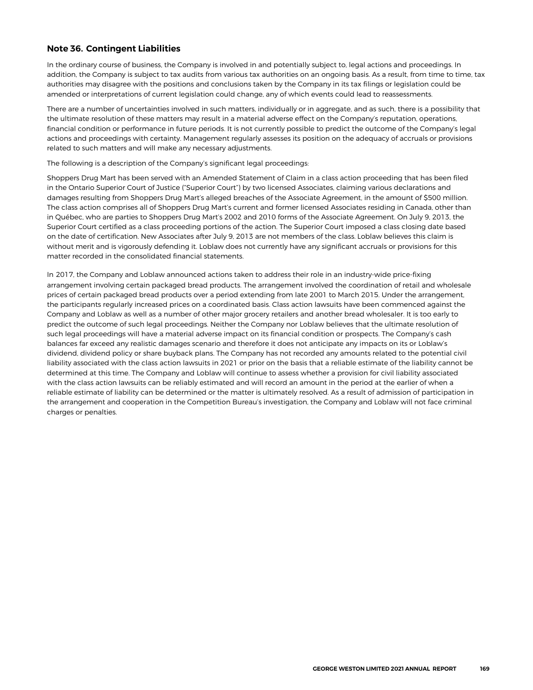### **Note 36. Contingent Liabilities**

In the ordinary course of business, the Company is involved in and potentially subject to, legal actions and proceedings. In addition, the Company is subject to tax audits from various tax authorities on an ongoing basis. As a result, from time to time, tax authorities may disagree with the positions and conclusions taken by the Company in its tax filings or legislation could be amended or interpretations of current legislation could change, any of which events could lead to reassessments.

There are a number of uncertainties involved in such matters, individually or in aggregate, and as such, there is a possibility that the ultimate resolution of these matters may result in a material adverse effect on the Company's reputation, operations, financial condition or performance in future periods. It is not currently possible to predict the outcome of the Company's legal actions and proceedings with certainty. Management regularly assesses its position on the adequacy of accruals or provisions related to such matters and will make any necessary adjustments.

The following is a description of the Company's significant legal proceedings:

Shoppers Drug Mart has been served with an Amended Statement of Claim in a class action proceeding that has been filed in the Ontario Superior Court of Justice ("Superior Court") by two licensed Associates, claiming various declarations and damages resulting from Shoppers Drug Mart's alleged breaches of the Associate Agreement, in the amount of \$500 million. The class action comprises all of Shoppers Drug Mart's current and former licensed Associates residing in Canada, other than in Québec, who are parties to Shoppers Drug Mart's 2002 and 2010 forms of the Associate Agreement. On July 9, 2013, the Superior Court certified as a class proceeding portions of the action. The Superior Court imposed a class closing date based on the date of certification. New Associates after July 9, 2013 are not members of the class. Loblaw believes this claim is without merit and is vigorously defending it. Loblaw does not currently have any significant accruals or provisions for this matter recorded in the consolidated financial statements.

In 2017, the Company and Loblaw announced actions taken to address their role in an industry-wide price-fixing arrangement involving certain packaged bread products. The arrangement involved the coordination of retail and wholesale prices of certain packaged bread products over a period extending from late 2001 to March 2015. Under the arrangement, the participants regularly increased prices on a coordinated basis. Class action lawsuits have been commenced against the Company and Loblaw as well as a number of other major grocery retailers and another bread wholesaler. It is too early to predict the outcome of such legal proceedings. Neither the Company nor Loblaw believes that the ultimate resolution of such legal proceedings will have a material adverse impact on its financial condition or prospects. The Company's cash balances far exceed any realistic damages scenario and therefore it does not anticipate any impacts on its or Loblaw's dividend, dividend policy or share buyback plans. The Company has not recorded any amounts related to the potential civil liability associated with the class action lawsuits in 2021 or prior on the basis that a reliable estimate of the liability cannot be determined at this time. The Company and Loblaw will continue to assess whether a provision for civil liability associated with the class action lawsuits can be reliably estimated and will record an amount in the period at the earlier of when a reliable estimate of liability can be determined or the matter is ultimately resolved. As a result of admission of participation in the arrangement and cooperation in the Competition Bureau's investigation, the Company and Loblaw will not face criminal charges or penalties.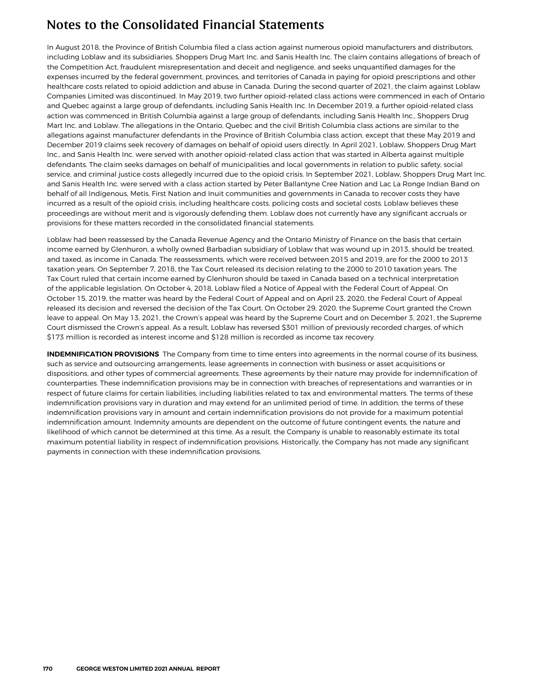In August 2018, the Province of British Columbia filed a class action against numerous opioid manufacturers and distributors, including Loblaw and its subsidiaries, Shoppers Drug Mart Inc. and Sanis Health Inc. The claim contains allegations of breach of the Competition Act, fraudulent misrepresentation and deceit and negligence, and seeks unquantified damages for the expenses incurred by the federal government, provinces, and territories of Canada in paying for opioid prescriptions and other healthcare costs related to opioid addiction and abuse in Canada. During the second quarter of 2021, the claim against Loblaw Companies Limited was discontinued. In May 2019, two further opioid-related class actions were commenced in each of Ontario and Quebec against a large group of defendants, including Sanis Health Inc. In December 2019, a further opioid-related class action was commenced in British Columbia against a large group of defendants, including Sanis Health Inc., Shoppers Drug Mart Inc. and Loblaw. The allegations in the Ontario, Quebec and the civil British Columbia class actions are similar to the allegations against manufacturer defendants in the Province of British Columbia class action, except that these May 2019 and December 2019 claims seek recovery of damages on behalf of opioid users directly. In April 2021, Loblaw, Shoppers Drug Mart Inc., and Sanis Health Inc. were served with another opioid-related class action that was started in Alberta against multiple defendants. The claim seeks damages on behalf of municipalities and local governments in relation to public safety, social service, and criminal justice costs allegedly incurred due to the opioid crisis. In September 2021, Loblaw, Shoppers Drug Mart Inc. and Sanis Health Inc. were served with a class action started by Peter Ballantyne Cree Nation and Lac La Ronge Indian Band on behalf of all Indigenous, Metis, First Nation and Inuit communities and governments in Canada to recover costs they have incurred as a result of the opioid crisis, including healthcare costs, policing costs and societal costs. Loblaw believes these proceedings are without merit and is vigorously defending them. Loblaw does not currently have any significant accruals or provisions for these matters recorded in the consolidated financial statements.

Loblaw had been reassessed by the Canada Revenue Agency and the Ontario Ministry of Finance on the basis that certain income earned by Glenhuron, a wholly owned Barbadian subsidiary of Loblaw that was wound up in 2013, should be treated, and taxed, as income in Canada. The reassessments, which were received between 2015 and 2019, are for the 2000 to 2013 taxation years. On September 7, 2018, the Tax Court released its decision relating to the 2000 to 2010 taxation years. The Tax Court ruled that certain income earned by Glenhuron should be taxed in Canada based on a technical interpretation of the applicable legislation. On October 4, 2018, Loblaw filed a Notice of Appeal with the Federal Court of Appeal. On October 15, 2019, the matter was heard by the Federal Court of Appeal and on April 23, 2020, the Federal Court of Appeal released its decision and reversed the decision of the Tax Court. On October 29, 2020, the Supreme Court granted the Crown leave to appeal. On May 13, 2021, the Crown's appeal was heard by the Supreme Court and on December 3, 2021, the Supreme Court dismissed the Crown's appeal. As a result, Loblaw has reversed \$301 million of previously recorded charges, of which \$173 million is recorded as interest income and \$128 million is recorded as income tax recovery.

**INDEMNIFICATION PROVISIONS** The Company from time to time enters into agreements in the normal course of its business, such as service and outsourcing arrangements, lease agreements in connection with business or asset acquisitions or dispositions, and other types of commercial agreements. These agreements by their nature may provide for indemnification of counterparties. These indemnification provisions may be in connection with breaches of representations and warranties or in respect of future claims for certain liabilities, including liabilities related to tax and environmental matters. The terms of these indemnification provisions vary in duration and may extend for an unlimited period of time. In addition, the terms of these indemnification provisions vary in amount and certain indemnification provisions do not provide for a maximum potential indemnification amount. Indemnity amounts are dependent on the outcome of future contingent events, the nature and likelihood of which cannot be determined at this time. As a result, the Company is unable to reasonably estimate its total maximum potential liability in respect of indemnification provisions. Historically, the Company has not made any significant payments in connection with these indemnification provisions.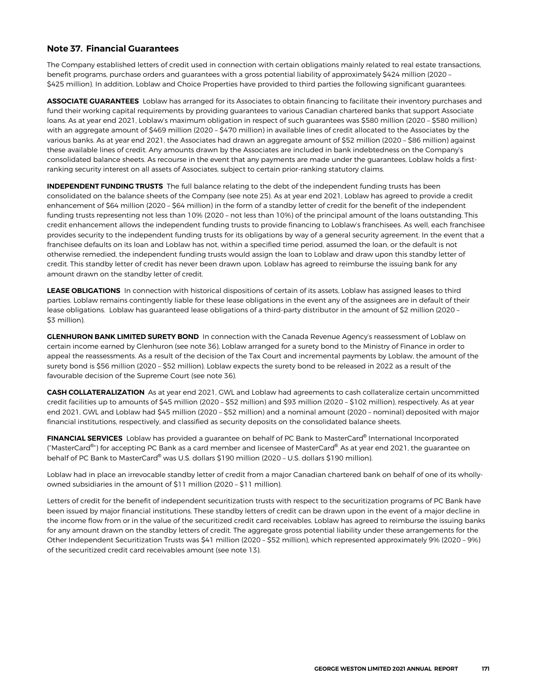#### **Note 37. Financial Guarantees**

The Company established letters of credit used in connection with certain obligations mainly related to real estate transactions, benefit programs, purchase orders and guarantees with a gross potential liability of approximately \$424 million (2020 – \$425 million). In addition, Loblaw and Choice Properties have provided to third parties the following significant guarantees:

**ASSOCIATE GUARANTEES** Loblaw has arranged for its Associates to obtain financing to facilitate their inventory purchases and fund their working capital requirements by providing guarantees to various Canadian chartered banks that support Associate loans. As at year end 2021, Loblaw's maximum obligation in respect of such guarantees was \$580 million (2020 – \$580 million) with an aggregate amount of \$469 million (2020 – \$470 million) in available lines of credit allocated to the Associates by the various banks. As at year end 2021, the Associates had drawn an aggregate amount of \$52 million (2020 – \$86 million) against these available lines of credit. Any amounts drawn by the Associates are included in bank indebtedness on the Company's consolidated balance sheets. As recourse in the event that any payments are made under the guarantees, Loblaw holds a firstranking security interest on all assets of Associates, subject to certain prior-ranking statutory claims.

**INDEPENDENT FUNDING TRUSTS** The full balance relating to the debt of the independent funding trusts has been consolidated on the balance sheets of the Company (see note 25). As at year end 2021, Loblaw has agreed to provide a credit enhancement of \$64 million (2020 – \$64 million) in the form of a standby letter of credit for the benefit of the independent funding trusts representing not less than 10% (2020 – not less than 10%) of the principal amount of the loans outstanding. This credit enhancement allows the independent funding trusts to provide financing to Loblaw's franchisees. As well, each franchisee provides security to the independent funding trusts for its obligations by way of a general security agreement. In the event that a franchisee defaults on its loan and Loblaw has not, within a specified time period, assumed the loan, or the default is not otherwise remedied, the independent funding trusts would assign the loan to Loblaw and draw upon this standby letter of credit. This standby letter of credit has never been drawn upon. Loblaw has agreed to reimburse the issuing bank for any amount drawn on the standby letter of credit.

**LEASE OBLIGATIONS** In connection with historical dispositions of certain of its assets, Loblaw has assigned leases to third parties. Loblaw remains contingently liable for these lease obligations in the event any of the assignees are in default of their lease obligations. Loblaw has guaranteed lease obligations of a third-party distributor in the amount of \$2 million (2020 -\$3 million).

**GLENHURON BANK LIMITED SURETY BOND** In connection with the Canada Revenue Agency's reassessment of Loblaw on certain income earned by Glenhuron (see note 36), Loblaw arranged for a surety bond to the Ministry of Finance in order to appeal the reassessments. As a result of the decision of the Tax Court and incremental payments by Loblaw, the amount of the surety bond is \$56 million (2020 – \$52 million). Loblaw expects the surety bond to be released in 2022 as a result of the favourable decision of the Supreme Court (see note 36).

**CASH COLLATERALIZATION** As at year end 2021, GWL and Loblaw had agreements to cash collateralize certain uncommitted credit facilities up to amounts of \$45 million (2020 – \$52 million) and \$93 million (2020 – \$102 million), respectively. As at year end 2021, GWL and Loblaw had \$45 million (2020 – \$52 million) and a nominal amount (2020 – nominal) deposited with major financial institutions, respectively, and classified as security deposits on the consolidated balance sheets.

**FINANCIAL SERVICES** Loblaw has provided a guarantee on behalf of PC Bank to MasterCard® International Incorporated ("MasterCard®") for accepting PC Bank as a card member and licensee of MasterCard® As at year end 2021, the guarantee on behalf of PC Bank to MasterCard® was U.S. dollars \$190 million (2020 – U.S. dollars \$190 million).

Loblaw had in place an irrevocable standby letter of credit from a major Canadian chartered bank on behalf of one of its whollyowned subsidiaries in the amount of \$11 million (2020 – \$11 million).

Letters of credit for the benefit of independent securitization trusts with respect to the securitization programs of PC Bank have been issued by major financial institutions. These standby letters of credit can be drawn upon in the event of a major decline in the income flow from or in the value of the securitized credit card receivables. Loblaw has agreed to reimburse the issuing banks for any amount drawn on the standby letters of credit. The aggregate gross potential liability under these arrangements for the Other Independent Securitization Trusts was \$41 million (2020 – \$52 million), which represented approximately 9% (2020 – 9%) of the securitized credit card receivables amount (see note 13).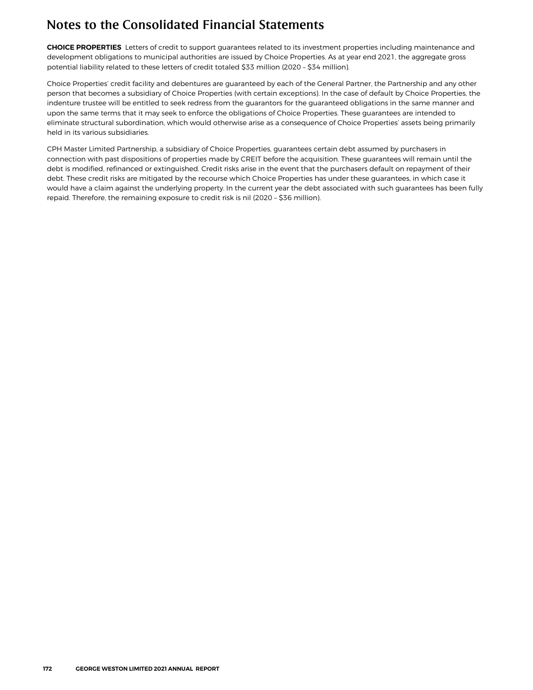**CHOICE PROPERTIES** Letters of credit to support guarantees related to its investment properties including maintenance and development obligations to municipal authorities are issued by Choice Properties. As at year end 2021, the aggregate gross potential liability related to these letters of credit totaled \$33 million (2020 – \$34 million).

Choice Properties' credit facility and debentures are guaranteed by each of the General Partner, the Partnership and any other person that becomes a subsidiary of Choice Properties (with certain exceptions). In the case of default by Choice Properties, the indenture trustee will be entitled to seek redress from the guarantors for the guaranteed obligations in the same manner and upon the same terms that it may seek to enforce the obligations of Choice Properties. These guarantees are intended to eliminate structural subordination, which would otherwise arise as a consequence of Choice Properties' assets being primarily held in its various subsidiaries.

CPH Master Limited Partnership, a subsidiary of Choice Properties, guarantees certain debt assumed by purchasers in connection with past dispositions of properties made by CREIT before the acquisition. These guarantees will remain until the debt is modified, refinanced or extinguished. Credit risks arise in the event that the purchasers default on repayment of their debt. These credit risks are mitigated by the recourse which Choice Properties has under these guarantees, in which case it would have a claim against the underlying property. In the current year the debt associated with such guarantees has been fully repaid. Therefore, the remaining exposure to credit risk is nil (2020 – \$36 million).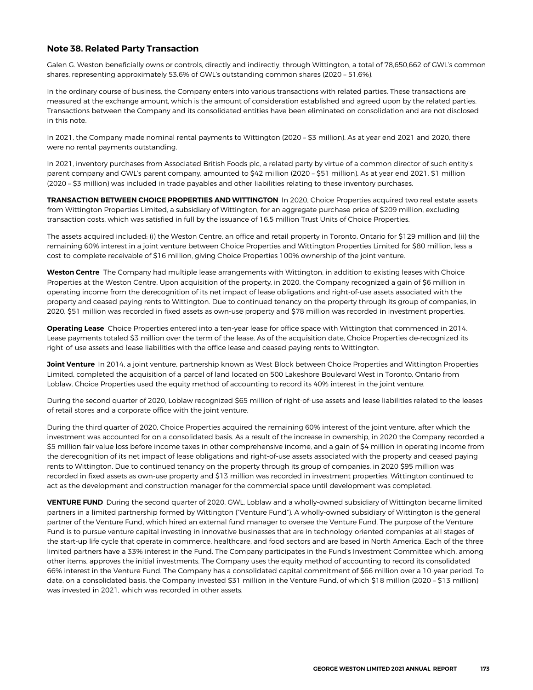#### **Note 38. Related Party Transaction**

Galen G. Weston beneficially owns or controls, directly and indirectly, through Wittington, a total of 78,650,662 of GWL's common shares, representing approximately 53.6% of GWL's outstanding common shares (2020 – 51.6%).

In the ordinary course of business, the Company enters into various transactions with related parties. These transactions are measured at the exchange amount, which is the amount of consideration established and agreed upon by the related parties. Transactions between the Company and its consolidated entities have been eliminated on consolidation and are not disclosed in this note.

In 2021, the Company made nominal rental payments to Wittington (2020 – \$3 million). As at year end 2021 and 2020, there were no rental payments outstanding.

In 2021, inventory purchases from Associated British Foods plc, a related party by virtue of a common director of such entity's parent company and GWL's parent company, amounted to \$42 million (2020 – \$51 million). As at year end 2021, \$1 million (2020 – \$3 million) was included in trade payables and other liabilities relating to these inventory purchases.

**TRANSACTION BETWEEN CHOICE PROPERTIES AND WITTINGTON** In 2020, Choice Properties acquired two real estate assets from Wittington Properties Limited, a subsidiary of Wittington, for an aggregate purchase price of \$209 million, excluding transaction costs, which was satisfied in full by the issuance of 16.5 million Trust Units of Choice Properties.

The assets acquired included: (i) the Weston Centre, an office and retail property in Toronto, Ontario for \$129 million and (ii) the remaining 60% interest in a joint venture between Choice Properties and Wittington Properties Limited for \$80 million, less a cost-to-complete receivable of \$16 million, giving Choice Properties 100% ownership of the joint venture.

**Weston Centre** The Company had multiple lease arrangements with Wittington, in addition to existing leases with Choice Properties at the Weston Centre. Upon acquisition of the property, in 2020, the Company recognized a gain of \$6 million in operating income from the derecognition of its net impact of lease obligations and right-of-use assets associated with the property and ceased paying rents to Wittington. Due to continued tenancy on the property through its group of companies, in 2020, \$51 million was recorded in fixed assets as own-use property and \$78 million was recorded in investment properties.

**Operating Lease** Choice Properties entered into a ten-year lease for office space with Wittington that commenced in 2014. Lease payments totaled \$3 million over the term of the lease. As of the acquisition date, Choice Properties de-recognized its right-of-use assets and lease liabilities with the office lease and ceased paying rents to Wittington.

**Joint Venture** In 2014, a joint venture, partnership known as West Block between Choice Properties and Wittington Properties Limited, completed the acquisition of a parcel of land located on 500 Lakeshore Boulevard West in Toronto, Ontario from Loblaw. Choice Properties used the equity method of accounting to record its 40% interest in the joint venture.

During the second quarter of 2020, Loblaw recognized \$65 million of right-of-use assets and lease liabilities related to the leases of retail stores and a corporate office with the joint venture.

During the third quarter of 2020, Choice Properties acquired the remaining 60% interest of the joint venture, after which the investment was accounted for on a consolidated basis. As a result of the increase in ownership, in 2020 the Company recorded a \$5 million fair value loss before income taxes in other comprehensive income, and a gain of \$4 million in operating income from the derecognition of its net impact of lease obligations and right-of-use assets associated with the property and ceased paying rents to Wittington. Due to continued tenancy on the property through its group of companies, in 2020 \$95 million was recorded in fixed assets as own-use property and \$13 million was recorded in investment properties. Wittington continued to act as the development and construction manager for the commercial space until development was completed.

**VENTURE FUND** During the second quarter of 2020, GWL, Loblaw and a wholly-owned subsidiary of Wittington became limited partners in a limited partnership formed by Wittington ("Venture Fund"). A wholly-owned subsidiary of Wittington is the general partner of the Venture Fund, which hired an external fund manager to oversee the Venture Fund. The purpose of the Venture Fund is to pursue venture capital investing in innovative businesses that are in technology-oriented companies at all stages of the start-up life cycle that operate in commerce, healthcare, and food sectors and are based in North America. Each of the three limited partners have a 33% interest in the Fund. The Company participates in the Fund's Investment Committee which, among other items, approves the initial investments. The Company uses the equity method of accounting to record its consolidated 66% interest in the Venture Fund. The Company has a consolidated capital commitment of \$66 million over a 10-year period. To date, on a consolidated basis, the Company invested \$31 million in the Venture Fund, of which \$18 million (2020 – \$13 million) was invested in 2021, which was recorded in other assets.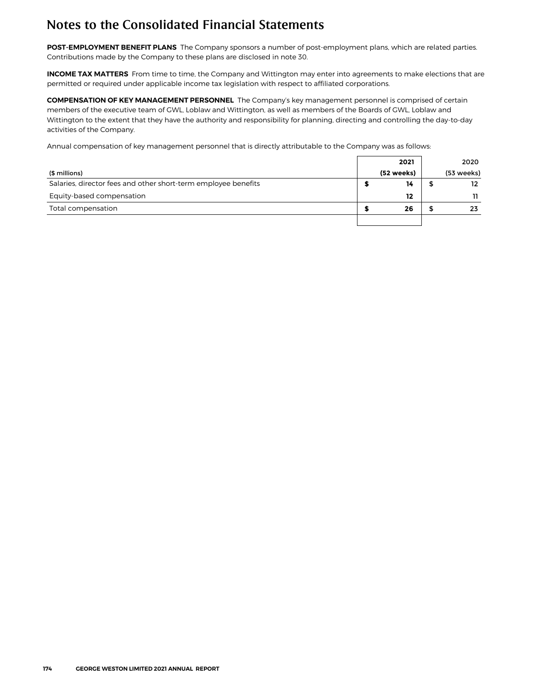**POST-EMPLOYMENT BENEFIT PLANS** The Company sponsors a number of post-employment plans, which are related parties. Contributions made by the Company to these plans are disclosed in note 30.

**INCOME TAX MATTERS** From time to time, the Company and Wittington may enter into agreements to make elections that are permitted or required under applicable income tax legislation with respect to affiliated corporations.

**COMPENSATION OF KEY MANAGEMENT PERSONNEL** The Company's key management personnel is comprised of certain members of the executive team of GWL, Loblaw and Wittington, as well as members of the Boards of GWL, Loblaw and Wittington to the extent that they have the authority and responsibility for planning, directing and controlling the day-to-day activities of the Company.

Annual compensation of key management personnel that is directly attributable to the Company was as follows:

|                                                                | 2021       | 2020       |
|----------------------------------------------------------------|------------|------------|
| (\$ millions)                                                  | (52 weeks) | (53 weeks) |
| Salaries, director fees and other short-term employee benefits | 14         | 12         |
| Equity-based compensation                                      | 12         |            |
| Total compensation                                             | 26         | 23         |
|                                                                |            |            |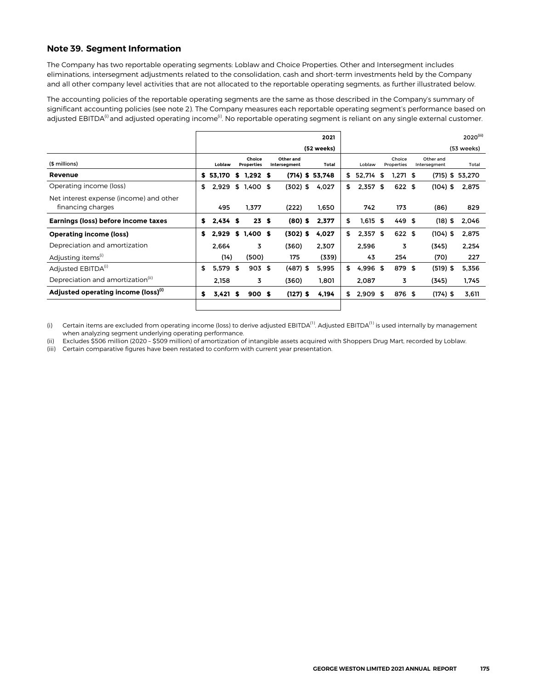#### **Note 39. Segment Information**

The Company has two reportable operating segments: Loblaw and Choice Properties. Other and Intersegment includes eliminations, intersegment adjustments related to the consolidation, cash and short-term investments held by the Company and all other company level activities that are not allocated to the reportable operating segments, as further illustrated below.

The accounting policies of the reportable operating segments are the same as those described in the Company's summary of significant accounting policies (see note 2). The Company measures each reportable operating segment's performance based on adjusted EBITDA<sup>(i)</sup> and adjusted operating income<sup>(i)</sup>. No reportable operating segment is reliant on any single external customer.

|                                                              |    |            |      |                             |                           | 2021              |     |            |      |                      |      |                           | $2020^{(iii)}$ |
|--------------------------------------------------------------|----|------------|------|-----------------------------|---------------------------|-------------------|-----|------------|------|----------------------|------|---------------------------|----------------|
|                                                              |    |            |      |                             |                           | (52 weeks)        |     |            |      |                      |      |                           | (53 weeks)     |
| (\$ millions)                                                |    | Loblaw     |      | Choice<br><b>Properties</b> | Other and<br>Intersegment | Total             |     | Loblaw     |      | Choice<br>Properties |      | Other and<br>Intersegment | Total          |
| Revenue                                                      | S. | 53.170     | s    | 1.292S                      |                           | $(714)$ \$ 53,748 | \$  | 52,714     | \$   | $1.271$ \$           |      | (715) \$ 53,270           |                |
| Operating income (loss)                                      | \$ | 2,929      |      | $$1,400$ \$                 | $(302)$ \$                | 4,027             | \$. | $2,357$ \$ |      | 622 \$               |      | $(104)$ \$                | 2,875          |
| Net interest expense (income) and other<br>financing charges |    | 495        |      | 1,377                       | (222)                     | 1,650             |     | 742        |      | 173                  |      | (86)                      | 829            |
| Earnings (loss) before income taxes                          | \$ | $2,434$ \$ |      | 23S                         | $(80)$ \$                 | 2,377             | \$  | 1,615      | - \$ | $449$ \$             |      | $(18)$ \$                 | 2,046          |
| <b>Operating income (loss)</b>                               | s  | 2,929      |      | $$1,400$ \$                 | $(302)$ \$                | 4,027             | \$  | $2,357$ \$ |      | 622 \$               |      | $(104)$ \$                | 2.875          |
| Depreciation and amortization                                |    | 2.664      |      | 3                           | (360)                     | 2,307             |     | 2,596      |      | 3                    |      | (345)                     | 2,254          |
| Adjusting items <sup>(1)</sup>                               |    | (14)       |      | (500)                       | 175                       | (339)             |     | 43         |      | 254                  |      | (70)                      | 227            |
| Adjusted EBITDA <sup>(1)</sup>                               | \$ | 5,579      | - \$ | 903S                        | $(487)$ \$                | 5,995             | \$  | 4,996      | - \$ | 879                  | - \$ | $(519)$ \$                | 5,356          |
| Depreciation and amortization <sup>(11)</sup>                |    | 2,158      |      | 3                           | (360)                     | 1,801             |     | 2,087      |      | 3                    |      | (345)                     | 1,745          |
| Adjusted operating income (loss) <sup>(1)</sup>              | \$ | 3,421      | S    | 900S                        | $(127)$ \$                | 4,194             | \$  | $2,909$ \$ |      | 876 \$               |      | $(174)$ \$                | 3,611          |
|                                                              |    |            |      |                             |                           |                   |     |            |      |                      |      |                           |                |

(i) Certain items are excluded from operating income (loss) to derive adjusted EBITDA<sup>(1)</sup>. Adjusted EBITDA<sup>(1)</sup> is used internally by management when analyzing segment underlying operating performance.

(ii) Excludes \$506 million (2020 – \$509 million) of amortization of intangible assets acquired with Shoppers Drug Mart, recorded by Loblaw.

(iii) Certain comparative figures have been restated to conform with current year presentation.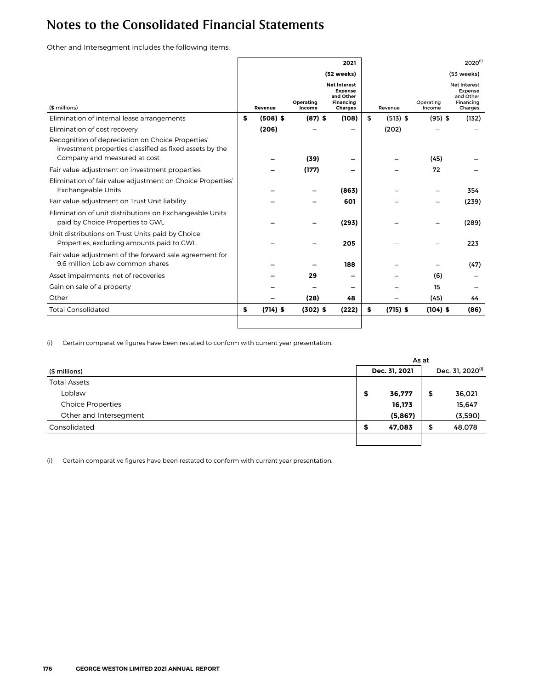Other and Intersegment includes the following items:

|                                                                                                                                              |                  |                     | 2021                                                                              |                  |                     | $2020^{(i)}$                                                               |
|----------------------------------------------------------------------------------------------------------------------------------------------|------------------|---------------------|-----------------------------------------------------------------------------------|------------------|---------------------|----------------------------------------------------------------------------|
|                                                                                                                                              |                  |                     | (52 weeks)                                                                        |                  |                     | (53 weeks)                                                                 |
| (\$ millions)                                                                                                                                | Revenue          | Operating<br>Income | <b>Net Interest</b><br><b>Expense</b><br>and Other<br>Financing<br><b>Charges</b> | Revenue          | Operating<br>Income | <b>Net Interest</b><br><b>Expense</b><br>and Other<br>Financing<br>Charges |
| Elimination of internal lease arrangements                                                                                                   | \$<br>$(508)$ \$ | $(87)$ \$           | (108)                                                                             | \$<br>$(513)$ \$ | $(95)$ \$           | (132)                                                                      |
| Elimination of cost recovery                                                                                                                 | (206)            |                     |                                                                                   | (202)            |                     |                                                                            |
| Recognition of depreciation on Choice Properties'<br>investment properties classified as fixed assets by the<br>Company and measured at cost |                  | (39)                |                                                                                   |                  | (45)                |                                                                            |
| Fair value adjustment on investment properties                                                                                               |                  | (177)               |                                                                                   |                  | 72                  |                                                                            |
| Elimination of fair value adjustment on Choice Properties'<br><b>Exchangeable Units</b>                                                      |                  |                     | (863)                                                                             |                  |                     | 354                                                                        |
| Fair value adjustment on Trust Unit liability                                                                                                |                  |                     | 601                                                                               |                  |                     | (239)                                                                      |
| Elimination of unit distributions on Exchangeable Units<br>paid by Choice Properties to GWL                                                  |                  |                     | (293)                                                                             |                  |                     | (289)                                                                      |
| Unit distributions on Trust Units paid by Choice<br>Properties, excluding amounts paid to GWL                                                |                  |                     | 205                                                                               |                  |                     | 223                                                                        |
| Fair value adjustment of the forward sale agreement for<br>9.6 million Loblaw common shares                                                  |                  |                     | 188                                                                               |                  |                     | (47)                                                                       |
| Asset impairments, net of recoveries                                                                                                         |                  | 29                  |                                                                                   |                  | (6)                 |                                                                            |
| Gain on sale of a property                                                                                                                   |                  |                     |                                                                                   |                  | 15                  |                                                                            |
| Other                                                                                                                                        |                  | (28)                | 48                                                                                |                  | (45)                | 44                                                                         |
| <b>Total Consolidated</b>                                                                                                                    | \$<br>$(714)$ \$ | $(302)$ \$          | (222)                                                                             | \$<br>$(715)$ \$ | $(104)$ \$          | (86)                                                                       |
|                                                                                                                                              |                  |                     |                                                                                   |                  |                     |                                                                            |

(i) Certain comparative figures have been restated to conform with current year presentation.

|                          |    | As at         |                              |         |  |  |
|--------------------------|----|---------------|------------------------------|---------|--|--|
| (\$ millions)            |    | Dec. 31, 2021 | Dec. 31, 2020 <sup>(i)</sup> |         |  |  |
| <b>Total Assets</b>      |    |               |                              |         |  |  |
| Loblaw                   | \$ | 36,777        | \$                           | 36,021  |  |  |
| <b>Choice Properties</b> |    | 16,173        |                              | 15,647  |  |  |
| Other and Intersegment   |    | (5,867)       |                              | (3,590) |  |  |
| Consolidated             | \$ | 47,083        | \$                           | 48,078  |  |  |
|                          |    |               |                              |         |  |  |

(i) Certain comparative figures have been restated to conform with current year presentation.